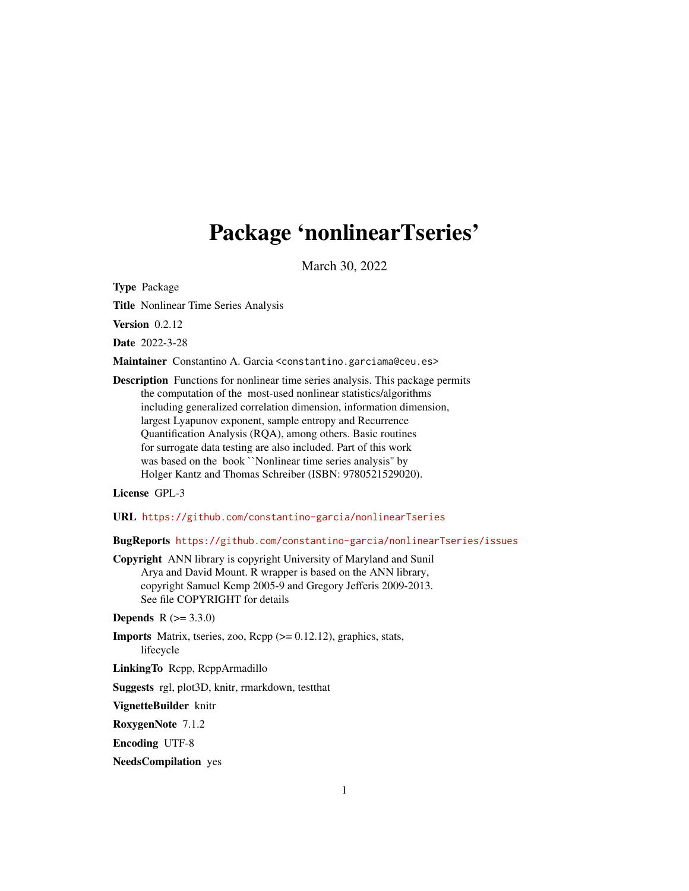# Package 'nonlinearTseries'

March 30, 2022

<span id="page-0-0"></span>Type Package

Title Nonlinear Time Series Analysis

Version 0.2.12

Date 2022-3-28

Maintainer Constantino A. Garcia <constantino.garciama@ceu.es>

Description Functions for nonlinear time series analysis. This package permits the computation of the most-used nonlinear statistics/algorithms including generalized correlation dimension, information dimension, largest Lyapunov exponent, sample entropy and Recurrence Quantification Analysis (RQA), among others. Basic routines for surrogate data testing are also included. Part of this work was based on the book ``Nonlinear time series analysis'' by Holger Kantz and Thomas Schreiber (ISBN: 9780521529020).

License GPL-3

URL <https://github.com/constantino-garcia/nonlinearTseries>

BugReports <https://github.com/constantino-garcia/nonlinearTseries/issues>

Copyright ANN library is copyright University of Maryland and Sunil Arya and David Mount. R wrapper is based on the ANN library, copyright Samuel Kemp 2005-9 and Gregory Jefferis 2009-2013. See file COPYRIGHT for details

**Depends**  $R (= 3.3.0)$ 

**Imports** Matrix, tseries, zoo,  $\text{Rcpp}$  ( $>= 0.12.12$ ), graphics, stats, lifecycle

LinkingTo Rcpp, RcppArmadillo

Suggests rgl, plot3D, knitr, rmarkdown, testthat

VignetteBuilder knitr

RoxygenNote 7.1.2

Encoding UTF-8

NeedsCompilation yes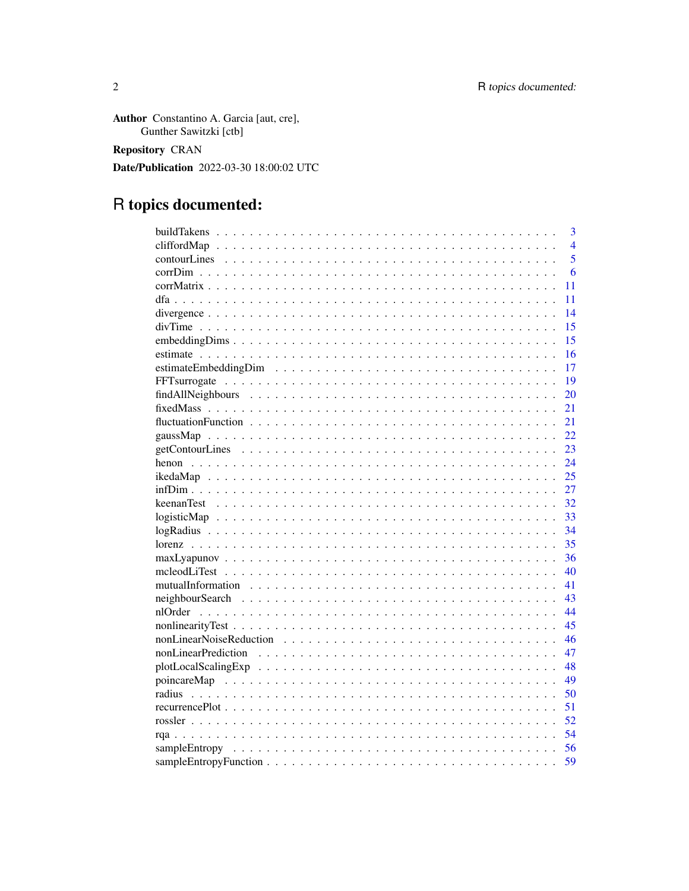Author Constantino A. Garcia [aut, cre], Gunther Sawitzki [ctb]

**Repository CRAN** 

Date/Publication 2022-03-30 18:00:02 UTC

# R topics documented:

| 3                         |
|---------------------------|
| $\overline{4}$            |
| $\overline{5}$            |
| 6                         |
| 11                        |
| 11                        |
| 14                        |
| 15                        |
| 15                        |
| 16                        |
| 17                        |
| 19                        |
| 20                        |
| 21                        |
| 21                        |
| 22                        |
| 23                        |
| 24                        |
| 25                        |
| 27                        |
| 32                        |
| 33                        |
| 34                        |
| 35                        |
| 36                        |
| 40                        |
| 41                        |
| 43                        |
| 44                        |
| 45                        |
| 46                        |
| nonLinearPrediction<br>47 |
| 48                        |
| 49                        |
| 50                        |
| 51                        |
| 52                        |
| 54                        |
| 56                        |
| 59                        |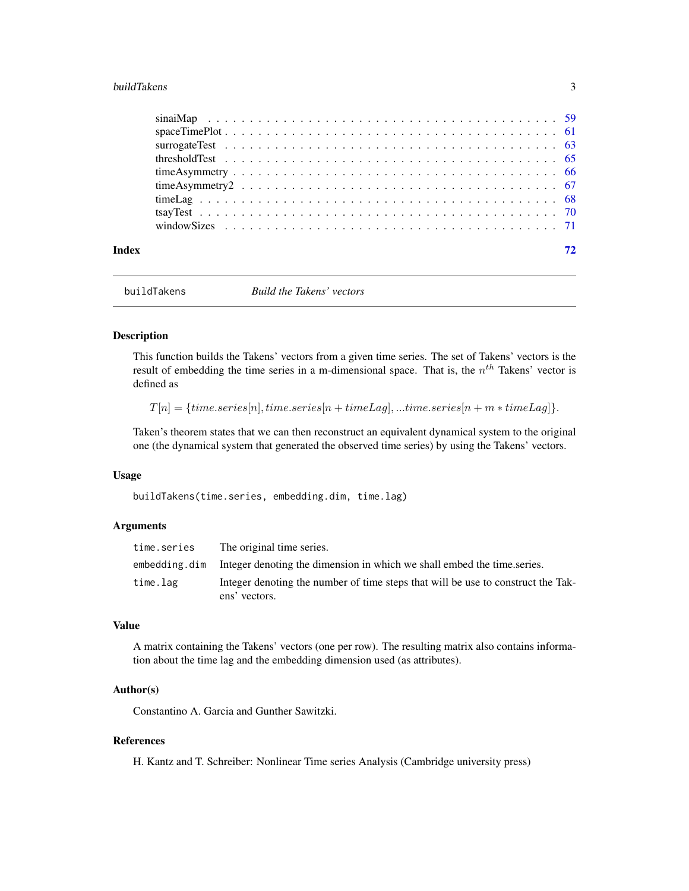#### <span id="page-2-0"></span>buildTakens 3

<span id="page-2-1"></span>buildTakens *Build the Takens' vectors*

#### Description

This function builds the Takens' vectors from a given time series. The set of Takens' vectors is the result of embedding the time series in a m-dimensional space. That is, the  $n<sup>th</sup>$  Takens' vector is defined as

 $T[n] = {time.series[n], time.series[n + timeLag],...time.series[n + m * timeLag]}.$ 

Taken's theorem states that we can then reconstruct an equivalent dynamical system to the original one (the dynamical system that generated the observed time series) by using the Takens' vectors.

# Usage

buildTakens(time.series, embedding.dim, time.lag)

# Arguments

| time.series   | The original time series.                                                                         |
|---------------|---------------------------------------------------------------------------------------------------|
| embedding.dim | Integer denoting the dimension in which we shall embed the time series.                           |
| time.lag      | Integer denoting the number of time steps that will be use to construct the Tak-<br>ens' vectors. |

# Value

A matrix containing the Takens' vectors (one per row). The resulting matrix also contains information about the time lag and the embedding dimension used (as attributes).

#### Author(s)

Constantino A. Garcia and Gunther Sawitzki.

# References

H. Kantz and T. Schreiber: Nonlinear Time series Analysis (Cambridge university press)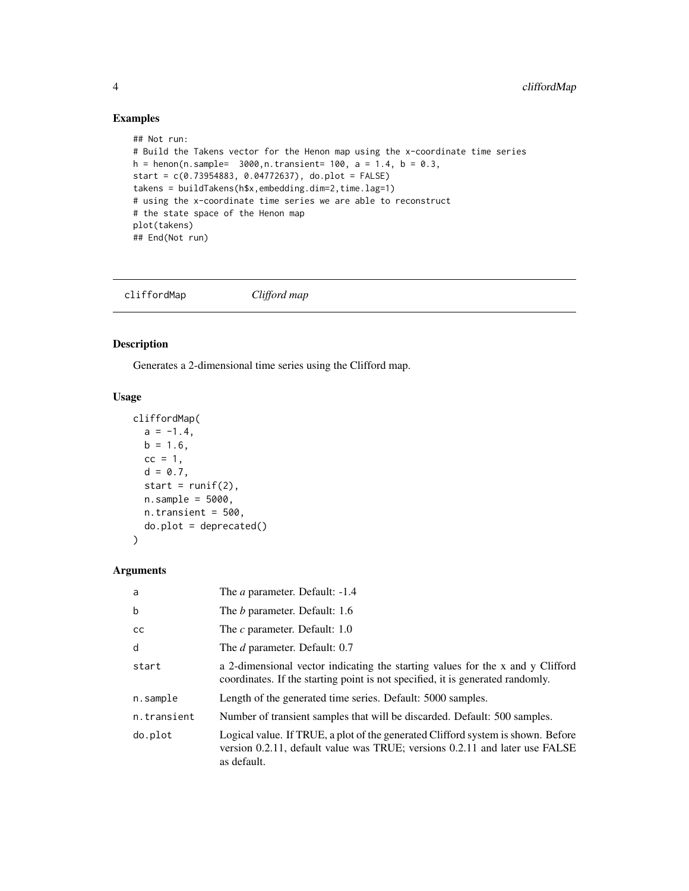# Examples

```
## Not run:
# Build the Takens vector for the Henon map using the x-coordinate time series
h = henon(n.sample= 3000, n.transient= 100, a = 1.4, b = 0.3,
start = c(0.73954883, 0.04772637), do.plot = FALSE)
takens = buildTakens(h$x,embedding.dim=2,time.lag=1)
# using the x-coordinate time series we are able to reconstruct
# the state space of the Henon map
plot(takens)
## End(Not run)
```
<span id="page-3-1"></span>cliffordMap *Clifford map*

# Description

Generates a 2-dimensional time series using the Clifford map.

# Usage

```
cliffordMap(
  a = -1.4,
  b = 1.6,
  cc = 1,
  d = 0.7,
  start = runif(2),
  n.sample = 5000,
  n.transient = 500,
  do.plot = deprecated()
)
```
# Arguments

| a             | The <i>a</i> parameter. Default: -1.4                                                                                                                                          |
|---------------|--------------------------------------------------------------------------------------------------------------------------------------------------------------------------------|
| b             | The <i>b</i> parameter. Default: 1.6                                                                                                                                           |
| <sub>cc</sub> | The c parameter. Default: 1.0                                                                                                                                                  |
| d             | The <i>d</i> parameter. Default: 0.7                                                                                                                                           |
| start         | a 2-dimensional vector indicating the starting values for the x and y Clifford<br>coordinates. If the starting point is not specified, it is generated randomly.               |
| n.sample      | Length of the generated time series. Default: 5000 samples.                                                                                                                    |
| n.transient   | Number of transient samples that will be discarded. Default: 500 samples.                                                                                                      |
| do.plot       | Logical value. If TRUE, a plot of the generated Clifford system is shown. Before<br>version 0.2.11, default value was TRUE; versions 0.2.11 and later use FALSE<br>as default. |

<span id="page-3-0"></span>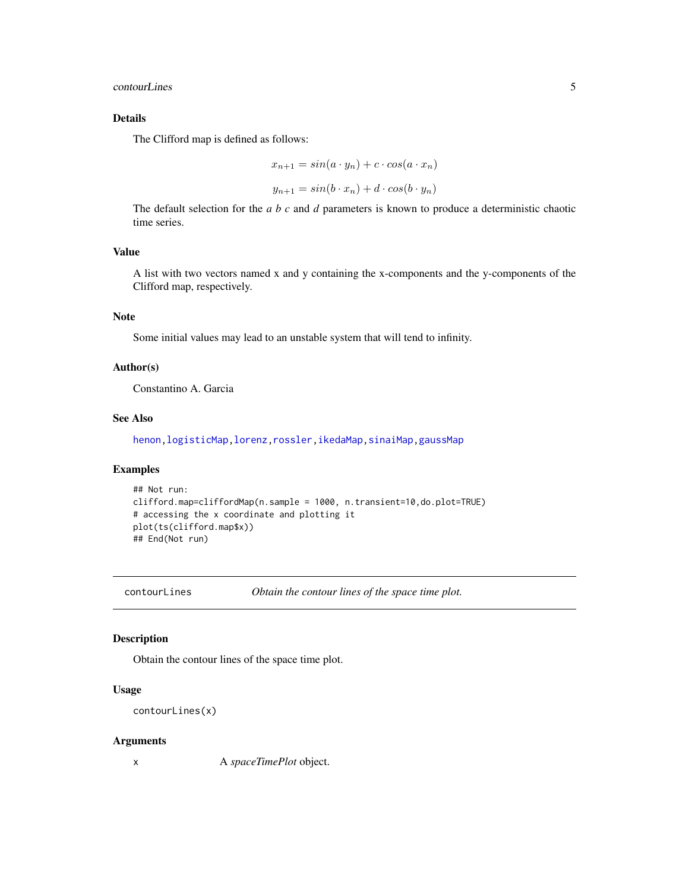#### <span id="page-4-0"></span>contourLines 5

# Details

The Clifford map is defined as follows:

$$
x_{n+1} = \sin(a \cdot y_n) + c \cdot \cos(a \cdot x_n)
$$

$$
y_{n+1} = \sin(b \cdot x_n) + d \cdot \cos(b \cdot y_n)
$$

The default selection for the *a b c* and *d* parameters is known to produce a deterministic chaotic time series.

#### Value

A list with two vectors named x and y containing the x-components and the y-components of the Clifford map, respectively.

# Note

Some initial values may lead to an unstable system that will tend to infinity.

#### Author(s)

Constantino A. Garcia

#### See Also

[henon](#page-23-1)[,logisticMap](#page-32-1)[,lorenz,](#page-34-1)[rossler,](#page-51-1)[ikedaMap,](#page-24-1)[sinaiMap](#page-58-1)[,gaussMap](#page-21-1)

# Examples

```
## Not run:
clifford.map=cliffordMap(n.sample = 1000, n.transient=10,do.plot=TRUE)
# accessing the x coordinate and plotting it
plot(ts(clifford.map$x))
## End(Not run)
```
contourLines *Obtain the contour lines of the space time plot.*

# Description

Obtain the contour lines of the space time plot.

#### Usage

```
contourLines(x)
```
#### Arguments

x A *spaceTimePlot* object.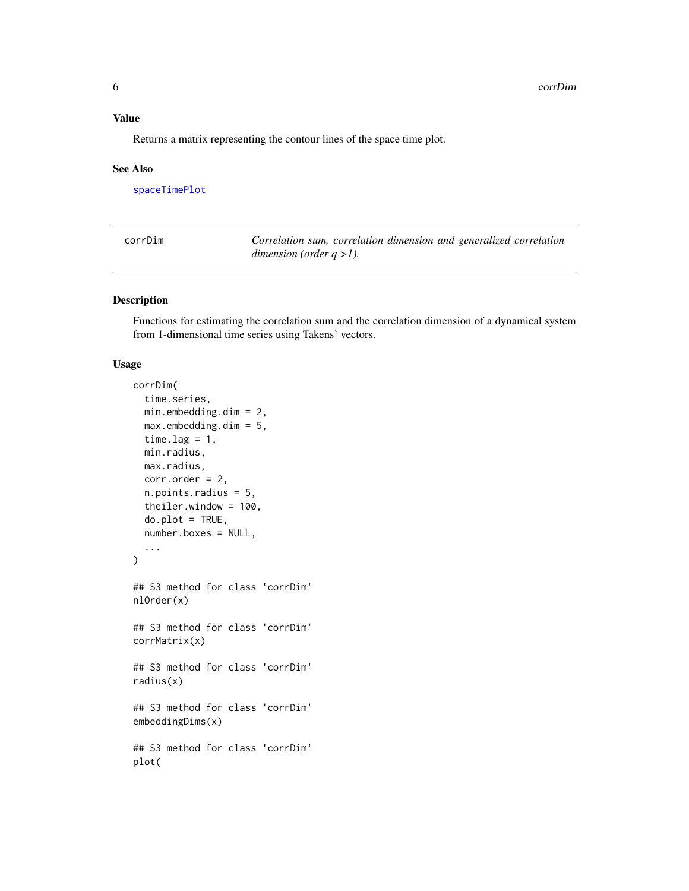#### <span id="page-5-0"></span>Value

Returns a matrix representing the contour lines of the space time plot.

#### See Also

[spaceTimePlot](#page-60-1)

<span id="page-5-1"></span>

| corrDim | Correlation sum, correlation dimension and generalized correlation |
|---------|--------------------------------------------------------------------|
|         | dimension (order $q > 1$ ).                                        |

#### Description

Functions for estimating the correlation sum and the correlation dimension of a dynamical system from 1-dimensional time series using Takens' vectors.

#### Usage

```
corrDim(
  time.series,
 min.embedding.dim = 2,
 max.embedding.dim = 5,
  time.lag = 1,
 min.radius,
 max.radius,
  corr.order = 2,
  n.points.radius = 5,
  theiler.window = 100,
  do.plot = TRUE,number.boxes = NULL,
  ...
)
## S3 method for class 'corrDim'
nlOrder(x)
## S3 method for class 'corrDim'
corrMatrix(x)
## S3 method for class 'corrDim'
radius(x)
## S3 method for class 'corrDim'
embeddingDims(x)
## S3 method for class 'corrDim'
plot(
```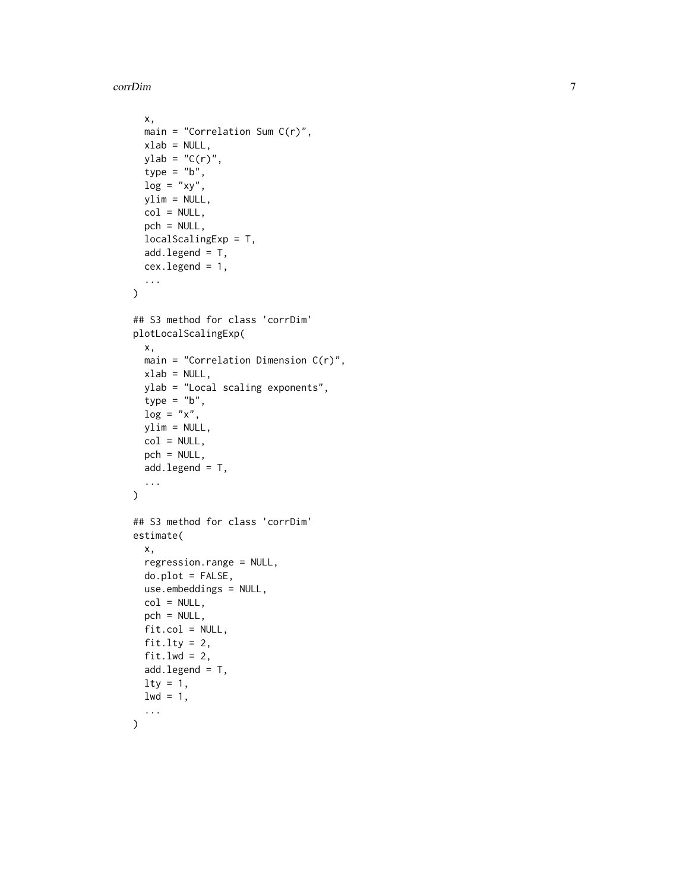corrDim

```
x,
 main = "Correlation Sum C(r)",
  xlab = NULL,
 ylab = "C(r)",
  type = "b",
  log = "xy",ylim = NULL,
  col = NULL,pch = NULL,
  localScalingExp = T,
  add.length = T,
  cex.legend = 1,
  ...
\mathcal{L}## S3 method for class 'corrDim'
plotLocalScalingExp(
  x,
 main = "Correlation Dimension C(r)",
 xlab = NULL,
 ylab = "Local scaling exponents",
  type = "b",log = "x",ylim = NULL,
  col = NULL,pch = NULL,add.legend = T,
  ...
)
## S3 method for class 'corrDim'
estimate(
  x,
  regression.range = NULL,
  do.plot = FALSE,
 use.embeddings = NULL,
  col = NULL,pch = NULL,
  fit,col = NULL,fit.lty = 2,
 fit.lwd = 2,
  add.legend = T,
 lty = 1,
 1wd = 1,
  ...
)
```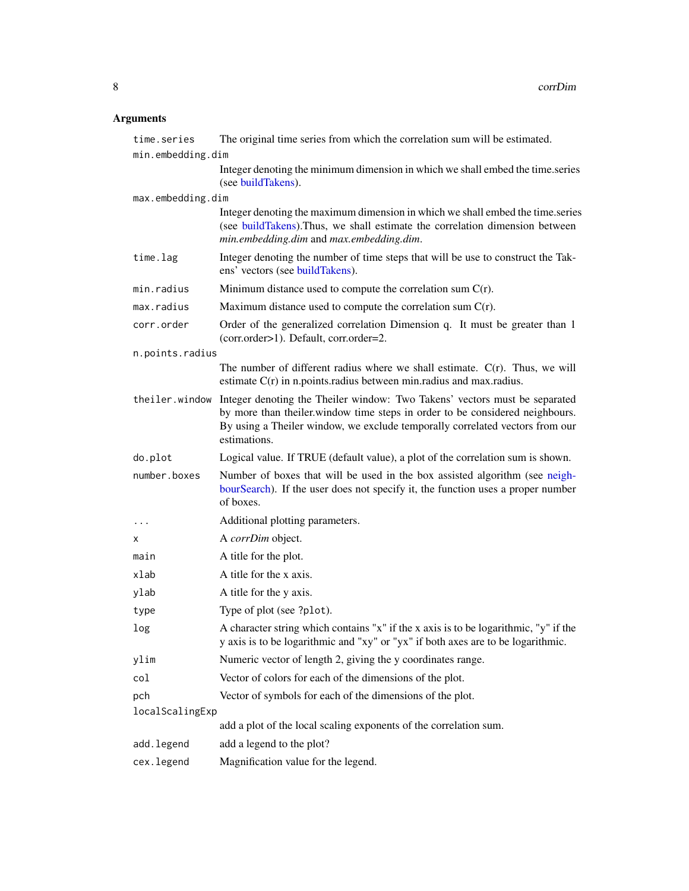# Arguments

| time.series       | The original time series from which the correlation sum will be estimated.                                                                                                                                                                                                  |
|-------------------|-----------------------------------------------------------------------------------------------------------------------------------------------------------------------------------------------------------------------------------------------------------------------------|
| min.embedding.dim |                                                                                                                                                                                                                                                                             |
|                   | Integer denoting the minimum dimension in which we shall embed the time.series<br>(see buildTakens).                                                                                                                                                                        |
| max.embedding.dim |                                                                                                                                                                                                                                                                             |
|                   | Integer denoting the maximum dimension in which we shall embed the time.series<br>(see buildTakens). Thus, we shall estimate the correlation dimension between<br>min.embedding.dim and max.embedding.dim.                                                                  |
| time.lag          | Integer denoting the number of time steps that will be use to construct the Tak-<br>ens' vectors (see buildTakens).                                                                                                                                                         |
| min.radius        | Minimum distance used to compute the correlation sum $C(r)$ .                                                                                                                                                                                                               |
| max.radius        | Maximum distance used to compute the correlation sum $C(r)$ .                                                                                                                                                                                                               |
| corr.order        | Order of the generalized correlation Dimension q. It must be greater than 1<br>(corr.order>1). Default, corr.order=2.                                                                                                                                                       |
| n.points.radius   |                                                                                                                                                                                                                                                                             |
|                   | The number of different radius where we shall estimate. $C(r)$ . Thus, we will<br>estimate $C(r)$ in n.points.radius between min.radius and max.radius.                                                                                                                     |
|                   | the iler. window Integer denoting the Theiler window: Two Takens' vectors must be separated<br>by more than theiler window time steps in order to be considered neighbours.<br>By using a Theiler window, we exclude temporally correlated vectors from our<br>estimations. |
| do.plot           | Logical value. If TRUE (default value), a plot of the correlation sum is shown.                                                                                                                                                                                             |
| number.boxes      | Number of boxes that will be used in the box assisted algorithm (see neigh-<br>bourSearch). If the user does not specify it, the function uses a proper number<br>of boxes.                                                                                                 |
| $\cdots$          | Additional plotting parameters.                                                                                                                                                                                                                                             |
| х                 | A corrDim object.                                                                                                                                                                                                                                                           |
| main              | A title for the plot.                                                                                                                                                                                                                                                       |
| xlab              | A title for the x axis.                                                                                                                                                                                                                                                     |
| ylab              | A title for the y axis.                                                                                                                                                                                                                                                     |
| type              | Type of plot (see ?plot).                                                                                                                                                                                                                                                   |
| log               | A character string which contains "x" if the x axis is to be logarithmic, "y" if the<br>y axis is to be logarithmic and "xy" or "yx" if both axes are to be logarithmic.                                                                                                    |
| ylim              | Numeric vector of length 2, giving the y coordinates range.                                                                                                                                                                                                                 |
| col               | Vector of colors for each of the dimensions of the plot.                                                                                                                                                                                                                    |
| pch               | Vector of symbols for each of the dimensions of the plot.                                                                                                                                                                                                                   |
| localScalingExp   |                                                                                                                                                                                                                                                                             |
|                   | add a plot of the local scaling exponents of the correlation sum.                                                                                                                                                                                                           |
| add.legend        | add a legend to the plot?                                                                                                                                                                                                                                                   |
| cex.legend        | Magnification value for the legend.                                                                                                                                                                                                                                         |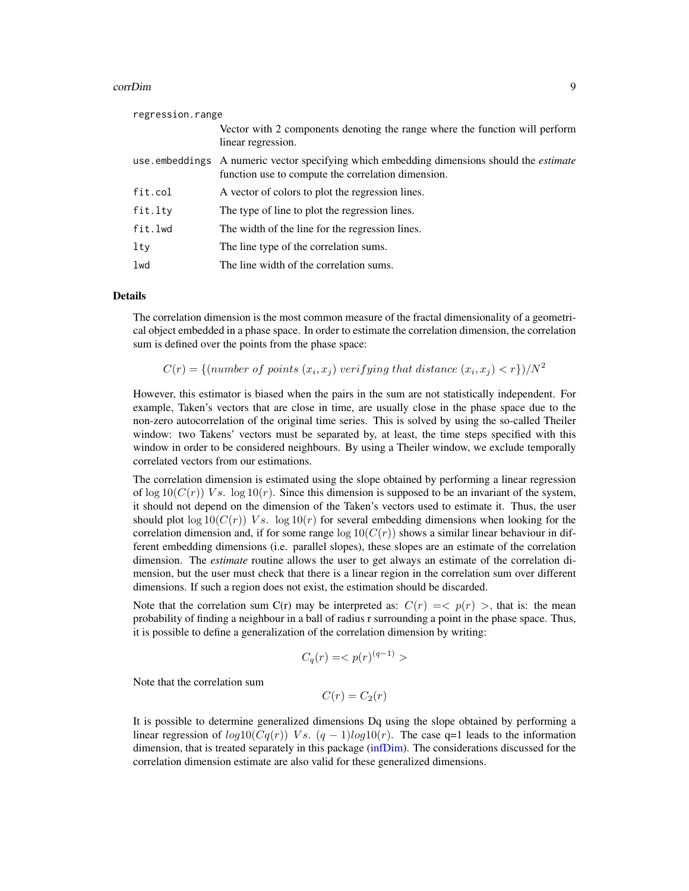#### corrDim 9

| regression.range |                                                                                                                                                        |
|------------------|--------------------------------------------------------------------------------------------------------------------------------------------------------|
|                  | Vector with 2 components denoting the range where the function will perform<br>linear regression.                                                      |
|                  | use embeddings A numeric vector specifying which embedding dimensions should the <i>estimate</i><br>function use to compute the correlation dimension. |
| fit.col          | A vector of colors to plot the regression lines.                                                                                                       |
| fit.lty          | The type of line to plot the regression lines.                                                                                                         |
| fit.lwd          | The width of the line for the regression lines.                                                                                                        |
| $1$ ty           | The line type of the correlation sums.                                                                                                                 |
| lwd              | The line width of the correlation sums.                                                                                                                |
|                  |                                                                                                                                                        |

# Details

The correlation dimension is the most common measure of the fractal dimensionality of a geometrical object embedded in a phase space. In order to estimate the correlation dimension, the correlation sum is defined over the points from the phase space:

 $C(r) = \{(number\ of\ points\ (x_i,x_j)\ verifying\ that\ distance\ (x_i,x_j) < r\})/N^2$ 

However, this estimator is biased when the pairs in the sum are not statistically independent. For example, Taken's vectors that are close in time, are usually close in the phase space due to the non-zero autocorrelation of the original time series. This is solved by using the so-called Theiler window: two Takens' vectors must be separated by, at least, the time steps specified with this window in order to be considered neighbours. By using a Theiler window, we exclude temporally correlated vectors from our estimations.

The correlation dimension is estimated using the slope obtained by performing a linear regression of  $\log 10(C(r))$  Vs.  $\log 10(r)$ . Since this dimension is supposed to be an invariant of the system, it should not depend on the dimension of the Taken's vectors used to estimate it. Thus, the user should plot  $\log 10(C(r))$  Vs.  $\log 10(r)$  for several embedding dimensions when looking for the correlation dimension and, if for some range  $log 10(C(r))$  shows a similar linear behaviour in different embedding dimensions (i.e. parallel slopes), these slopes are an estimate of the correlation dimension. The *estimate* routine allows the user to get always an estimate of the correlation dimension, but the user must check that there is a linear region in the correlation sum over different dimensions. If such a region does not exist, the estimation should be discarded.

Note that the correlation sum C(r) may be interpreted as:  $C(r) = \langle p(r) \rangle$ , that is: the mean probability of finding a neighbour in a ball of radius r surrounding a point in the phase space. Thus, it is possible to define a generalization of the correlation dimension by writing:

$$
C_q(r) = \langle p(r)^{(q-1)} \rangle
$$

Note that the correlation sum

 $C(r) = C_2(r)$ 

It is possible to determine generalized dimensions Dq using the slope obtained by performing a linear regression of  $log10(Cq(r))$  Vs.  $(q-1)log10(r)$ . The case q=1 leads to the information dimension, that is treated separately in this package [\(infDim\)](#page-26-1). The considerations discussed for the correlation dimension estimate are also valid for these generalized dimensions.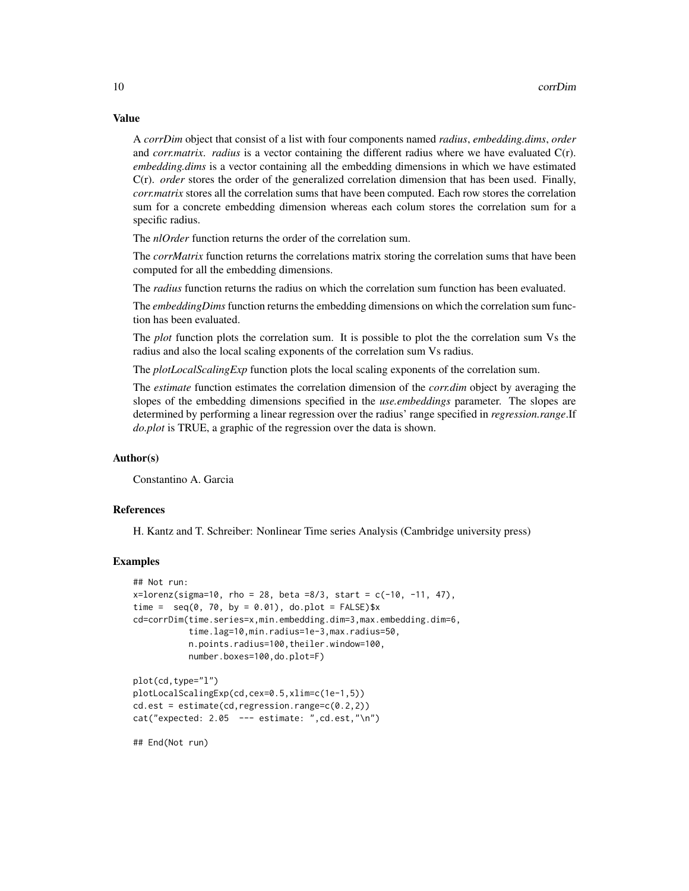Value

A *corrDim* object that consist of a list with four components named *radius*, *embedding.dims*, *order* and *corr.matrix*. *radius* is a vector containing the different radius where we have evaluated C(r). *embedding.dims* is a vector containing all the embedding dimensions in which we have estimated C(r). *order* stores the order of the generalized correlation dimension that has been used. Finally, *corr.matrix* stores all the correlation sums that have been computed. Each row stores the correlation sum for a concrete embedding dimension whereas each colum stores the correlation sum for a specific radius.

The *nlOrder* function returns the order of the correlation sum.

The *corrMatrix* function returns the correlations matrix storing the correlation sums that have been computed for all the embedding dimensions.

The *radius* function returns the radius on which the correlation sum function has been evaluated.

The *embeddingDims* function returns the embedding dimensions on which the correlation sum function has been evaluated.

The *plot* function plots the correlation sum. It is possible to plot the the correlation sum Vs the radius and also the local scaling exponents of the correlation sum Vs radius.

The *plotLocalScalingExp* function plots the local scaling exponents of the correlation sum.

The *estimate* function estimates the correlation dimension of the *corr.dim* object by averaging the slopes of the embedding dimensions specified in the *use.embeddings* parameter. The slopes are determined by performing a linear regression over the radius' range specified in *regression.range*.If *do.plot* is TRUE, a graphic of the regression over the data is shown.

# Author(s)

Constantino A. Garcia

#### References

H. Kantz and T. Schreiber: Nonlinear Time series Analysis (Cambridge university press)

# Examples

```
## Not run:
x=lorenz(sigma=10, rho = 28, beta = 8/3, start = c(-10, -11, 47),time = seq(0, 70, by = 0.01), do.plot = FALSE)$x
cd=corrDim(time.series=x,min.embedding.dim=3,max.embedding.dim=6,
           time.lag=10,min.radius=1e-3,max.radius=50,
           n.points.radius=100,theiler.window=100,
           number.boxes=100,do.plot=F)
```

```
plot(cd,type="l")
plotLocalScalingExp(cd,cex=0.5,xlim=c(1e-1,5))
cd.est = estimate(cd,regression.range=c(0.2,2))
cat("expected: 2.05 --- estimate: ",cd.est,"\n")
```
## End(Not run)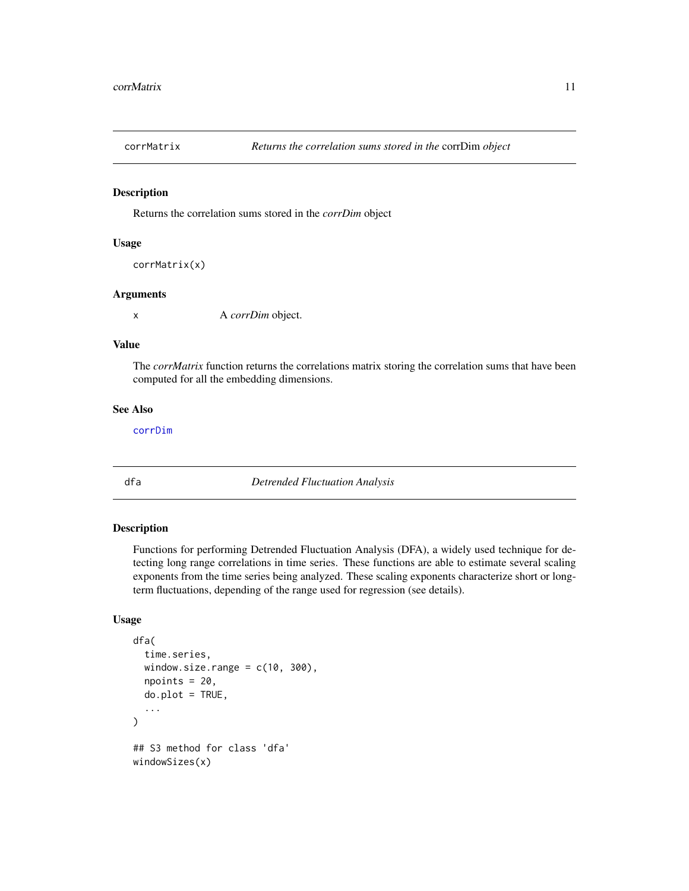<span id="page-10-0"></span>

# Description

Returns the correlation sums stored in the *corrDim* object

#### Usage

```
corrMatrix(x)
```
#### Arguments

x A *corrDim* object.

#### Value

The *corrMatrix* function returns the correlations matrix storing the correlation sums that have been computed for all the embedding dimensions.

# See Also

[corrDim](#page-5-1)

<span id="page-10-1"></span>dfa *Detrended Fluctuation Analysis*

# Description

Functions for performing Detrended Fluctuation Analysis (DFA), a widely used technique for detecting long range correlations in time series. These functions are able to estimate several scaling exponents from the time series being analyzed. These scaling exponents characterize short or longterm fluctuations, depending of the range used for regression (see details).

# Usage

```
dfa(
  time.series,
 window.size.range = c(10, 300),
  npoints = 20,do.plot = TRUE,
  ...
\lambda## S3 method for class 'dfa'
windowSizes(x)
```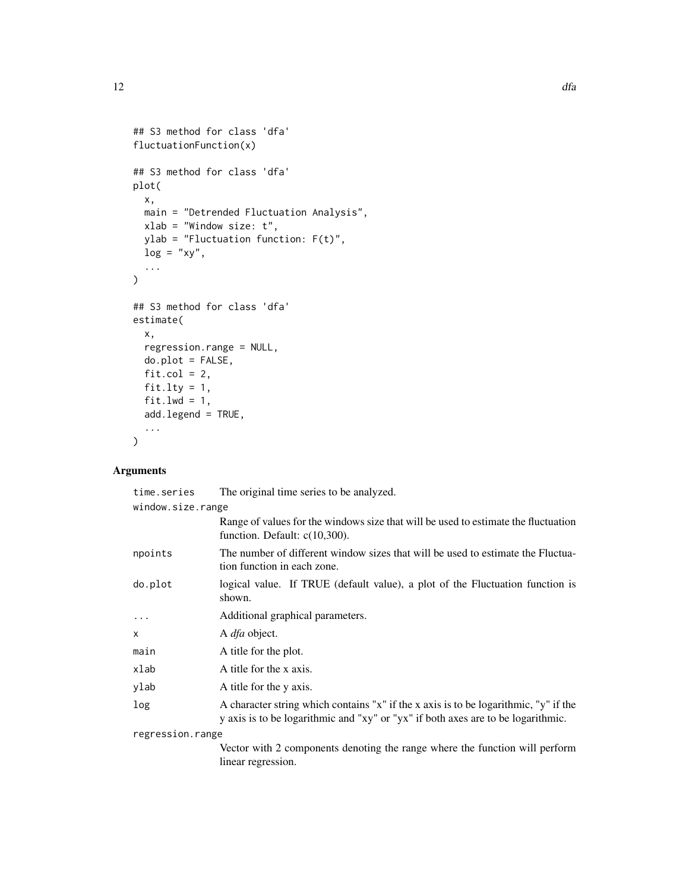```
## S3 method for class 'dfa'
fluctuationFunction(x)
## S3 method for class 'dfa'
plot(
 x,
 main = "Detrended Fluctuation Analysis",
 xlab = "Window size: t",
 ylab = "Fluctuation function: F(t)",
 log = "xy",...
)
## S3 method for class 'dfa'
estimate(
 x,
 regression.range = NULL,
 do.plot = FALSE,fit.col = 2,
 fit.lty = 1,
 fit.lwd = 1,
 add.legend = TRUE,
  ...
\mathcal{L}
```
# Arguments

| time.series       | The original time series to be analyzed.                                                                                                                                 |
|-------------------|--------------------------------------------------------------------------------------------------------------------------------------------------------------------------|
| window.size.range | Range of values for the windows size that will be used to estimate the fluctuation<br>function. Default: $c(10,300)$ .                                                   |
| npoints           | The number of different window sizes that will be used to estimate the Fluctua-<br>tion function in each zone.                                                           |
| do.plot           | logical value. If TRUE (default value), a plot of the Fluctuation function is<br>shown.                                                                                  |
| .                 | Additional graphical parameters.                                                                                                                                         |
| X                 | A <i>dfa</i> object.                                                                                                                                                     |
| main              | A title for the plot.                                                                                                                                                    |
| xlab              | A title for the x axis.                                                                                                                                                  |
| ylab              | A title for the y axis.                                                                                                                                                  |
| log               | A character string which contains "x" if the x axis is to be logarithmic, "y" if the<br>y axis is to be logarithmic and "xy" or "yx" if both axes are to be logarithmic. |
| regression.range  |                                                                                                                                                                          |

Vector with 2 components denoting the range where the function will perform linear regression.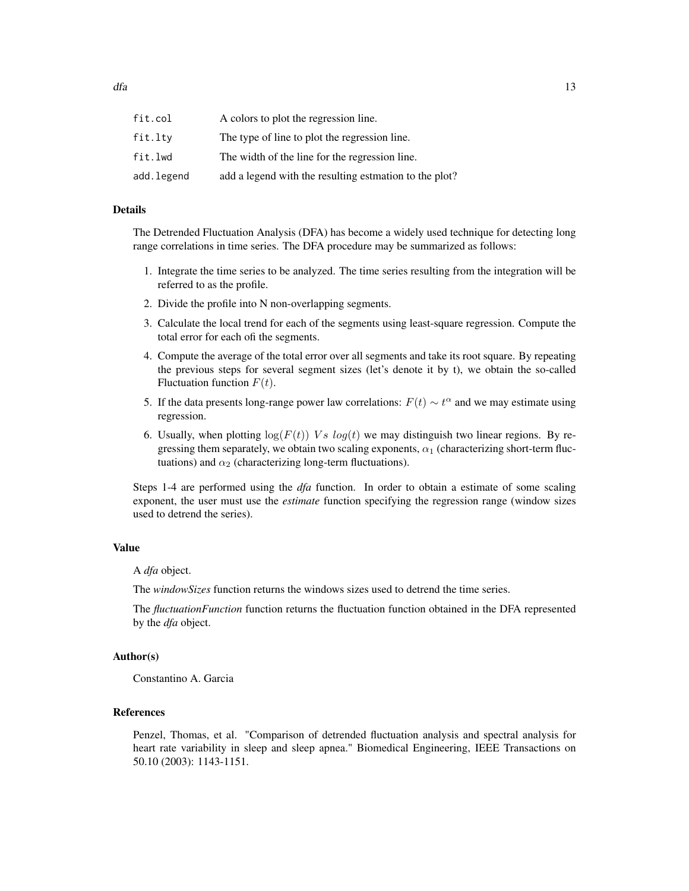| fit.col    | A colors to plot the regression line.                  |
|------------|--------------------------------------------------------|
| fit.ltv    | The type of line to plot the regression line.          |
| fit.lwd    | The width of the line for the regression line.         |
| add.legend | add a legend with the resulting estmation to the plot? |

# Details

The Detrended Fluctuation Analysis (DFA) has become a widely used technique for detecting long range correlations in time series. The DFA procedure may be summarized as follows:

- 1. Integrate the time series to be analyzed. The time series resulting from the integration will be referred to as the profile.
- 2. Divide the profile into N non-overlapping segments.
- 3. Calculate the local trend for each of the segments using least-square regression. Compute the total error for each ofi the segments.
- 4. Compute the average of the total error over all segments and take its root square. By repeating the previous steps for several segment sizes (let's denote it by t), we obtain the so-called Fluctuation function  $F(t)$ .
- 5. If the data presents long-range power law correlations:  $F(t) \sim t^{\alpha}$  and we may estimate using regression.
- 6. Usually, when plotting  $log(F(t))$  Vs  $log(t)$  we may distinguish two linear regions. By regressing them separately, we obtain two scaling exponents,  $\alpha_1$  (characterizing short-term fluctuations) and  $\alpha_2$  (characterizing long-term fluctuations).

Steps 1-4 are performed using the *dfa* function. In order to obtain a estimate of some scaling exponent, the user must use the *estimate* function specifying the regression range (window sizes used to detrend the series).

#### Value

#### A *dfa* object.

The *windowSizes* function returns the windows sizes used to detrend the time series.

The *fluctuationFunction* function returns the fluctuation function obtained in the DFA represented by the *dfa* object.

#### Author(s)

Constantino A. Garcia

#### References

Penzel, Thomas, et al. "Comparison of detrended fluctuation analysis and spectral analysis for heart rate variability in sleep and sleep apnea." Biomedical Engineering, IEEE Transactions on 50.10 (2003): 1143-1151.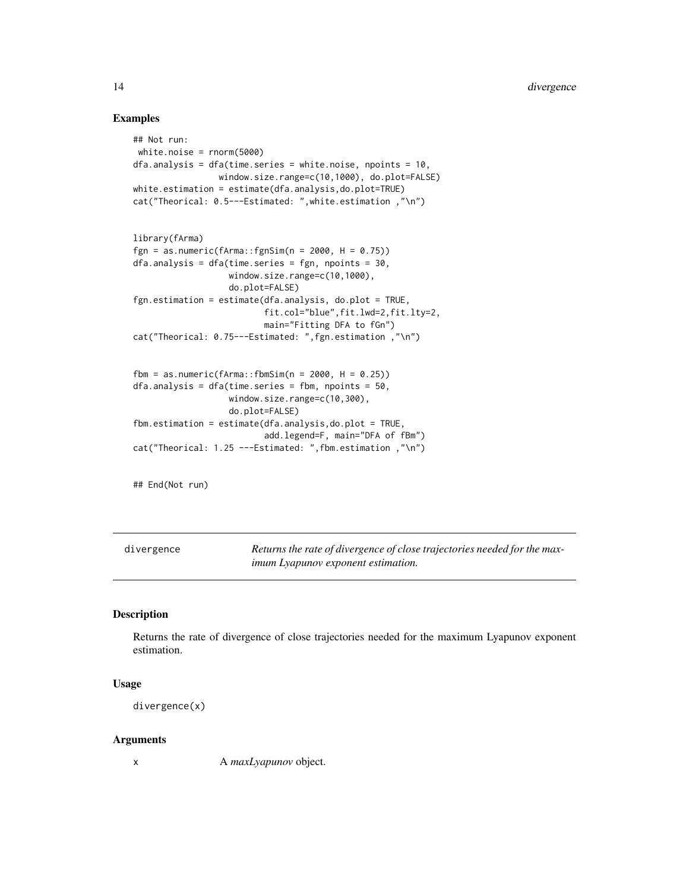# Examples

```
## Not run:
 white.noise = rnorm(5000)
dfa.analysis = dfa(time.series = white.noise, npoints = 10,
                 window.size.range=c(10,1000), do.plot=FALSE)
white.estimation = estimate(dfa.analysis,do.plot=TRUE)
cat("Theorical: 0.5---Estimated: ",white.estimation ,"\n")
library(fArma)
fgn = as.numeric(fArma::fgnSim(n = 2000, H = 0.75))
dfa.analysis = dfa(time.series = fgn, npoints = 30,
                   window.size.range=c(10,1000),
                   do.plot=FALSE)
fgn.estimation = estimate(dfa.analysis, do.plot = TRUE,
                          fit.col="blue",fit.lwd=2,fit.lty=2,
                          main="Fitting DFA to fGn")
cat("Theorical: 0.75---Estimated: ",fgn.estimation ,"\n")
fbm = as.numeric(fArma::fbmSim(n = 2000, H = 0.25))
dfa.analysis = dfa(time.series = fbm, npoints = 50,window.size.range=c(10,300),
                   do.plot=FALSE)
fbm.estimation = estimate(dfa.analysis,do.plot = TRUE,
                          add.legend=F, main="DFA of fBm")
cat("Theorical: 1.25 ---Estimated: ",fbm.estimation ,"\n")
```
## End(Not run)

divergence *Returns the rate of divergence of close trajectories needed for the maximum Lyapunov exponent estimation.*

#### Description

Returns the rate of divergence of close trajectories needed for the maximum Lyapunov exponent estimation.

# Usage

```
divergence(x)
```
#### Arguments

x A *maxLyapunov* object.

<span id="page-13-0"></span>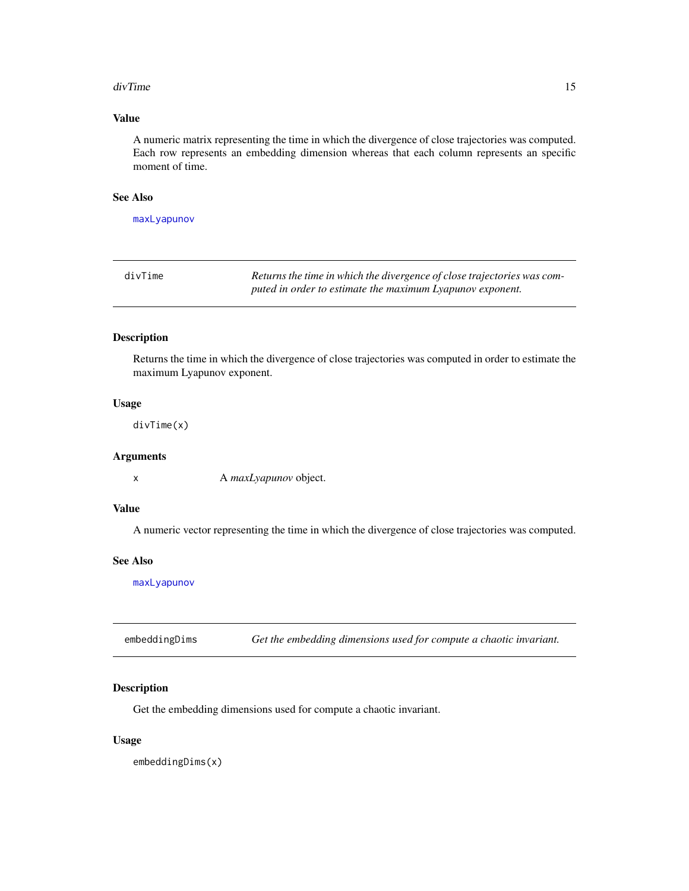#### <span id="page-14-0"></span>divTime 25 and 25 and 26 and 26 and 26 and 26 and 26 and 26 and 26 and 26 and 26 and 26 and 26 and 26 and 26 and 26 and 26 and 26 and 26 and 26 and 26 and 26 and 26 and 26 and 26 and 26 and 26 and 26 and 26 and 26 and 26 a

# Value

A numeric matrix representing the time in which the divergence of close trajectories was computed. Each row represents an embedding dimension whereas that each column represents an specific moment of time.

# See Also

[maxLyapunov](#page-35-1)

| divTime | Returns the time in which the divergence of close trajectories was com- |
|---------|-------------------------------------------------------------------------|
|         | puted in order to estimate the maximum Lyapunov exponent.               |

#### Description

Returns the time in which the divergence of close trajectories was computed in order to estimate the maximum Lyapunov exponent.

#### Usage

divTime(x)

# Arguments

x A *maxLyapunov* object.

# Value

A numeric vector representing the time in which the divergence of close trajectories was computed.

#### See Also

[maxLyapunov](#page-35-1)

embeddingDims *Get the embedding dimensions used for compute a chaotic invariant.*

#### Description

Get the embedding dimensions used for compute a chaotic invariant.

#### Usage

embeddingDims(x)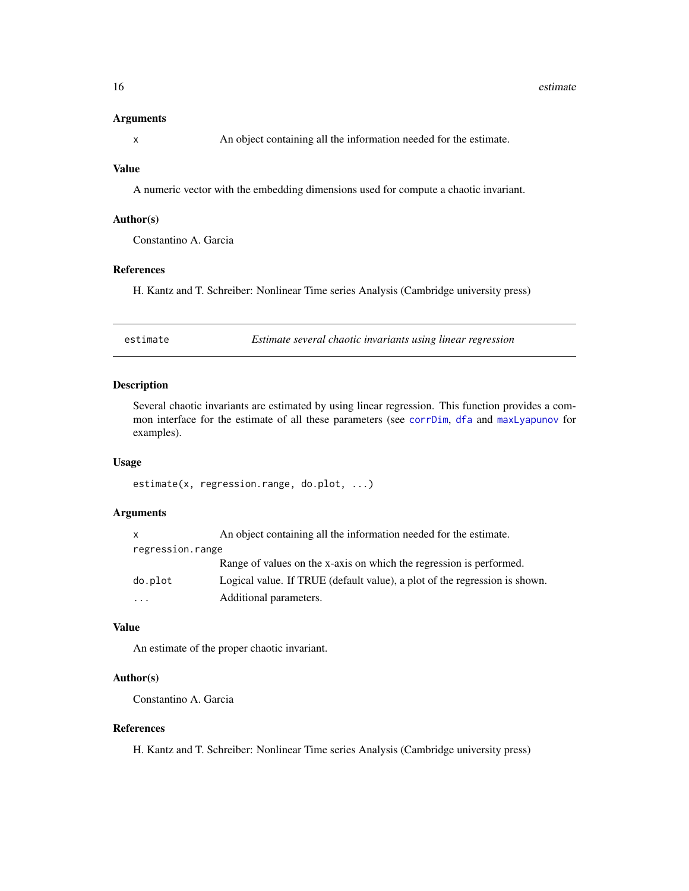#### <span id="page-15-0"></span>Arguments

x An object containing all the information needed for the estimate.

# Value

A numeric vector with the embedding dimensions used for compute a chaotic invariant.

#### Author(s)

Constantino A. Garcia

#### References

H. Kantz and T. Schreiber: Nonlinear Time series Analysis (Cambridge university press)

estimate *Estimate several chaotic invariants using linear regression*

# Description

Several chaotic invariants are estimated by using linear regression. This function provides a common interface for the estimate of all these parameters (see [corrDim](#page-5-1), [dfa](#page-10-1) and [maxLyapunov](#page-35-1) for examples).

#### Usage

estimate(x, regression.range, do.plot, ...)

# Arguments

| X                | An object containing all the information needed for the estimate.          |
|------------------|----------------------------------------------------------------------------|
| regression.range |                                                                            |
|                  | Range of values on the x-axis on which the regression is performed.        |
| do.plot          | Logical value. If TRUE (default value), a plot of the regression is shown. |
| .                | Additional parameters.                                                     |

# Value

An estimate of the proper chaotic invariant.

# Author(s)

Constantino A. Garcia

#### References

H. Kantz and T. Schreiber: Nonlinear Time series Analysis (Cambridge university press)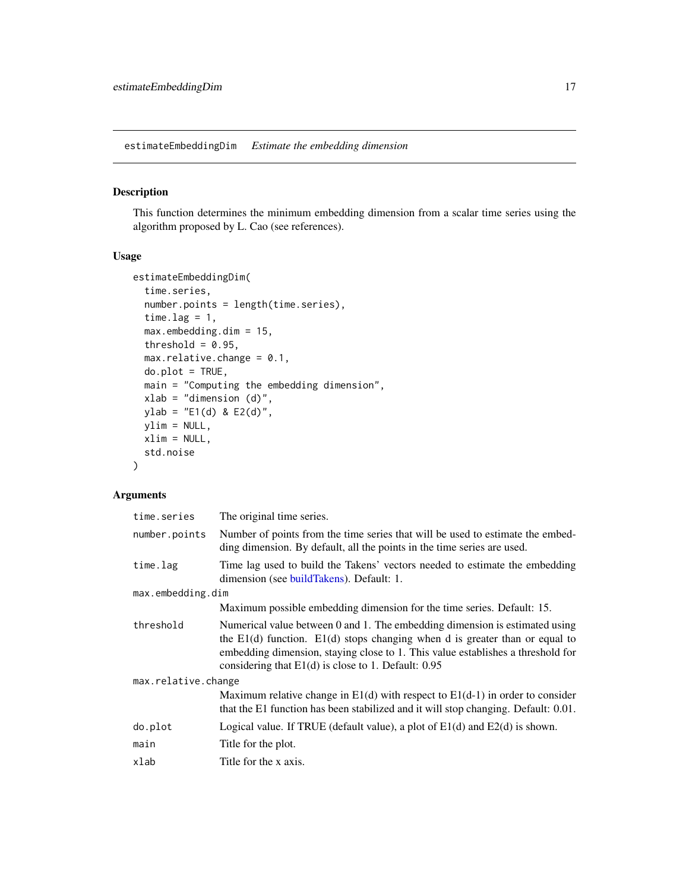<span id="page-16-0"></span>estimateEmbeddingDim *Estimate the embedding dimension*

# Description

This function determines the minimum embedding dimension from a scalar time series using the algorithm proposed by L. Cao (see references).

# Usage

```
estimateEmbeddingDim(
  time.series,
  number.points = length(time.series),
  time.lag = 1,
 max.embedding.dim = 15,
  threshold = 0.95,
 max.relative. change = 0.1,do.plot = TRUE,main = "Computing the embedding dimension",
 xlab = "dimension (d)",
 ylab = "E1(d) & E2(d)",
 ylim = NULL,
 xlim = NULL,std.noise
\lambda
```
# Arguments

| time.series         | The original time series.                                                                                                                                                                                                                                                                                  |
|---------------------|------------------------------------------------------------------------------------------------------------------------------------------------------------------------------------------------------------------------------------------------------------------------------------------------------------|
| number.points       | Number of points from the time series that will be used to estimate the embed-<br>ding dimension. By default, all the points in the time series are used.                                                                                                                                                  |
| time.lag            | Time lag used to build the Takens' vectors needed to estimate the embedding<br>dimension (see buildTakens). Default: 1.                                                                                                                                                                                    |
| max.embedding.dim   |                                                                                                                                                                                                                                                                                                            |
|                     | Maximum possible embedding dimension for the time series. Default: 15.                                                                                                                                                                                                                                     |
| threshold           | Numerical value between 0 and 1. The embedding dimension is estimated using<br>the $E1(d)$ function. $E1(d)$ stops changing when d is greater than or equal to<br>embedding dimension, staying close to 1. This value establishes a threshold for<br>considering that $E1(d)$ is close to 1. Default: 0.95 |
| max.relative.change |                                                                                                                                                                                                                                                                                                            |
|                     | Maximum relative change in $E1(d)$ with respect to $E1(d-1)$ in order to consider<br>that the E1 function has been stabilized and it will stop changing. Default: 0.01.                                                                                                                                    |
| do.plot             | Logical value. If TRUE (default value), a plot of $E1(d)$ and $E2(d)$ is shown.                                                                                                                                                                                                                            |
| main                | Title for the plot.                                                                                                                                                                                                                                                                                        |
| xlab                | Title for the x axis.                                                                                                                                                                                                                                                                                      |
|                     |                                                                                                                                                                                                                                                                                                            |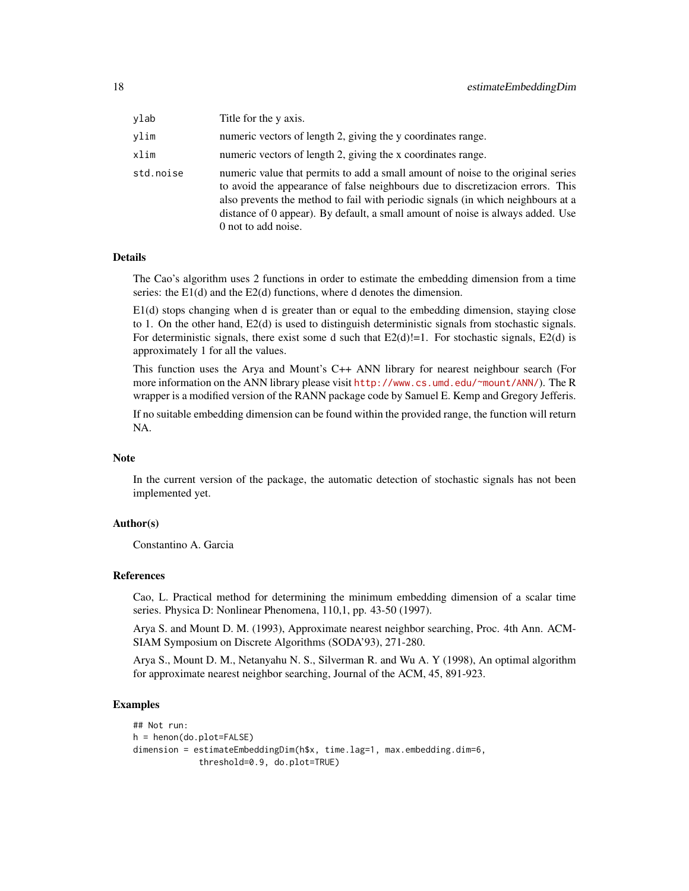| ylab      | Title for the y axis.                                                                                                                                                                                                                                                                                                                                            |
|-----------|------------------------------------------------------------------------------------------------------------------------------------------------------------------------------------------------------------------------------------------------------------------------------------------------------------------------------------------------------------------|
| vlim      | numeric vectors of length 2, giving the y coordinates range.                                                                                                                                                                                                                                                                                                     |
| xlim      | numeric vectors of length 2, giving the x coordinates range.                                                                                                                                                                                                                                                                                                     |
| std.noise | numeric value that permits to add a small amount of noise to the original series<br>to avoid the appearance of false neighbours due to discretizacion errors. This<br>also prevents the method to fail with periodic signals (in which neighbours at a<br>distance of 0 appear). By default, a small amount of noise is always added. Use<br>0 not to add noise. |

#### Details

The Cao's algorithm uses 2 functions in order to estimate the embedding dimension from a time series: the E1(d) and the E2(d) functions, where d denotes the dimension.

E1(d) stops changing when d is greater than or equal to the embedding dimension, staying close to 1. On the other hand, E2(d) is used to distinguish deterministic signals from stochastic signals. For deterministic signals, there exist some d such that  $E2(d)$ !=1. For stochastic signals,  $E2(d)$  is approximately 1 for all the values.

This function uses the Arya and Mount's C++ ANN library for nearest neighbour search (For more information on the ANN library please visit <http://www.cs.umd.edu/~mount/ANN/>). The R wrapper is a modified version of the RANN package code by Samuel E. Kemp and Gregory Jefferis.

If no suitable embedding dimension can be found within the provided range, the function will return NA.

# Note

In the current version of the package, the automatic detection of stochastic signals has not been implemented yet.

# Author(s)

Constantino A. Garcia

#### References

Cao, L. Practical method for determining the minimum embedding dimension of a scalar time series. Physica D: Nonlinear Phenomena, 110,1, pp. 43-50 (1997).

Arya S. and Mount D. M. (1993), Approximate nearest neighbor searching, Proc. 4th Ann. ACM-SIAM Symposium on Discrete Algorithms (SODA'93), 271-280.

Arya S., Mount D. M., Netanyahu N. S., Silverman R. and Wu A. Y (1998), An optimal algorithm for approximate nearest neighbor searching, Journal of the ACM, 45, 891-923.

#### Examples

```
## Not run:
h = henon(do.plot=FALSE)
dimension = estimateEmbeddingDim(h$x, time.lag=1, max.embedding.dim=6,
             threshold=0.9, do.plot=TRUE)
```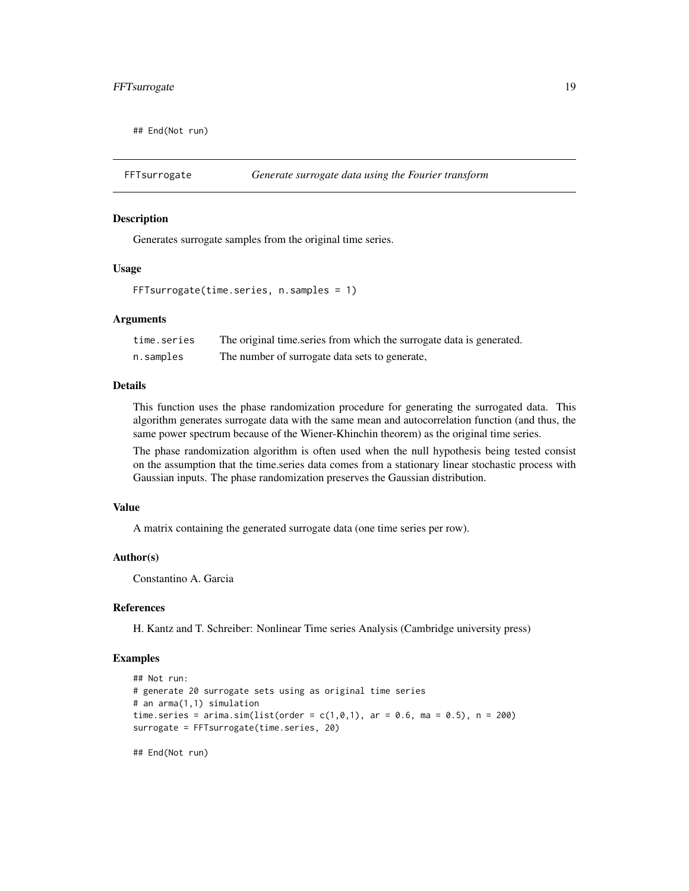<span id="page-18-0"></span>## End(Not run)

FFTsurrogate *Generate surrogate data using the Fourier transform*

#### Description

Generates surrogate samples from the original time series.

#### Usage

```
FFTsurrogate(time.series, n.samples = 1)
```
#### Arguments

| time.series | The original time series from which the surrogate data is generated. |
|-------------|----------------------------------------------------------------------|
| n.samples   | The number of surrogate data sets to generate,                       |

#### Details

This function uses the phase randomization procedure for generating the surrogated data. This algorithm generates surrogate data with the same mean and autocorrelation function (and thus, the same power spectrum because of the Wiener-Khinchin theorem) as the original time series.

The phase randomization algorithm is often used when the null hypothesis being tested consist on the assumption that the time.series data comes from a stationary linear stochastic process with Gaussian inputs. The phase randomization preserves the Gaussian distribution.

# Value

A matrix containing the generated surrogate data (one time series per row).

#### Author(s)

Constantino A. Garcia

#### References

H. Kantz and T. Schreiber: Nonlinear Time series Analysis (Cambridge university press)

#### Examples

```
## Not run:
# generate 20 surrogate sets using as original time series
# an arma(1,1) simulation
time.series = arima.sim(list(order = c(1, 0, 1), ar = 0.6, ma = 0.5), n = 200)
surrogate = FFTsurrogate(time.series, 20)
```
## End(Not run)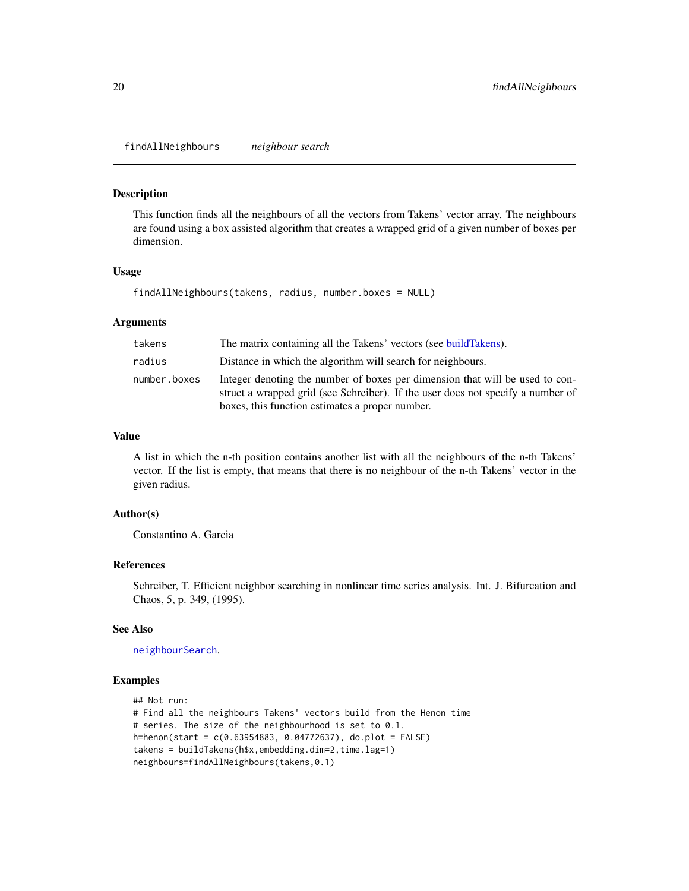<span id="page-19-0"></span>findAllNeighbours *neighbour search*

#### Description

This function finds all the neighbours of all the vectors from Takens' vector array. The neighbours are found using a box assisted algorithm that creates a wrapped grid of a given number of boxes per dimension.

# Usage

```
findAllNeighbours(takens, radius, number.boxes = NULL)
```
#### Arguments

| takens       | The matrix containing all the Takens' vectors (see buildTakens).                                                                                                                                                   |
|--------------|--------------------------------------------------------------------------------------------------------------------------------------------------------------------------------------------------------------------|
| radius       | Distance in which the algorithm will search for neighbours.                                                                                                                                                        |
| number.boxes | Integer denoting the number of boxes per dimension that will be used to con-<br>struct a wrapped grid (see Schreiber). If the user does not specify a number of<br>boxes, this function estimates a proper number. |

#### Value

A list in which the n-th position contains another list with all the neighbours of the n-th Takens' vector. If the list is empty, that means that there is no neighbour of the n-th Takens' vector in the given radius.

#### Author(s)

Constantino A. Garcia

# References

Schreiber, T. Efficient neighbor searching in nonlinear time series analysis. Int. J. Bifurcation and Chaos, 5, p. 349, (1995).

#### See Also

[neighbourSearch](#page-42-1).

#### Examples

```
## Not run:
# Find all the neighbours Takens' vectors build from the Henon time
# series. The size of the neighbourhood is set to 0.1.
h=henon(start = c(0.63954883, 0.04772637), do.plot = FALSE)
takens = buildTakens(h$x,embedding.dim=2,time.lag=1)
neighbours=findAllNeighbours(takens,0.1)
```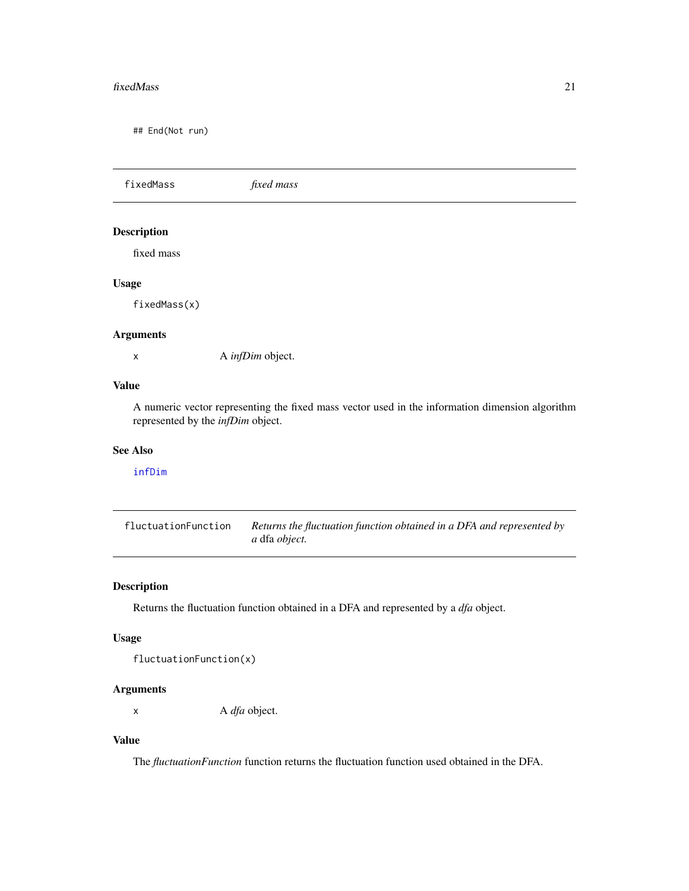#### <span id="page-20-0"></span>fixedMass 21

## End(Not run)

fixedMass *fixed mass* Description fixed mass Usage fixedMass(x) Arguments x A *infDim* object.

## Value

A numeric vector representing the fixed mass vector used in the information dimension algorithm represented by the *infDim* object.

# See Also

# [infDim](#page-26-1)

fluctuationFunction *Returns the fluctuation function obtained in a DFA and represented by a* dfa *object.*

# Description

Returns the fluctuation function obtained in a DFA and represented by a *dfa* object.

# Usage

```
fluctuationFunction(x)
```
# Arguments

x A *dfa* object.

# Value

The *fluctuationFunction* function returns the fluctuation function used obtained in the DFA.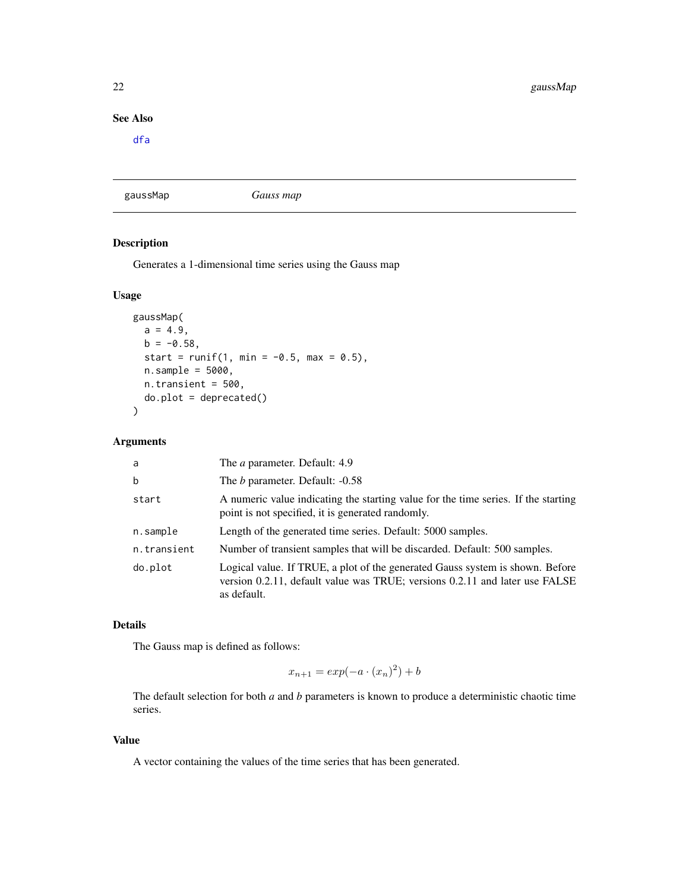# <span id="page-21-0"></span>See Also

[dfa](#page-10-1)

<span id="page-21-1"></span>gaussMap *Gauss map*

# Description

Generates a 1-dimensional time series using the Gauss map

# Usage

```
gaussMap(
  a = 4.9,
  b = -0.58,
  start = runif(1, min = -0.5, max = 0.5),
  n.\text{sample} = 5000,n.transient = 500,
  do.plot = deprecated()\mathcal{E}
```
## Arguments

| a           | The <i>a</i> parameter. Default: 4.9                                                                                                                                        |
|-------------|-----------------------------------------------------------------------------------------------------------------------------------------------------------------------------|
| $\mathbf b$ | The <i>b</i> parameter. Default: -0.58                                                                                                                                      |
| start       | A numeric value indicating the starting value for the time series. If the starting<br>point is not specified, it is generated randomly.                                     |
| n.sample    | Length of the generated time series. Default: 5000 samples.                                                                                                                 |
| n.transient | Number of transient samples that will be discarded. Default: 500 samples.                                                                                                   |
| do.plot     | Logical value. If TRUE, a plot of the generated Gauss system is shown. Before<br>version 0.2.11, default value was TRUE; versions 0.2.11 and later use FALSE<br>as default. |

# Details

The Gauss map is defined as follows:

$$
x_{n+1} = \exp(-a \cdot (x_n)^2) + b
$$

The default selection for both *a* and *b* parameters is known to produce a deterministic chaotic time series.

# Value

A vector containing the values of the time series that has been generated.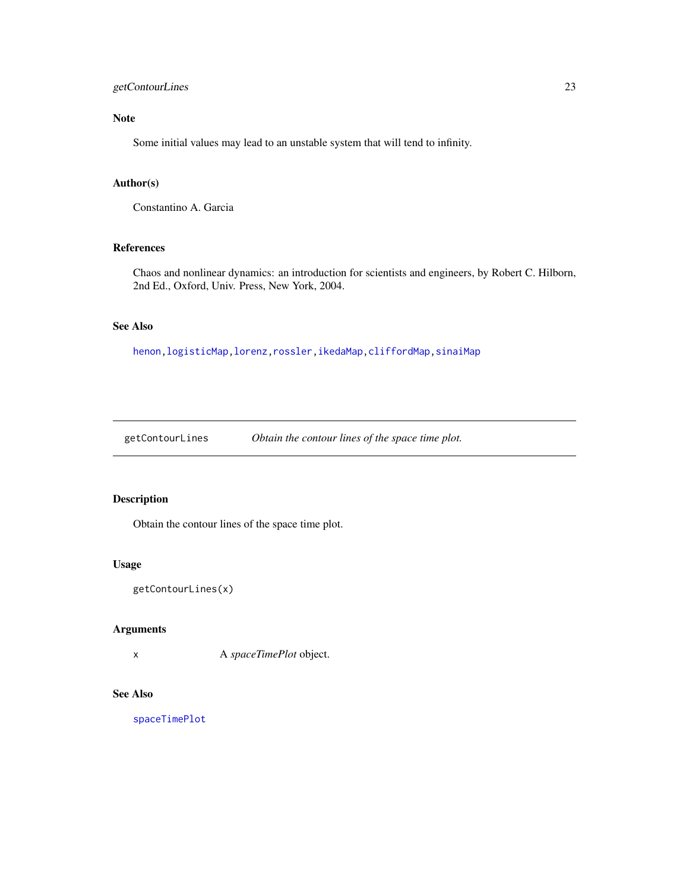# <span id="page-22-0"></span>getContourLines 23

# Note

Some initial values may lead to an unstable system that will tend to infinity.

# Author(s)

Constantino A. Garcia

# References

Chaos and nonlinear dynamics: an introduction for scientists and engineers, by Robert C. Hilborn, 2nd Ed., Oxford, Univ. Press, New York, 2004.

# See Also

[henon](#page-23-1)[,logisticMap](#page-32-1)[,lorenz,](#page-34-1)[rossler,](#page-51-1)[ikedaMap,](#page-24-1)[cliffordMap](#page-3-1)[,sinaiMap](#page-58-1)

getContourLines *Obtain the contour lines of the space time plot.*

# Description

Obtain the contour lines of the space time plot.

#### Usage

```
getContourLines(x)
```
#### Arguments

x A *spaceTimePlot* object.

# See Also

[spaceTimePlot](#page-60-1)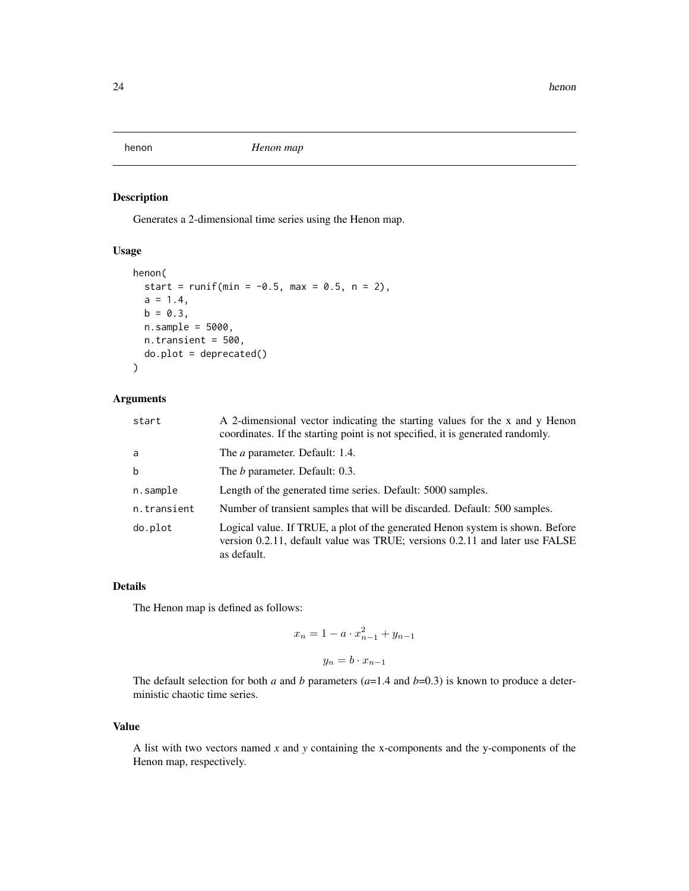<span id="page-23-1"></span><span id="page-23-0"></span>

# Description

Generates a 2-dimensional time series using the Henon map.

# Usage

```
henon(
  start = runif(min = -0.5, max = 0.5, n = 2),
  a = 1.4,b = 0.3,
  n.sample = 5000,
  n.transient = 500,
  do.plot = deprecated()\mathcal{L}
```
# Arguments

| start       | A 2-dimensional vector indicating the starting values for the x and y Henon<br>coordinates. If the starting point is not specified, it is generated randomly.               |
|-------------|-----------------------------------------------------------------------------------------------------------------------------------------------------------------------------|
| a           | The <i>a</i> parameter. Default: 1.4.                                                                                                                                       |
| $\mathbf b$ | The <i>b</i> parameter. Default: 0.3.                                                                                                                                       |
| n.sample    | Length of the generated time series. Default: 5000 samples.                                                                                                                 |
| n.transient | Number of transient samples that will be discarded. Default: 500 samples.                                                                                                   |
| do.plot     | Logical value. If TRUE, a plot of the generated Henon system is shown. Before<br>version 0.2.11, default value was TRUE; versions 0.2.11 and later use FALSE<br>as default. |

#### Details

The Henon map is defined as follows:

$$
x_n = 1 - a \cdot x_{n-1}^2 + y_{n-1}
$$

$$
y_n = b \cdot x_{n-1}
$$

The default selection for both *a* and *b* parameters  $(a=1.4$  and  $b=0.3)$  is known to produce a deterministic chaotic time series.

# Value

A list with two vectors named *x* and *y* containing the x-components and the y-components of the Henon map, respectively.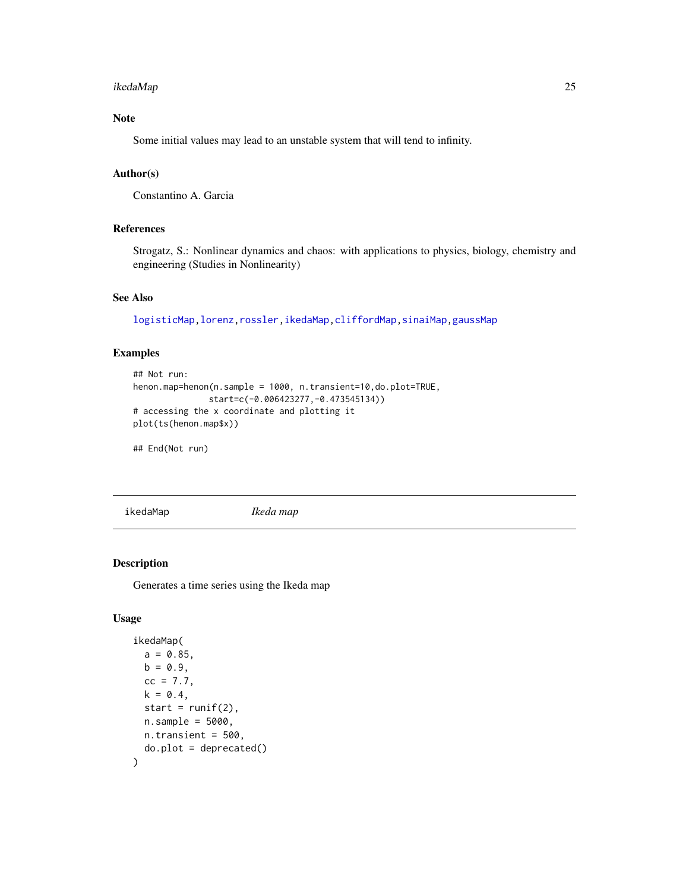#### <span id="page-24-0"></span>ikedaMap 25

# Note

Some initial values may lead to an unstable system that will tend to infinity.

# Author(s)

Constantino A. Garcia

# References

Strogatz, S.: Nonlinear dynamics and chaos: with applications to physics, biology, chemistry and engineering (Studies in Nonlinearity)

# See Also

[logisticMap](#page-32-1)[,lorenz](#page-34-1)[,rossler,](#page-51-1)[ikedaMap,](#page-24-1)[cliffordMap](#page-3-1)[,sinaiMap](#page-58-1)[,gaussMap](#page-21-1)

# Examples

```
## Not run:
henon.map=henon(n.sample = 1000, n.transient=10,do.plot=TRUE,
              start=c(-0.006423277,-0.473545134))
# accessing the x coordinate and plotting it
plot(ts(henon.map$x))
```
## End(Not run)

<span id="page-24-1"></span>ikedaMap *Ikeda map*

# Description

Generates a time series using the Ikeda map

# Usage

```
ikedaMap(
 a = 0.85,
 b = 0.9,
 cc = 7.7,
 k = 0.4,
 start = runif(2),
 n.sample = 5000,
 n.transient = 500,
 do.plot = deprecated()
)
```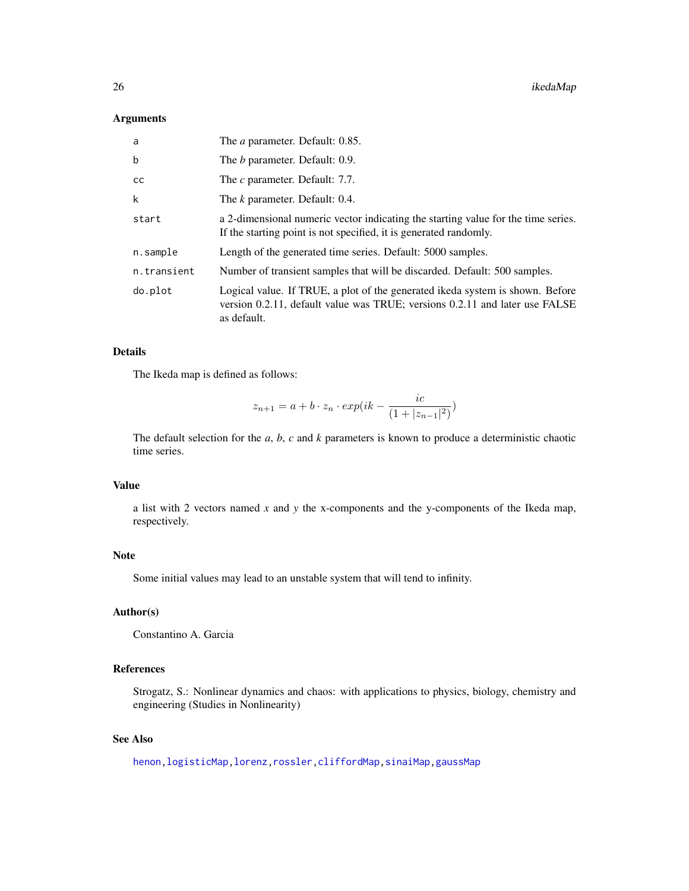# Arguments

| a           | The <i>a</i> parameter. Default: 0.85.                                                                                                                                      |
|-------------|-----------------------------------------------------------------------------------------------------------------------------------------------------------------------------|
| b           | The <i>b</i> parameter. Default: 0.9.                                                                                                                                       |
| cс          | The c parameter. Default: 7.7.                                                                                                                                              |
| k           | The <i>k</i> parameter. Default: 0.4.                                                                                                                                       |
| start       | a 2-dimensional numeric vector indicating the starting value for the time series.<br>If the starting point is not specified, it is generated randomly.                      |
| n.sample    | Length of the generated time series. Default: 5000 samples.                                                                                                                 |
| n.transient | Number of transient samples that will be discarded. Default: 500 samples.                                                                                                   |
| do.plot     | Logical value. If TRUE, a plot of the generated ikeda system is shown. Before<br>version 0.2.11, default value was TRUE; versions 0.2.11 and later use FALSE<br>as default. |

## Details

The Ikeda map is defined as follows:

$$
z_{n+1} = a + b \cdot z_n \cdot \exp(ik - \frac{ic}{(1+|z_{n-1}|^2)})
$$

The default selection for the *a*, *b*, *c* and *k* parameters is known to produce a deterministic chaotic time series.

# Value

a list with 2 vectors named *x* and *y* the x-components and the y-components of the Ikeda map, respectively.

# Note

Some initial values may lead to an unstable system that will tend to infinity.

# Author(s)

Constantino A. Garcia

# References

Strogatz, S.: Nonlinear dynamics and chaos: with applications to physics, biology, chemistry and engineering (Studies in Nonlinearity)

# See Also

[henon](#page-23-1)[,logisticMap](#page-32-1)[,lorenz,](#page-34-1)[rossler,](#page-51-1)[cliffordMap,](#page-3-1)[sinaiMap](#page-58-1)[,gaussMap](#page-21-1)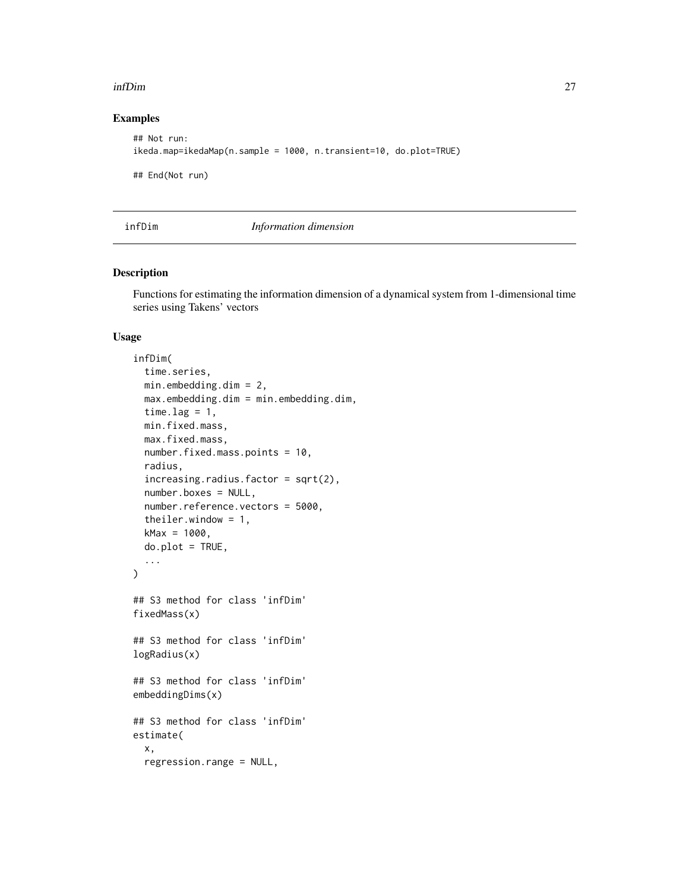# <span id="page-26-0"></span>Examples

```
## Not run:
ikeda.map=ikedaMap(n.sample = 1000, n.transient=10, do.plot=TRUE)
## End(Not run)
```
<span id="page-26-1"></span>infDim *Information dimension*

# Description

Functions for estimating the information dimension of a dynamical system from 1-dimensional time series using Takens' vectors

#### Usage

```
infDim(
  time.series,
 min.embedding.dim = 2,
 max.embedding.dim = min.embedding.dim,
  time.lag = 1,
 min.fixed.mass,
 max.fixed.mass,
 number.fixed.mass.points = 10,
 radius,
  increasing.radius.factor = sqrt(2),
  number.boxes = NULL,
  number.reference.vectors = 5000,
  theiler.window = 1,
 kMax = 1000,
 do.plot = TRUE,...
\mathcal{L}## S3 method for class 'infDim'
fixedMass(x)
## S3 method for class 'infDim'
logRadius(x)
## S3 method for class 'infDim'
embeddingDims(x)
## S3 method for class 'infDim'
estimate(
  x,
  regression.range = NULL,
```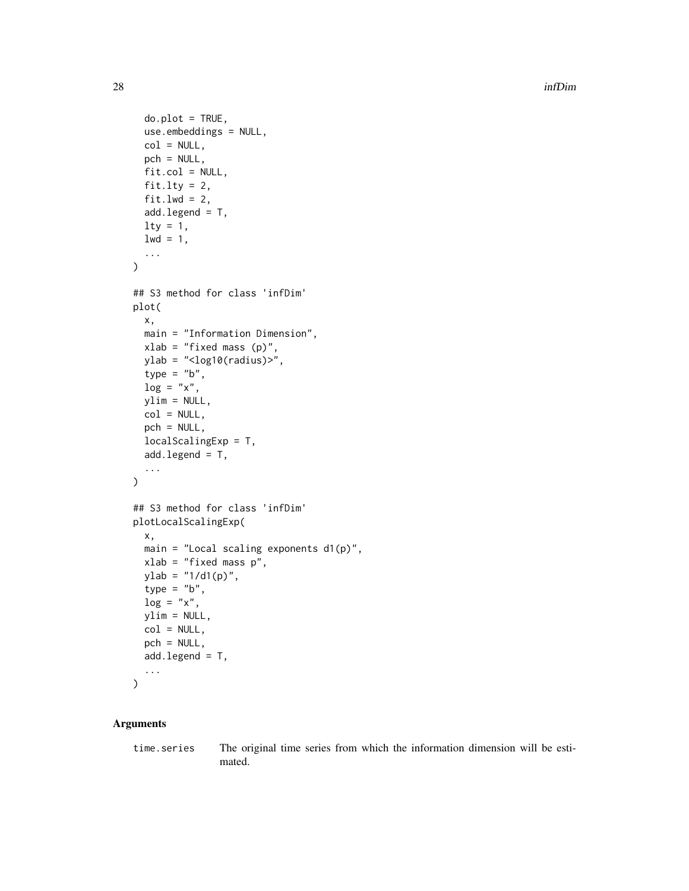```
do.plot = TRUE,use.embeddings = NULL,
  col = NULL,pch = NULL,
  fit,col = NULL,fit.lty = 2,
  fit.lwd = 2,
  add.legend = T,
  \frac{1}{1}1wd = 1,
  ...
)
## S3 method for class 'infDim'
plot(
  x,
 main = "Information Dimension",
  xlab = "fixed mass (p)",
 ylab = "<log10(radius)>",
  type = "b",
  log = "x",ylim = NULL,
  col = NULL,pch = NULL,
  localScalingExp = T,
  add.legend = T,
  ...
\mathcal{L}## S3 method for class 'infDim'
plotLocalScalingExp(
  x,
  main = "Local scaling exponents d1(p)",
 xlab = "fixed mass p",
 ylab = "1/d1(p)",
  type = "b",\log = "x",ylim = NULL,
  col = NULL,pch = NULL,
  add.length = T,
  ...
\mathcal{L}
```
# Arguments

time.series The original time series from which the information dimension will be estimated.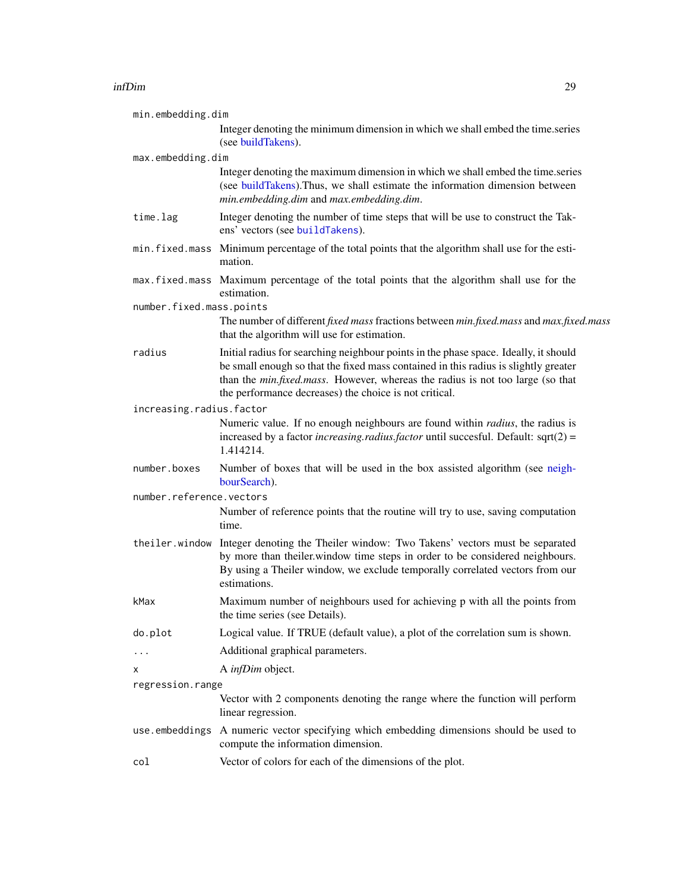| min.embedding.dim        |                                                                                                                                                                                                                                                                                                                         |
|--------------------------|-------------------------------------------------------------------------------------------------------------------------------------------------------------------------------------------------------------------------------------------------------------------------------------------------------------------------|
|                          | Integer denoting the minimum dimension in which we shall embed the time.series<br>(see buildTakens).                                                                                                                                                                                                                    |
| max.embedding.dim        |                                                                                                                                                                                                                                                                                                                         |
|                          | Integer denoting the maximum dimension in which we shall embed the time.series<br>(see buildTakens). Thus, we shall estimate the information dimension between<br>min.embedding.dim and max.embedding.dim.                                                                                                              |
| time.lag                 | Integer denoting the number of time steps that will be use to construct the Tak-<br>ens' vectors (see buildTakens).                                                                                                                                                                                                     |
|                          | min. fixed mass Minimum percentage of the total points that the algorithm shall use for the esti-<br>mation.                                                                                                                                                                                                            |
|                          | max. fixed. mass Maximum percentage of the total points that the algorithm shall use for the<br>estimation.                                                                                                                                                                                                             |
| number.fixed.mass.points |                                                                                                                                                                                                                                                                                                                         |
|                          | The number of different fixed mass fractions between min.fixed.mass and max.fixed.mass<br>that the algorithm will use for estimation.                                                                                                                                                                                   |
| radius                   | Initial radius for searching neighbour points in the phase space. Ideally, it should<br>be small enough so that the fixed mass contained in this radius is slightly greater<br>than the min.fixed.mass. However, whereas the radius is not too large (so that<br>the performance decreases) the choice is not critical. |
| increasing.radius.factor |                                                                                                                                                                                                                                                                                                                         |
|                          | Numeric value. If no enough neighbours are found within <i>radius</i> , the radius is<br>increased by a factor <i>increasing.radius.factor</i> until succesful. Default: $sqrt(2) =$<br>1.414214.                                                                                                                       |
| number.boxes             | Number of boxes that will be used in the box assisted algorithm (see neigh-<br>bourSearch).                                                                                                                                                                                                                             |
| number.reference.vectors |                                                                                                                                                                                                                                                                                                                         |
|                          | Number of reference points that the routine will try to use, saving computation<br>time.                                                                                                                                                                                                                                |
|                          | the iler. window Integer denoting the Theiler window: Two Takens' vectors must be separated<br>by more than theiler window time steps in order to be considered neighbours.<br>By using a Theiler window, we exclude temporally correlated vectors from our<br>estimations.                                             |
| kMax                     | Maximum number of neighbours used for achieving p with all the points from<br>the time series (see Details).                                                                                                                                                                                                            |
| do.plot                  | Logical value. If TRUE (default value), a plot of the correlation sum is shown.                                                                                                                                                                                                                                         |
|                          | Additional graphical parameters.                                                                                                                                                                                                                                                                                        |
| х                        | A infDim object.                                                                                                                                                                                                                                                                                                        |
| regression.range         |                                                                                                                                                                                                                                                                                                                         |
|                          | Vector with 2 components denoting the range where the function will perform<br>linear regression.                                                                                                                                                                                                                       |
| use.embeddings           | A numeric vector specifying which embedding dimensions should be used to<br>compute the information dimension.                                                                                                                                                                                                          |
| col                      | Vector of colors for each of the dimensions of the plot.                                                                                                                                                                                                                                                                |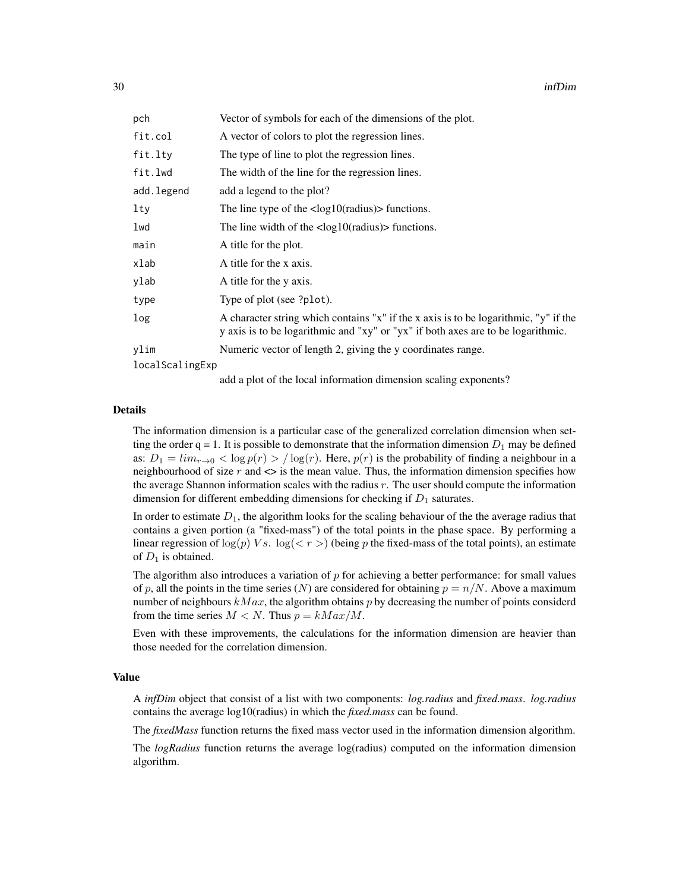| pch             | Vector of symbols for each of the dimensions of the plot.                                                                                                                |
|-----------------|--------------------------------------------------------------------------------------------------------------------------------------------------------------------------|
| fit.col         | A vector of colors to plot the regression lines.                                                                                                                         |
| fit.lty         | The type of line to plot the regression lines.                                                                                                                           |
| fit.lwd         | The width of the line for the regression lines.                                                                                                                          |
| add.legend      | add a legend to the plot?                                                                                                                                                |
| lty             | The line type of the $\langle \log 10 \rangle$ radius) functions.                                                                                                        |
| lwd             | The line width of the $\langle \log 10 \rangle$ (radius) in functions.                                                                                                   |
| main            | A title for the plot.                                                                                                                                                    |
| xlab            | A title for the x axis.                                                                                                                                                  |
| ylab            | A title for the y axis.                                                                                                                                                  |
| type            | Type of plot (see ?plot).                                                                                                                                                |
| log             | A character string which contains "x" if the x axis is to be logarithmic, "y" if the<br>y axis is to be logarithmic and "xy" or "yx" if both axes are to be logarithmic. |
| ylim            | Numeric vector of length 2, giving the y coordinates range.                                                                                                              |
| localScalingExp |                                                                                                                                                                          |

add a plot of the local information dimension scaling exponents?

#### Details

The information dimension is a particular case of the generalized correlation dimension when setting the order  $q = 1$ . It is possible to demonstrate that the information dimension  $D_1$  may be defined as:  $D_1 = \lim_{r \to 0} < \log p(r) > / \log(r)$ . Here,  $p(r)$  is the probability of finding a neighbour in a neighbourhood of size r and  $\leq$  is the mean value. Thus, the information dimension specifies how the average Shannon information scales with the radius r. The user should compute the information dimension for different embedding dimensions for checking if  $D_1$  saturates.

In order to estimate  $D_1$ , the algorithm looks for the scaling behaviour of the the average radius that contains a given portion (a "fixed-mass") of the total points in the phase space. By performing a linear regression of  $\log(p)$  Vs.  $\log(\langle r \rangle)$  (being p the fixed-mass of the total points), an estimate of  $D_1$  is obtained.

The algorithm also introduces a variation of  $p$  for achieving a better performance: for small values of p, all the points in the time series (N) are considered for obtaining  $p = n/N$ . Above a maximum number of neighbours  $kMax$ , the algorithm obtains p by decreasing the number of points considerd from the time series  $M < N$ . Thus  $p = kMax/M$ .

Even with these improvements, the calculations for the information dimension are heavier than those needed for the correlation dimension.

#### Value

A *infDim* object that consist of a list with two components: *log.radius* and *fixed.mass*. *log.radius* contains the average log10(radius) in which the *fixed.mass* can be found.

The *fixedMass* function returns the fixed mass vector used in the information dimension algorithm.

The *logRadius* function returns the average log(radius) computed on the information dimension algorithm.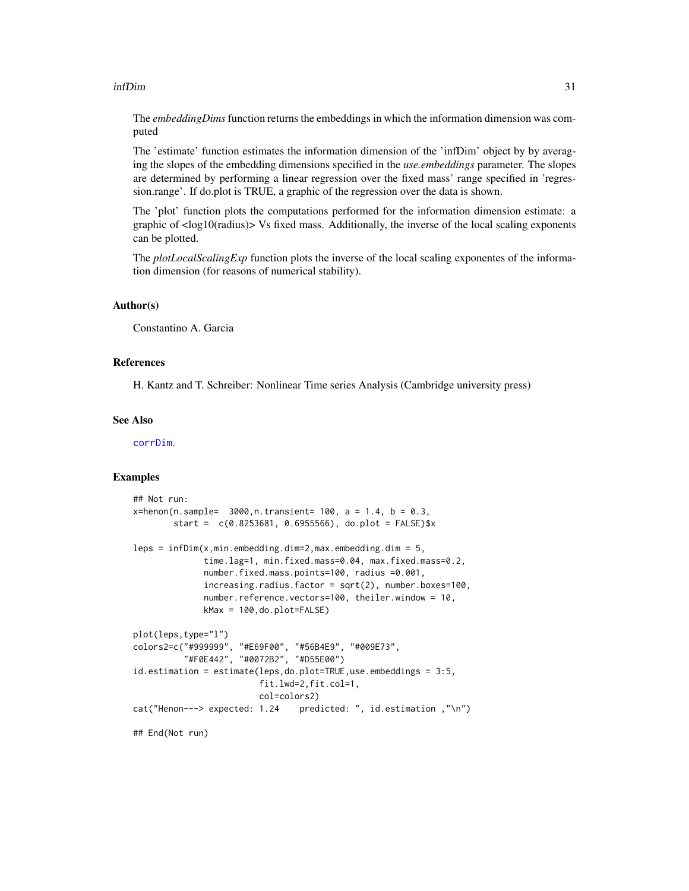The *embeddingDims* function returns the embeddings in which the information dimension was computed

The 'estimate' function estimates the information dimension of the 'infDim' object by by averaging the slopes of the embedding dimensions specified in the *use.embeddings* parameter. The slopes are determined by performing a linear regression over the fixed mass' range specified in 'regression.range'. If do.plot is TRUE, a graphic of the regression over the data is shown.

The 'plot' function plots the computations performed for the information dimension estimate: a graphic of  $\langle \log 10 \rangle$  (radius) $>$  Vs fixed mass. Additionally, the inverse of the local scaling exponents can be plotted.

The *plotLocalScalingExp* function plots the inverse of the local scaling exponentes of the information dimension (for reasons of numerical stability).

# Author(s)

Constantino A. Garcia

#### References

H. Kantz and T. Schreiber: Nonlinear Time series Analysis (Cambridge university press)

# See Also

[corrDim](#page-5-1).

#### Examples

```
## Not run:
x = henon(n.sample= 3000, n.transient= 100, a = 1.4, b = 0.3,
       start = c(0.8253681, 0.6955566), do.plot = FALSE)$x
leps = infDim(x,min.embedding.dim=2,max.embedding.dim = 5,
              time.lag=1, min.fixed.mass=0.04, max.fixed.mass=0.2,
              number.fixed.mass.points=100, radius =0.001,
              increasing.radius.factor = sqrt(2), number.boxes=100,
              number.reference.vectors=100, theiler.window = 10,
             kMax = 100,do.plot=FALSE)
plot(leps,type="l")
colors2=c("#999999", "#E69F00", "#56B4E9", "#009E73",
          "#F0E442", "#0072B2", "#D55E00")
id.estimation = estimate(leps,do.plot=TRUE,use.embeddings = 3:5,
                         fit.lwd=2,fit.col=1,
                         col=colors2)
cat("Henon---> expected: 1.24 predicted: ", id.estimation ,"\n")
## End(Not run)
```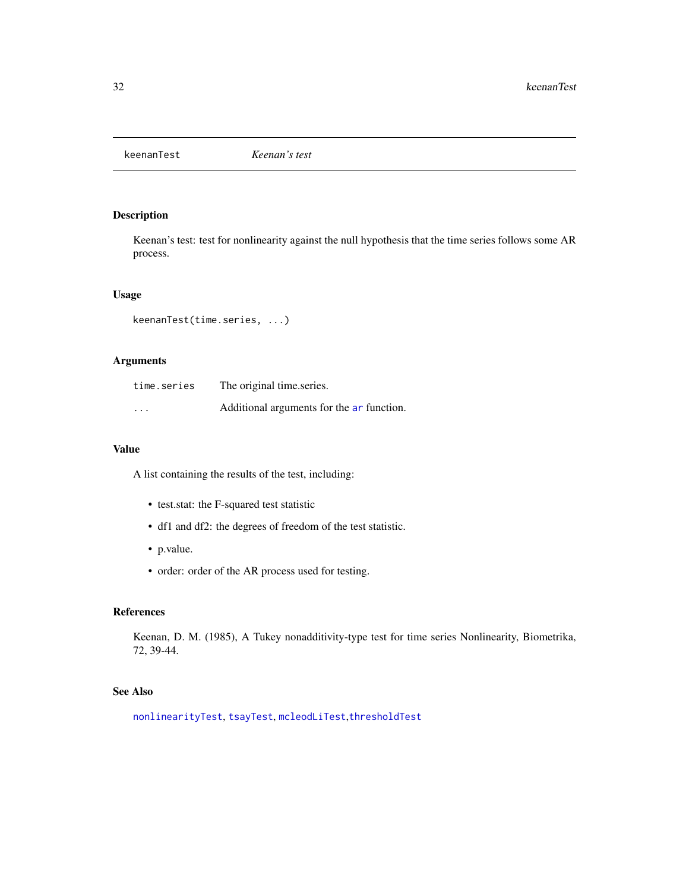<span id="page-31-0"></span>

# Description

Keenan's test: test for nonlinearity against the null hypothesis that the time series follows some AR process.

# Usage

keenanTest(time.series, ...)

# Arguments

| time.series | The original time series.                 |
|-------------|-------------------------------------------|
| $\cdots$    | Additional arguments for the ar function. |

# Value

A list containing the results of the test, including:

- test.stat: the F-squared test statistic
- df1 and df2: the degrees of freedom of the test statistic.
- p.value.
- order: order of the AR process used for testing.

# References

Keenan, D. M. (1985), A Tukey nonadditivity-type test for time series Nonlinearity, Biometrika, 72, 39-44.

#### See Also

[nonlinearityTest](#page-44-1), [tsayTest](#page-69-1), [mcleodLiTest](#page-39-1),[thresholdTest](#page-64-1)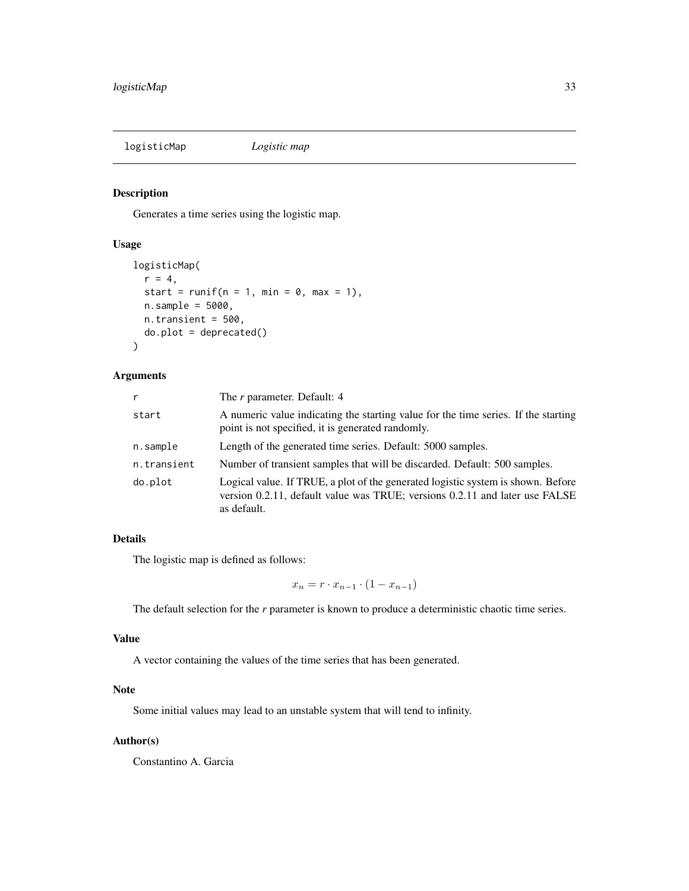<span id="page-32-1"></span><span id="page-32-0"></span>logisticMap *Logistic map*

# Description

Generates a time series using the logistic map.

# Usage

```
logisticMap(
  r = 4,
  start = runif(n = 1, min = 0, max = 1),
 n.sample = 5000,
 n.transient = 500,
  do.plot = deprecated()
)
```
#### Arguments

| r           | The r parameter. Default: 4                                                                                                                                                    |
|-------------|--------------------------------------------------------------------------------------------------------------------------------------------------------------------------------|
| start       | A numeric value indicating the starting value for the time series. If the starting<br>point is not specified, it is generated randomly.                                        |
| n.sample    | Length of the generated time series. Default: 5000 samples.                                                                                                                    |
| n.transient | Number of transient samples that will be discarded. Default: 500 samples.                                                                                                      |
| do.plot     | Logical value. If TRUE, a plot of the generated logistic system is shown. Before<br>version 0.2.11, default value was TRUE; versions 0.2.11 and later use FALSE<br>as default. |

# Details

The logistic map is defined as follows:

 $x_n = r \cdot x_{n-1} \cdot (1 - x_{n-1})$ 

The default selection for the *r* parameter is known to produce a deterministic chaotic time series.

# Value

A vector containing the values of the time series that has been generated.

# Note

Some initial values may lead to an unstable system that will tend to infinity.

# Author(s)

Constantino A. Garcia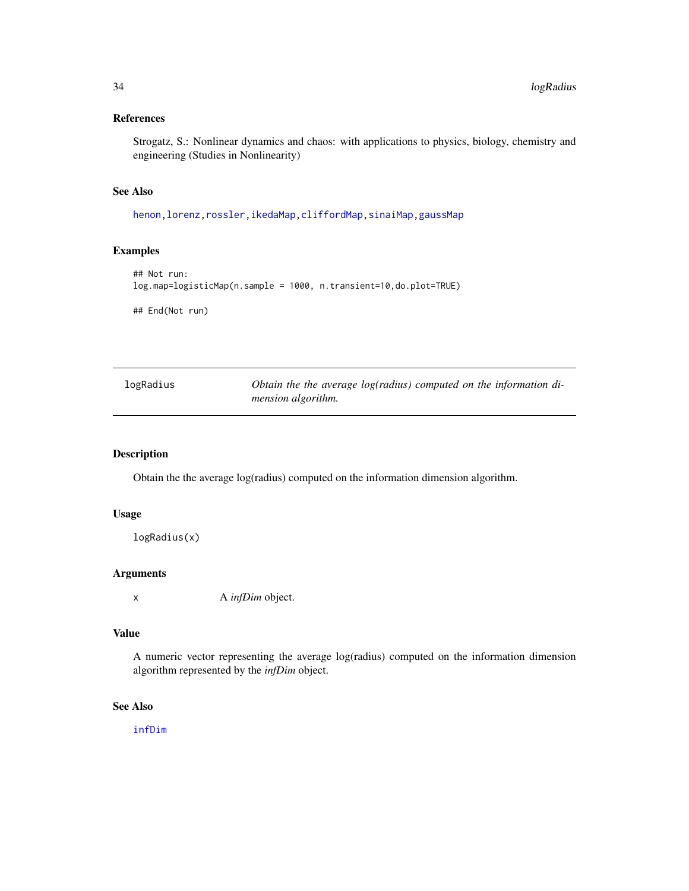# <span id="page-33-0"></span>References

Strogatz, S.: Nonlinear dynamics and chaos: with applications to physics, biology, chemistry and engineering (Studies in Nonlinearity)

# See Also

[henon](#page-23-1)[,lorenz](#page-34-1)[,rossler,](#page-51-1)[ikedaMap,](#page-24-1)[cliffordMap,](#page-3-1)[sinaiMap](#page-58-1)[,gaussMap](#page-21-1)

# Examples

```
## Not run:
log.map=logisticMap(n.sample = 1000, n.transient=10,do.plot=TRUE)
## End(Not run)
```

| logRadius | Obtain the the average log(radius) computed on the information di- |
|-----------|--------------------------------------------------------------------|
|           | <i>mension algorithm.</i>                                          |

# Description

Obtain the the average log(radius) computed on the information dimension algorithm.

# Usage

logRadius(x)

#### Arguments

x A *infDim* object.

#### Value

A numeric vector representing the average log(radius) computed on the information dimension algorithm represented by the *infDim* object.

# See Also

[infDim](#page-26-1)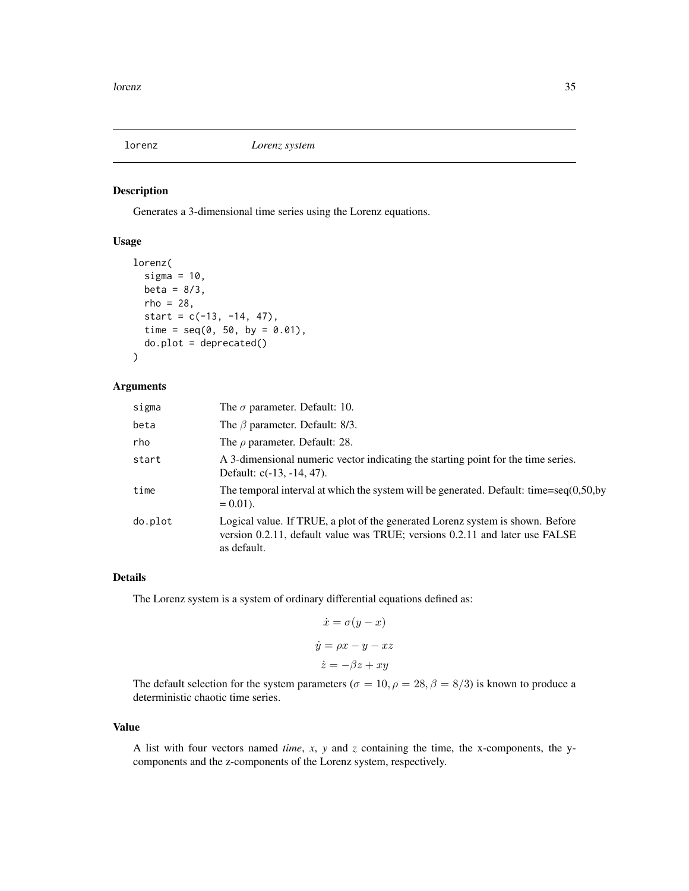<span id="page-34-1"></span><span id="page-34-0"></span>

# Description

Generates a 3-dimensional time series using the Lorenz equations.

# Usage

```
lorenz(
  sigma = 10,
 beta = 8/3,
  rho = 28,
  start = c(-13, -14, 47),
  time = seq(0, 50, by = 0.01),
  do.plot = deprecated())
```
#### Arguments

| sigma   | The $\sigma$ parameter. Default: 10.                                                                                                                                         |
|---------|------------------------------------------------------------------------------------------------------------------------------------------------------------------------------|
| beta    | The $\beta$ parameter. Default: 8/3.                                                                                                                                         |
| rho     | The $\rho$ parameter. Default: 28.                                                                                                                                           |
| start   | A 3-dimensional numeric vector indicating the starting point for the time series.<br>Default: c(-13, -14, 47).                                                               |
| time    | The temporal interval at which the system will be generated. Default: time=seq $(0,50,by)$<br>$= 0.01$ .                                                                     |
| do.plot | Logical value. If TRUE, a plot of the generated Lorenz system is shown. Before<br>version 0.2.11, default value was TRUE; versions 0.2.11 and later use FALSE<br>as default. |

# Details

The Lorenz system is a system of ordinary differential equations defined as:

$$
\dot{x} = \sigma(y - x)
$$

$$
\dot{y} = \rho x - y - xz
$$

$$
\dot{z} = -\beta z + xy
$$

The default selection for the system parameters ( $\sigma = 10, \rho = 28, \beta = 8/3$ ) is known to produce a deterministic chaotic time series.

#### Value

A list with four vectors named *time*, *x*, *y* and *z* containing the time, the x-components, the ycomponents and the z-components of the Lorenz system, respectively.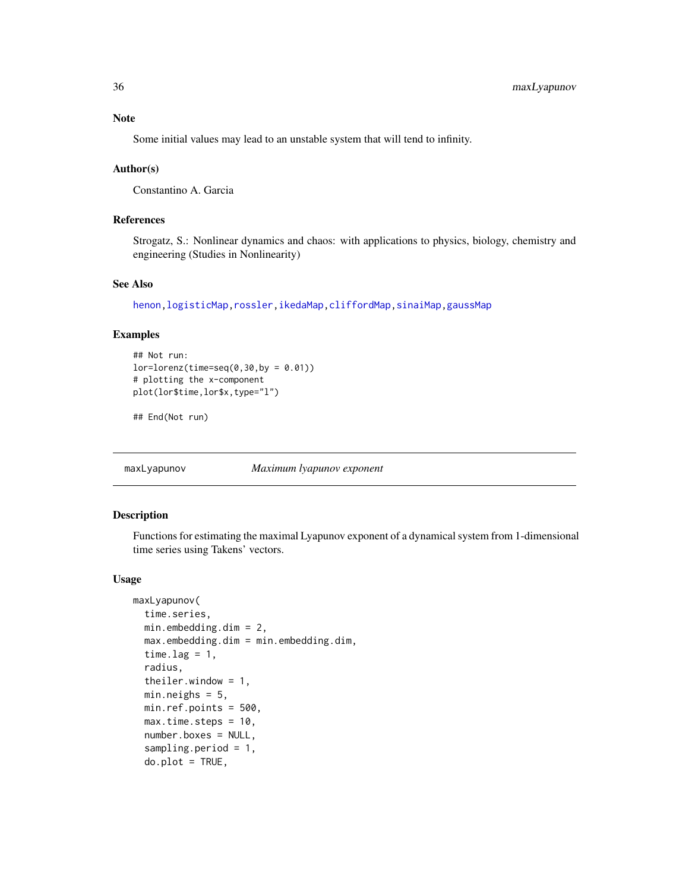# <span id="page-35-0"></span>Note

Some initial values may lead to an unstable system that will tend to infinity.

#### Author(s)

Constantino A. Garcia

# References

Strogatz, S.: Nonlinear dynamics and chaos: with applications to physics, biology, chemistry and engineering (Studies in Nonlinearity)

# See Also

[henon](#page-23-1)[,logisticMap](#page-32-1)[,rossler,](#page-51-1)[ikedaMap,](#page-24-1)[cliffordMap](#page-3-1)[,sinaiMap](#page-58-1)[,gaussMap](#page-21-1)

#### Examples

```
## Not run:
lor=lorenz(time=seq(0,30,by = 0.01))# plotting the x-component
plot(lor$time,lor$x,type="l")
```
## End(Not run)

<span id="page-35-1"></span>

maxLyapunov *Maximum lyapunov exponent*

# Description

Functions for estimating the maximal Lyapunov exponent of a dynamical system from 1-dimensional time series using Takens' vectors.

#### Usage

```
maxLyapunov(
  time.series,
 min.embedding.dim = 2,
  max.embedding.dim = min.embedding.dim,
  time.lag = 1,
  radius,
  theiler.window = 1,
  min.neighs = 5.
 min.ref.points = 500,
  max.time.steps = 10,
  number.boxes = NULL,
  sampling.period = 1,
  do.plot = TRUE,
```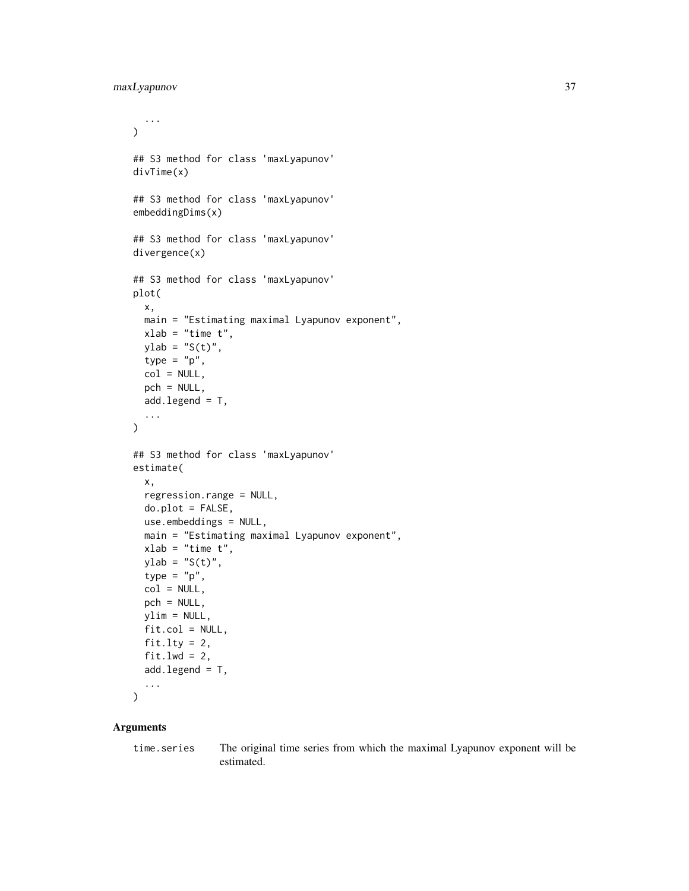```
...
\mathcal{L}## S3 method for class 'maxLyapunov'
divTime(x)
## S3 method for class 'maxLyapunov'
embeddingDims(x)
## S3 method for class 'maxLyapunov'
divergence(x)
## S3 method for class 'maxLyapunov'
plot(
  x,
 main = "Estimating maximal Lyapunov exponent",
 xlab = "time t",
 ylab = "S(t)",
  type = "p",col = NULL,pch = NULL,
  add.length = T,
  ...
)
## S3 method for class 'maxLyapunov'
estimate(
 x,
  regression.range = NULL,
 do.plot = FALSE,use.embeddings = NULL,
 main = "Estimating maximal Lyapunov exponent",
  xlab = "time t",
 ylab = "S(t)",
  type = "p",col = NULL,pch = NULL,
 ylim = NULL,
  fit,col = NULL,fit.lty = 2,
  fit.lwd = 2,
  add.length = T,
  ...
\mathcal{L}
```
#### Arguments

time.series The original time series from which the maximal Lyapunov exponent will be estimated.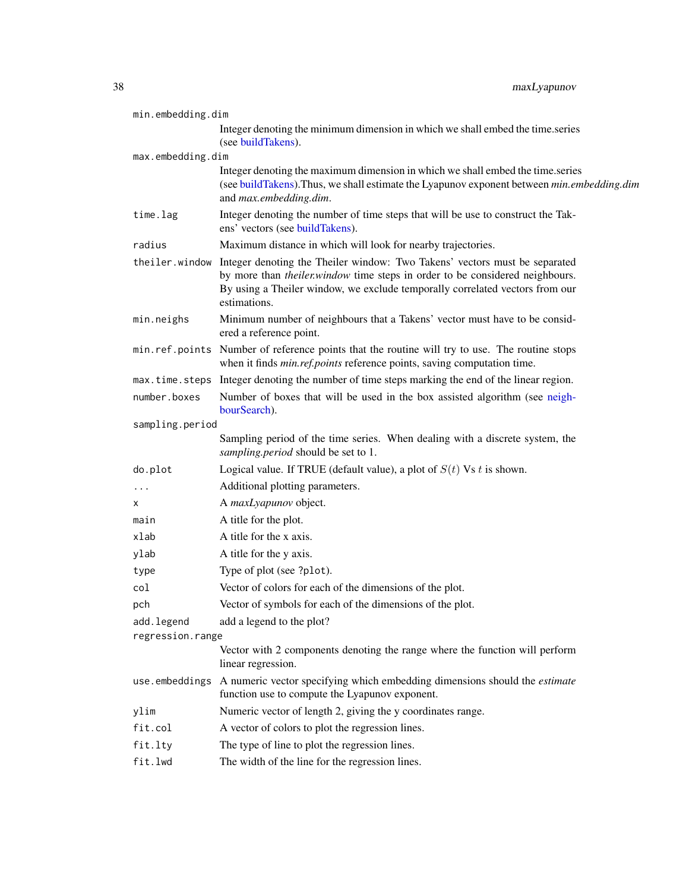<span id="page-37-0"></span>

| min.embedding.dim |                                                                                                                                                                                                                                                                                    |
|-------------------|------------------------------------------------------------------------------------------------------------------------------------------------------------------------------------------------------------------------------------------------------------------------------------|
|                   | Integer denoting the minimum dimension in which we shall embed the time.series<br>(see buildTakens).                                                                                                                                                                               |
| max.embedding.dim |                                                                                                                                                                                                                                                                                    |
|                   | Integer denoting the maximum dimension in which we shall embed the time.series<br>(see buildTakens). Thus, we shall estimate the Lyapunov exponent between min.embedding.dim<br>and max.embedding.dim.                                                                             |
| time.lag          | Integer denoting the number of time steps that will be use to construct the Tak-<br>ens' vectors (see buildTakens).                                                                                                                                                                |
| radius            | Maximum distance in which will look for nearby trajectories.                                                                                                                                                                                                                       |
|                   | the iler. window Integer denoting the Theiler window: Two Takens' vectors must be separated<br>by more than <i>theiler.window</i> time steps in order to be considered neighbours.<br>By using a Theiler window, we exclude temporally correlated vectors from our<br>estimations. |
| min.neighs        | Minimum number of neighbours that a Takens' vector must have to be consid-<br>ered a reference point.                                                                                                                                                                              |
|                   | min.ref.points Number of reference points that the routine will try to use. The routine stops<br>when it finds <i>min.ref.points</i> reference points, saving computation time.                                                                                                    |
| max.time.steps    | Integer denoting the number of time steps marking the end of the linear region.                                                                                                                                                                                                    |
| number.boxes      | Number of boxes that will be used in the box assisted algorithm (see neigh-<br>bourSearch).                                                                                                                                                                                        |
| sampling.period   |                                                                                                                                                                                                                                                                                    |
|                   | Sampling period of the time series. When dealing with a discrete system, the<br>sampling.period should be set to 1.                                                                                                                                                                |
| do.plot           | Logical value. If TRUE (default value), a plot of $S(t)$ Vs t is shown.                                                                                                                                                                                                            |
| .                 | Additional plotting parameters.                                                                                                                                                                                                                                                    |
| x                 | A maxLyapunov object.                                                                                                                                                                                                                                                              |
| main              | A title for the plot.                                                                                                                                                                                                                                                              |
| xlab              | A title for the x axis.                                                                                                                                                                                                                                                            |
| ylab              | A title for the y axis.                                                                                                                                                                                                                                                            |
| type              | Type of plot (see ?plot).                                                                                                                                                                                                                                                          |
| col               | Vector of colors for each of the dimensions of the plot.                                                                                                                                                                                                                           |
| pch               | Vector of symbols for each of the dimensions of the plot.                                                                                                                                                                                                                          |
| add.legend        | add a legend to the plot?                                                                                                                                                                                                                                                          |
| regression.range  |                                                                                                                                                                                                                                                                                    |
|                   | Vector with 2 components denoting the range where the function will perform<br>linear regression.                                                                                                                                                                                  |
| use.embeddings    | A numeric vector specifying which embedding dimensions should the <i>estimate</i><br>function use to compute the Lyapunov exponent.                                                                                                                                                |
| ylim              | Numeric vector of length 2, giving the y coordinates range.                                                                                                                                                                                                                        |
| fit.col           | A vector of colors to plot the regression lines.                                                                                                                                                                                                                                   |
| fit.lty           | The type of line to plot the regression lines.                                                                                                                                                                                                                                     |
| fit.lwd           | The width of the line for the regression lines.                                                                                                                                                                                                                                    |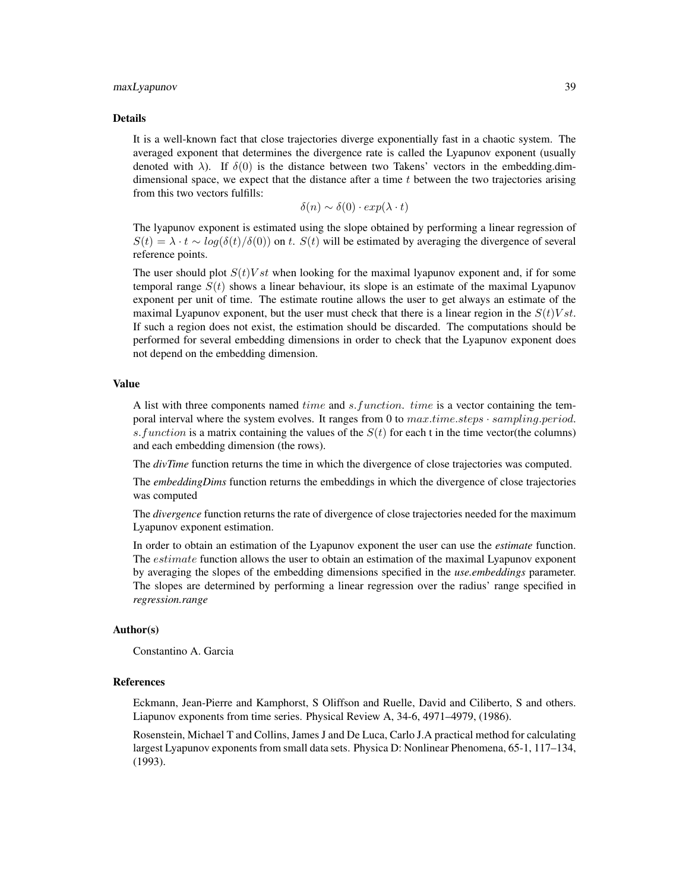#### maxLyapunov 39

#### Details

It is a well-known fact that close trajectories diverge exponentially fast in a chaotic system. The averaged exponent that determines the divergence rate is called the Lyapunov exponent (usually denoted with  $\lambda$ ). If  $\delta(0)$  is the distance between two Takens' vectors in the embedding.dimdimensional space, we expect that the distance after a time  $t$  between the two trajectories arising from this two vectors fulfills:

$$
\delta(n) \sim \delta(0) \cdot exp(\lambda \cdot t)
$$

The lyapunov exponent is estimated using the slope obtained by performing a linear regression of  $S(t) = \lambda \cdot t \sim \log(\delta(t)/\delta(0))$  on t.  $S(t)$  will be estimated by averaging the divergence of several reference points.

The user should plot  $S(t)Vst$  when looking for the maximal lyapunov exponent and, if for some temporal range  $S(t)$  shows a linear behaviour, its slope is an estimate of the maximal Lyapunov exponent per unit of time. The estimate routine allows the user to get always an estimate of the maximal Lyapunov exponent, but the user must check that there is a linear region in the  $S(t)Vst$ . If such a region does not exist, the estimation should be discarded. The computations should be performed for several embedding dimensions in order to check that the Lyapunov exponent does not depend on the embedding dimension.

# Value

A list with three components named *time* and *s.function. time* is a vector containing the temporal interval where the system evolves. It ranges from 0 to  $max.time steps \cdot sampling.period$ . s. function is a matrix containing the values of the  $S(t)$  for each t in the time vector(the columns) and each embedding dimension (the rows).

The *divTime* function returns the time in which the divergence of close trajectories was computed.

The *embeddingDims* function returns the embeddings in which the divergence of close trajectories was computed

The *divergence* function returns the rate of divergence of close trajectories needed for the maximum Lyapunov exponent estimation.

In order to obtain an estimation of the Lyapunov exponent the user can use the *estimate* function. The *estimate* function allows the user to obtain an estimation of the maximal Lyapunov exponent by averaging the slopes of the embedding dimensions specified in the *use.embeddings* parameter. The slopes are determined by performing a linear regression over the radius' range specified in *regression.range*

#### Author(s)

Constantino A. Garcia

#### **References**

Eckmann, Jean-Pierre and Kamphorst, S Oliffson and Ruelle, David and Ciliberto, S and others. Liapunov exponents from time series. Physical Review A, 34-6, 4971–4979, (1986).

Rosenstein, Michael T and Collins, James J and De Luca, Carlo J.A practical method for calculating largest Lyapunov exponents from small data sets. Physica D: Nonlinear Phenomena, 65-1, 117–134, (1993).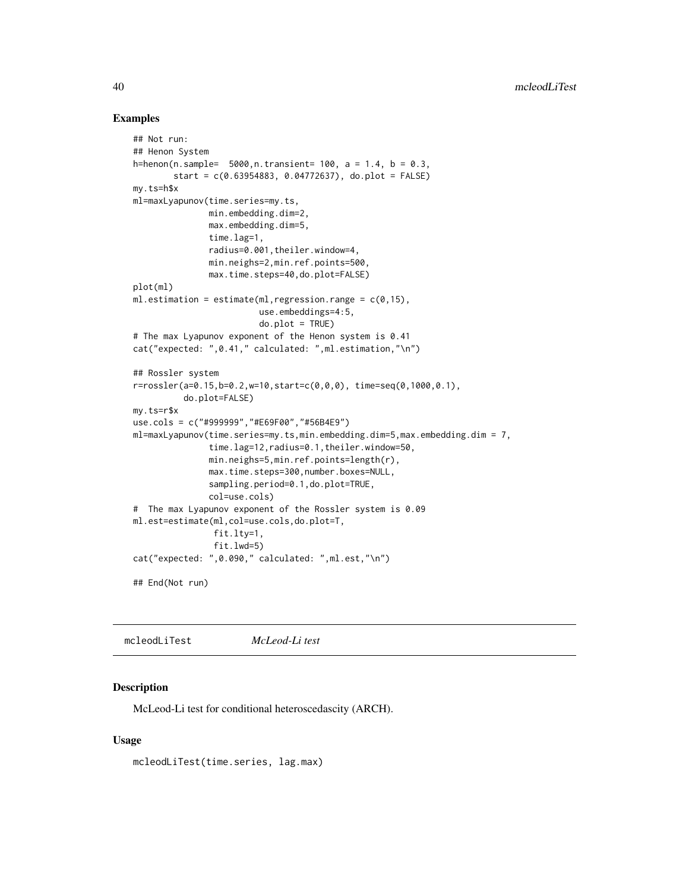#### Examples

```
## Not run:
## Henon System
h=henon(n.sample= 5000, n.transient= 100, a = 1.4, b = 0.3,
        start = c(0.63954883, 0.04772637), do.plot = FALSE)
my.ts=h$x
ml=maxLyapunov(time.series=my.ts,
               min.embedding.dim=2,
               max.embedding.dim=5,
               time.lag=1,
               radius=0.001,theiler.window=4,
               min.neighs=2,min.ref.points=500,
               max.time.steps=40,do.plot=FALSE)
plot(ml)
ml.estimation = estimate(ml, regression.range = c(0,15),
                         use.embeddings=4:5,
                         do.plot = TRUE)
# The max Lyapunov exponent of the Henon system is 0.41
cat("expected: ",0.41," calculated: ",ml.estimation,"\n")
## Rossler system
r=rossler(a=0.15,b=0.2,w=10,start=c(0,0,0), time=seq(0,1000,0.1),
          do.plot=FALSE)
my.ts=r$x
use.cols = c("#999999","#E69F00","#56B4E9")
ml=maxLyapunov(time.series=my.ts,min.embedding.dim=5,max.embedding.dim = 7,
               time.lag=12,radius=0.1,theiler.window=50,
               min.neighs=5,min.ref.points=length(r),
               max.time.steps=300,number.boxes=NULL,
               sampling.period=0.1,do.plot=TRUE,
               col=use.cols)
# The max Lyapunov exponent of the Rossler system is 0.09
ml.est=estimate(ml,col=use.cols,do.plot=T,
                fit.lty=1,
                fit.lwd=5)
cat("expected: ",0.090," calculated: ",ml.est,"\n")
## End(Not run)
```
<span id="page-39-0"></span>mcleodLiTest *McLeod-Li test*

#### **Description**

McLeod-Li test for conditional heteroscedascity (ARCH).

#### Usage

```
mcleodLiTest(time.series, lag.max)
```
<span id="page-39-1"></span>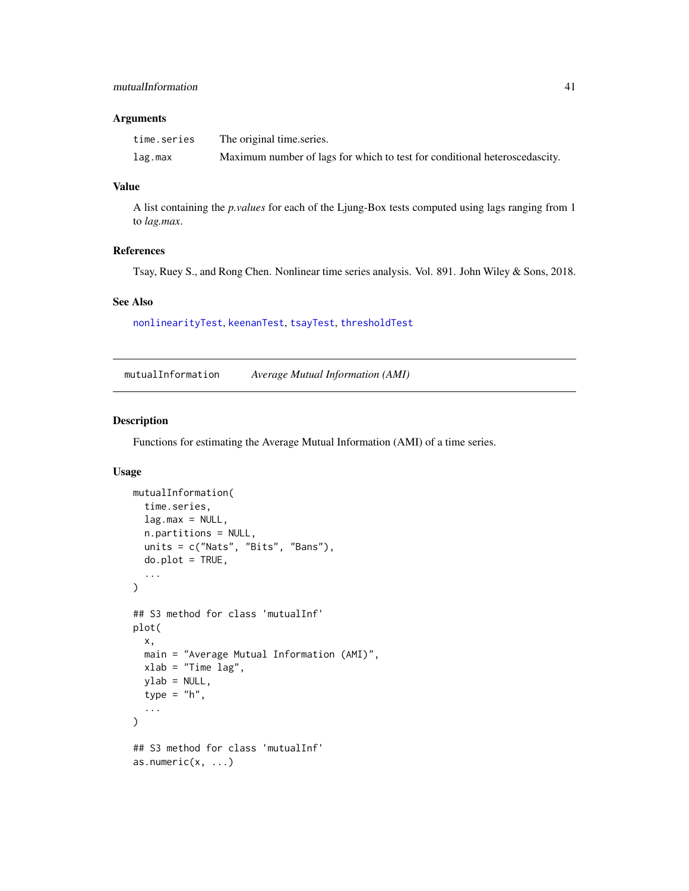# <span id="page-40-1"></span>mutualInformation 41

#### Arguments

| time.series | The original time series.                                                  |
|-------------|----------------------------------------------------------------------------|
| lag.max     | Maximum number of lags for which to test for conditional heteroscedascity. |

#### Value

A list containing the *p.values* for each of the Ljung-Box tests computed using lags ranging from 1 to *lag.max*.

# References

Tsay, Ruey S., and Rong Chen. Nonlinear time series analysis. Vol. 891. John Wiley & Sons, 2018.

#### See Also

[nonlinearityTest](#page-44-0), [keenanTest](#page-31-0), [tsayTest](#page-69-0), [thresholdTest](#page-64-0)

<span id="page-40-0"></span>mutualInformation *Average Mutual Information (AMI)*

# Description

Functions for estimating the Average Mutual Information (AMI) of a time series.

#### Usage

```
mutualInformation(
  time.series,
  lag.max = NULL,n.partitions = NULL,
  units = c("Nats", "Bits", "Bans"),
  do.plot = TRUE,...
\mathcal{L}## S3 method for class 'mutualInf'
plot(
  x,
  main = "Average Mutual Information (AMI)",
  xlab = "Time lag",
  ylab = NULL,
  type = "h",
  ...
\lambda## S3 method for class 'mutualInf'
as.numeric(x, \ldots)
```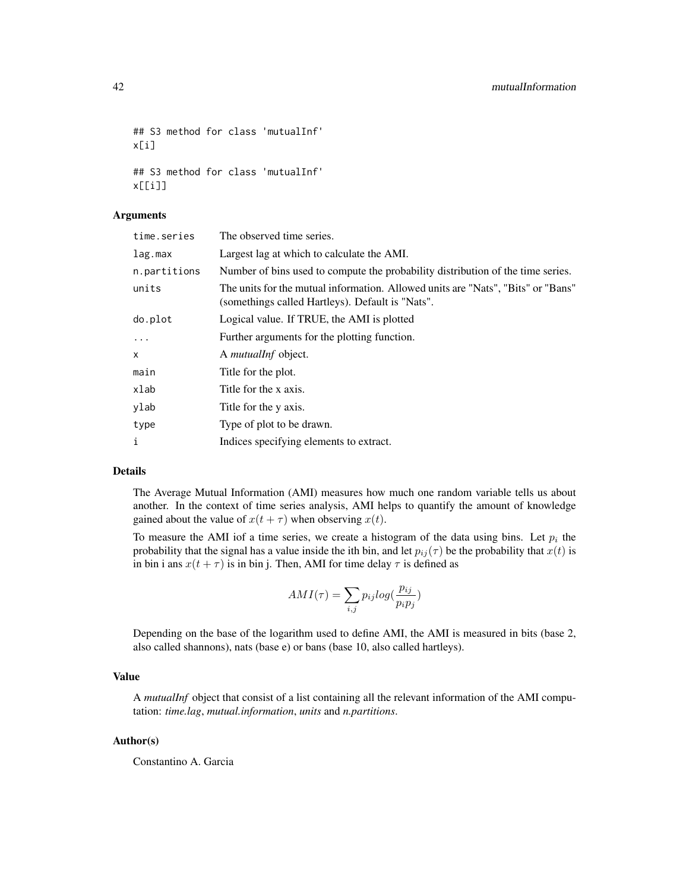## S3 method for class 'mutualInf' x[i] ## S3 method for class 'mutualInf'

Arguments

x[[i]]

| The observed time series.                                                                                                            |  |
|--------------------------------------------------------------------------------------------------------------------------------------|--|
| Largest lag at which to calculate the AMI.                                                                                           |  |
| Number of bins used to compute the probability distribution of the time series.                                                      |  |
| The units for the mutual information. Allowed units are "Nats", "Bits" or "Bans"<br>(somethings called Hartleys). Default is "Nats". |  |
| Logical value. If TRUE, the AMI is plotted                                                                                           |  |
| Further arguments for the plotting function.                                                                                         |  |
| A mutualInf object.                                                                                                                  |  |
| Title for the plot.                                                                                                                  |  |
| Title for the x axis.                                                                                                                |  |
| Title for the y axis.                                                                                                                |  |
| Type of plot to be drawn.                                                                                                            |  |
| Indices specifying elements to extract.                                                                                              |  |
|                                                                                                                                      |  |

# Details

The Average Mutual Information (AMI) measures how much one random variable tells us about another. In the context of time series analysis, AMI helps to quantify the amount of knowledge gained about the value of  $x(t + \tau)$  when observing  $x(t)$ .

To measure the AMI iof a time series, we create a histogram of the data using bins. Let  $p_i$  the probability that the signal has a value inside the ith bin, and let  $p_{ij}(\tau)$  be the probability that  $x(t)$  is in bin i ans  $x(t + \tau)$  is in bin j. Then, AMI for time delay  $\tau$  is defined as

$$
AMI(\tau) = \sum_{i,j} p_{ij} log(\frac{p_{ij}}{p_i p_j})
$$

Depending on the base of the logarithm used to define AMI, the AMI is measured in bits (base 2, also called shannons), nats (base e) or bans (base 10, also called hartleys).

#### Value

A *mutualInf* object that consist of a list containing all the relevant information of the AMI computation: *time.lag*, *mutual.information*, *units* and *n.partitions*.

# Author(s)

Constantino A. Garcia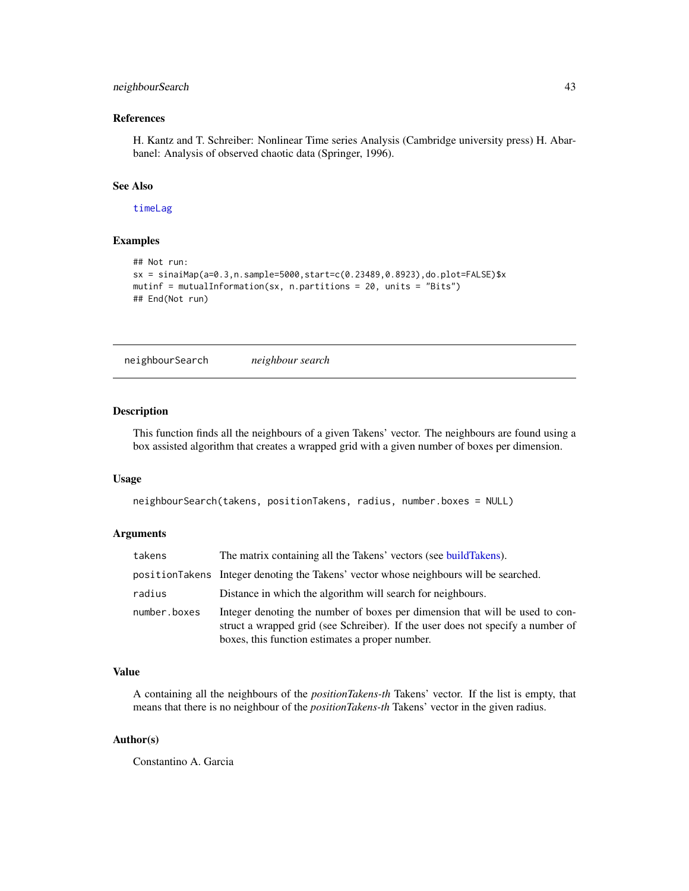# <span id="page-42-1"></span>neighbourSearch 43

# References

H. Kantz and T. Schreiber: Nonlinear Time series Analysis (Cambridge university press) H. Abarbanel: Analysis of observed chaotic data (Springer, 1996).

# See Also

[timeLag](#page-67-0)

# Examples

```
## Not run:
sx = sinaiMap(a=0.3,n.sample=5000,start=c(0.23489,0.8923),do.plot=FALSE)$x
mutinf = mutualInformation(sx, n.partitions = 20, units = "Bits")
## End(Not run)
```
<span id="page-42-0"></span>neighbourSearch *neighbour search*

# Description

This function finds all the neighbours of a given Takens' vector. The neighbours are found using a box assisted algorithm that creates a wrapped grid with a given number of boxes per dimension.

#### Usage

```
neighbourSearch(takens, positionTakens, radius, number.boxes = NULL)
```
#### Arguments

| takens       | The matrix containing all the Takens' vectors (see build Takens).                                                                                                                                                  |
|--------------|--------------------------------------------------------------------------------------------------------------------------------------------------------------------------------------------------------------------|
|              | positionTakens Integer denoting the Takens' vector whose neighbours will be searched.                                                                                                                              |
| radius       | Distance in which the algorithm will search for neighbours.                                                                                                                                                        |
| number.boxes | Integer denoting the number of boxes per dimension that will be used to con-<br>struct a wrapped grid (see Schreiber). If the user does not specify a number of<br>boxes, this function estimates a proper number. |

# Value

A containing all the neighbours of the *positionTakens-th* Takens' vector. If the list is empty, that means that there is no neighbour of the *positionTakens-th* Takens' vector in the given radius.

#### Author(s)

Constantino A. Garcia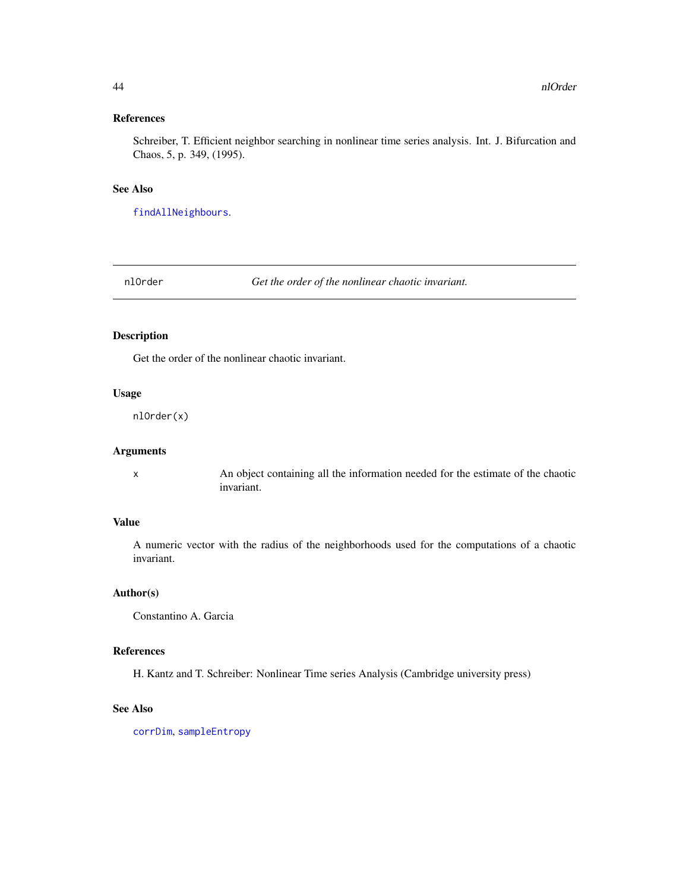# <span id="page-43-0"></span>References

Schreiber, T. Efficient neighbor searching in nonlinear time series analysis. Int. J. Bifurcation and Chaos, 5, p. 349, (1995).

#### See Also

[findAllNeighbours](#page-19-0).

nlOrder *Get the order of the nonlinear chaotic invariant.*

# Description

Get the order of the nonlinear chaotic invariant.

# Usage

nlOrder(x)

# Arguments

x An object containing all the information needed for the estimate of the chaotic invariant.

#### Value

A numeric vector with the radius of the neighborhoods used for the computations of a chaotic invariant.

# Author(s)

Constantino A. Garcia

#### References

H. Kantz and T. Schreiber: Nonlinear Time series Analysis (Cambridge university press)

#### See Also

[corrDim](#page-5-0), [sampleEntropy](#page-55-0)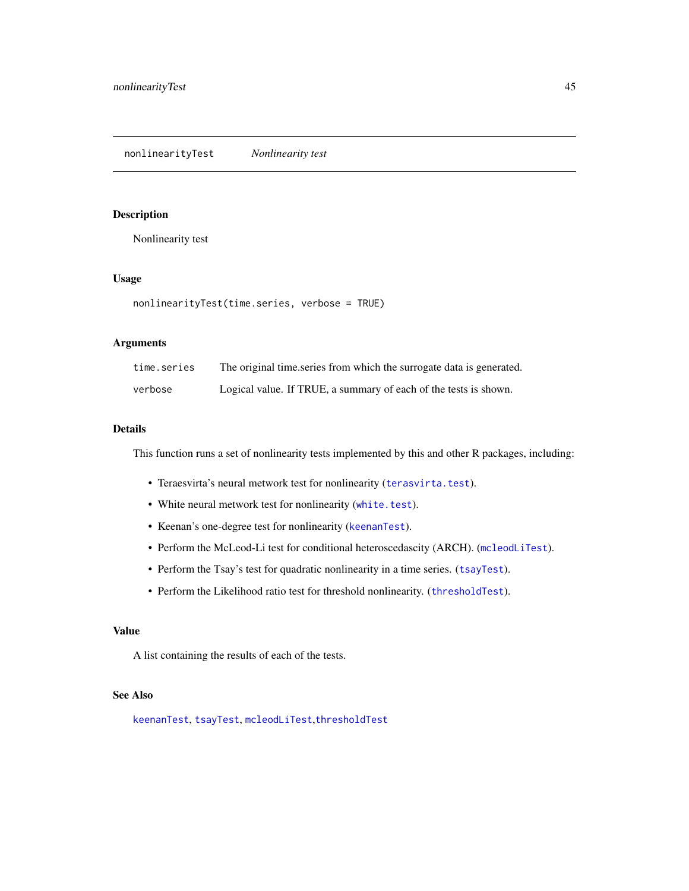# <span id="page-44-1"></span><span id="page-44-0"></span>Description

Nonlinearity test

# Usage

```
nonlinearityTest(time.series, verbose = TRUE)
```
# Arguments

| time.series | The original time series from which the surrogate data is generated. |
|-------------|----------------------------------------------------------------------|
| verbose     | Logical value. If TRUE, a summary of each of the tests is shown.     |

#### Details

This function runs a set of nonlinearity tests implemented by this and other R packages, including:

- Teraesvirta's neural metwork test for nonlinearity ([terasvirta.test](#page-0-0)).
- White neural metwork test for nonlinearity ([white.test](#page-0-0)).
- Keenan's one-degree test for nonlinearity ([keenanTest](#page-31-0)).
- Perform the McLeod-Li test for conditional heteroscedascity (ARCH). ([mcleodLiTest](#page-39-0)).
- Perform the Tsay's test for quadratic nonlinearity in a time series. ([tsayTest](#page-69-0)).
- Perform the Likelihood ratio test for threshold nonlinearity. ([thresholdTest](#page-64-0)).

# Value

A list containing the results of each of the tests.

# See Also

[keenanTest](#page-31-0), [tsayTest](#page-69-0), [mcleodLiTest](#page-39-0),[thresholdTest](#page-64-0)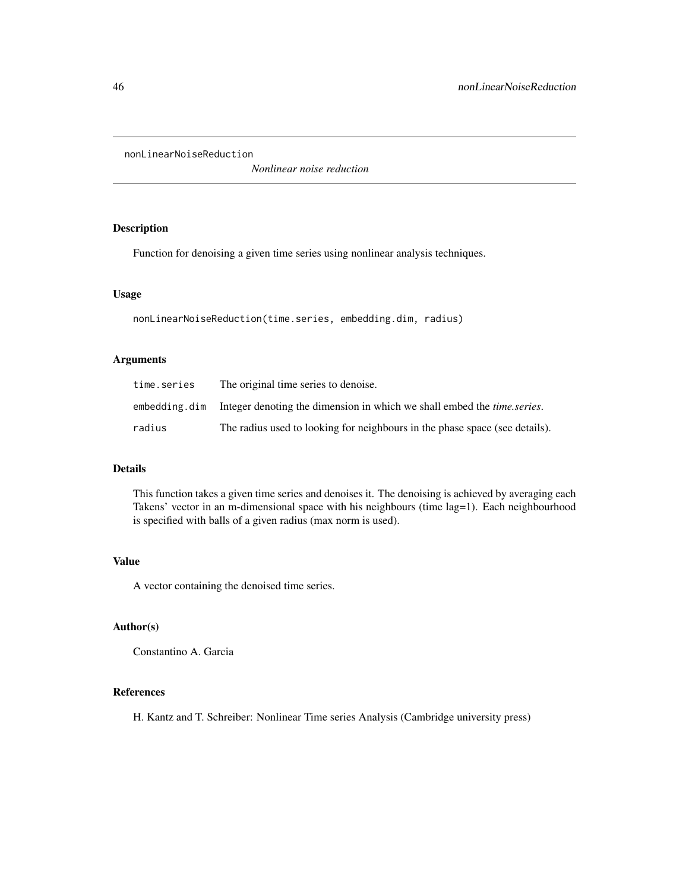<span id="page-45-0"></span>nonLinearNoiseReduction

*Nonlinear noise reduction*

# Description

Function for denoising a given time series using nonlinear analysis techniques.

#### Usage

```
nonLinearNoiseReduction(time.series, embedding.dim, radius)
```
#### Arguments

| time.series   | The original time series to denoise.                                           |
|---------------|--------------------------------------------------------------------------------|
| embedding.dim | Integer denoting the dimension in which we shall embed the <i>time.series.</i> |
| radius        | The radius used to looking for neighbours in the phase space (see details).    |

#### Details

This function takes a given time series and denoises it. The denoising is achieved by averaging each Takens' vector in an m-dimensional space with his neighbours (time lag=1). Each neighbourhood is specified with balls of a given radius (max norm is used).

# Value

A vector containing the denoised time series.

# Author(s)

Constantino A. Garcia

# References

H. Kantz and T. Schreiber: Nonlinear Time series Analysis (Cambridge university press)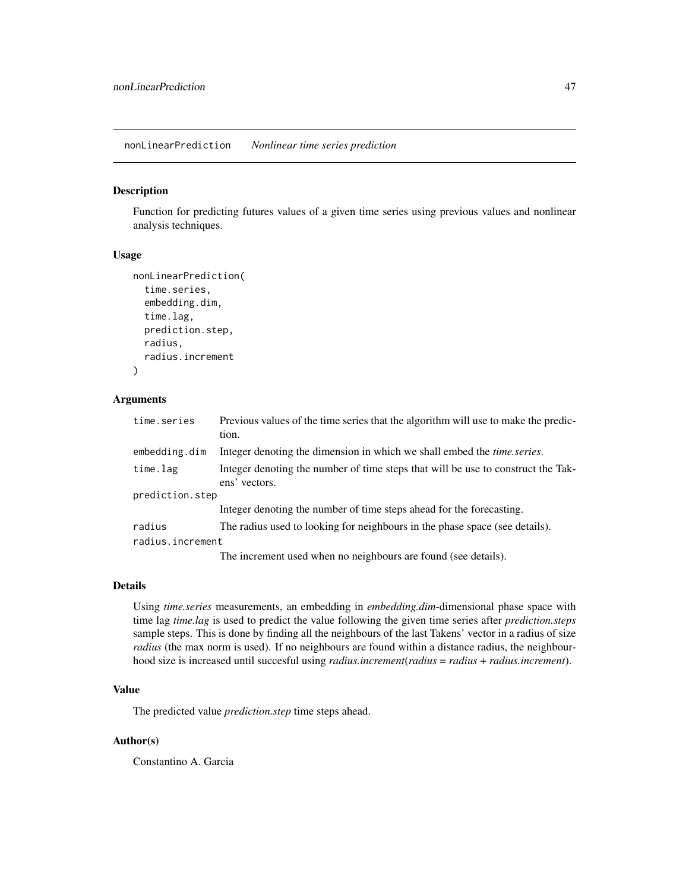<span id="page-46-0"></span>nonLinearPrediction *Nonlinear time series prediction*

# Description

Function for predicting futures values of a given time series using previous values and nonlinear analysis techniques.

#### Usage

```
nonLinearPrediction(
  time.series,
  embedding.dim,
  time.lag,
  prediction.step,
  radius,
  radius.increment
)
```
#### Arguments

| time.series      | Previous values of the time series that the algorithm will use to make the predic-<br>tion.       |
|------------------|---------------------------------------------------------------------------------------------------|
| embedding.dim    | Integer denoting the dimension in which we shall embed the <i>time.series</i> .                   |
| time.lag         | Integer denoting the number of time steps that will be use to construct the Tak-<br>ens' vectors. |
| prediction.step  |                                                                                                   |
|                  | Integer denoting the number of time steps ahead for the forecasting.                              |
| radius           | The radius used to looking for neighbours in the phase space (see details).                       |
| radius.increment |                                                                                                   |
|                  | The increment used when no neighbours are found (see details).                                    |

#### Details

Using *time.series* measurements, an embedding in *embedding.dim*-dimensional phase space with time lag *time.lag* is used to predict the value following the given time series after *prediction.steps* sample steps. This is done by finding all the neighbours of the last Takens' vector in a radius of size *radius* (the max norm is used). If no neighbours are found within a distance radius, the neighbourhood size is increased until succesful using *radius.increment*(*radius* = *radius* + *radius.increment*).

# Value

The predicted value *prediction.step* time steps ahead.

#### Author(s)

Constantino A. Garcia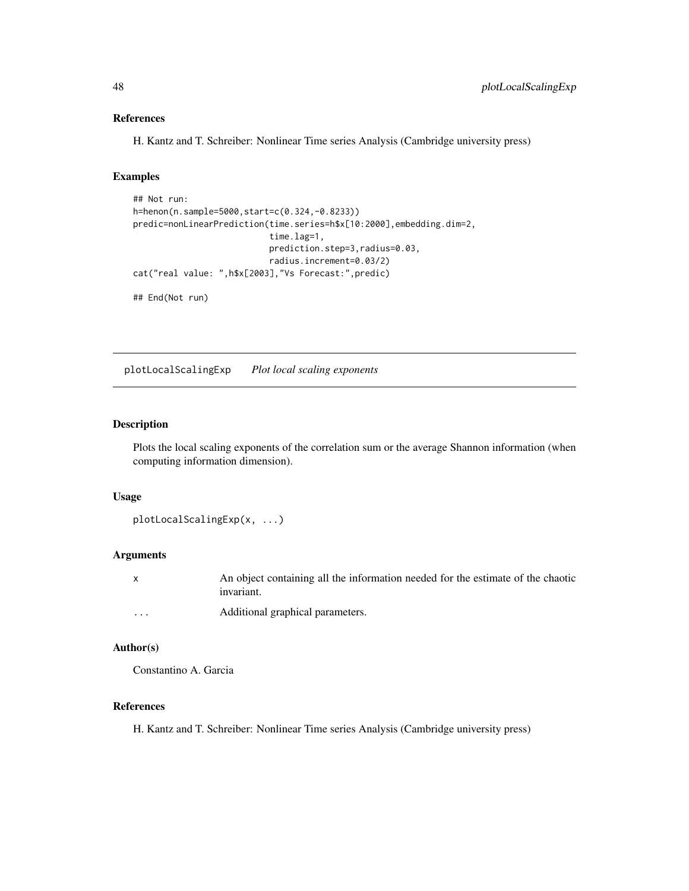# References

H. Kantz and T. Schreiber: Nonlinear Time series Analysis (Cambridge university press)

#### Examples

```
## Not run:
h=henon(n.sample=5000,start=c(0.324,-0.8233))
predic=nonLinearPrediction(time.series=h$x[10:2000],embedding.dim=2,
                           time.lag=1,
                           prediction.step=3,radius=0.03,
                           radius.increment=0.03/2)
cat("real value: ",h$x[2003],"Vs Forecast:",predic)
```
## End(Not run)

plotLocalScalingExp *Plot local scaling exponents*

#### Description

Plots the local scaling exponents of the correlation sum or the average Shannon information (when computing information dimension).

# Usage

```
plotLocalScalingExp(x, ...)
```
#### Arguments

|   | An object containing all the information needed for the estimate of the chaotic |
|---|---------------------------------------------------------------------------------|
|   | invariant.                                                                      |
| . | Additional graphical parameters.                                                |

#### Author(s)

Constantino A. Garcia

# References

H. Kantz and T. Schreiber: Nonlinear Time series Analysis (Cambridge university press)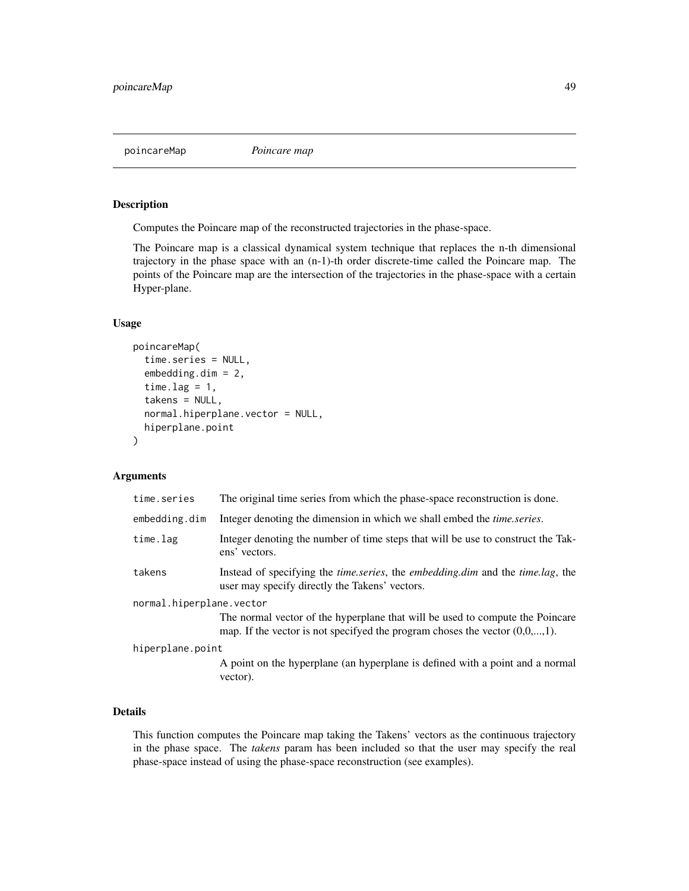poincareMap *Poincare map*

# Description

Computes the Poincare map of the reconstructed trajectories in the phase-space.

The Poincare map is a classical dynamical system technique that replaces the n-th dimensional trajectory in the phase space with an (n-1)-th order discrete-time called the Poincare map. The points of the Poincare map are the intersection of the trajectories in the phase-space with a certain Hyper-plane.

#### Usage

```
poincareMap(
  time.series = NULL,
  embedding.dim = 2,
  time.lag = 1,
  takens = NULL,
  normal.hiperplane.vector = NULL,
  hiperplane.point
)
```
# Arguments

| time.series              | The original time series from which the phase-space reconstruction is done.                                                                                     |  |
|--------------------------|-----------------------------------------------------------------------------------------------------------------------------------------------------------------|--|
| embedding.dim            | Integer denoting the dimension in which we shall embed the <i>time.series</i> .                                                                                 |  |
| time.lag                 | Integer denoting the number of time steps that will be use to construct the Tak-<br>ens' vectors.                                                               |  |
| takens                   | Instead of specifying the <i>time.series</i> , the <i>embedding.dim</i> and the <i>time.lag</i> , the<br>user may specify directly the Takens' vectors.         |  |
| normal.hiperplane.vector |                                                                                                                                                                 |  |
|                          | The normal vector of the hyperplane that will be used to compute the Poincare<br>map. If the vector is not specifyed the program choses the vector $(0,0,,1)$ . |  |
| hiperplane.point         |                                                                                                                                                                 |  |
|                          | A point on the hyperplane (an hyperplane is defined with a point and a normal<br>vector).                                                                       |  |

# Details

This function computes the Poincare map taking the Takens' vectors as the continuous trajectory in the phase space. The *takens* param has been included so that the user may specify the real phase-space instead of using the phase-space reconstruction (see examples).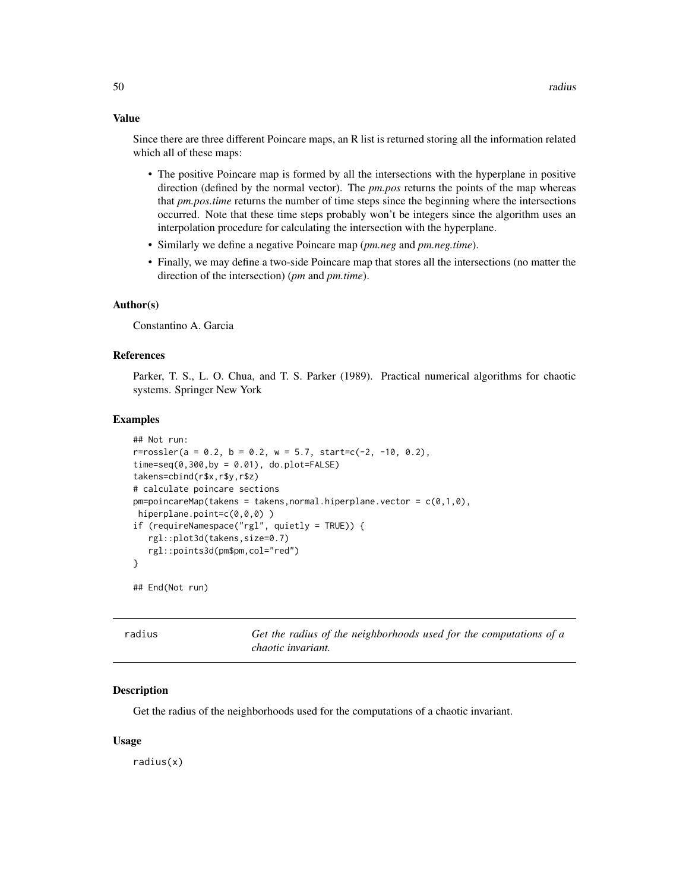#### Value

Since there are three different Poincare maps, an R list is returned storing all the information related which all of these maps:

- The positive Poincare map is formed by all the intersections with the hyperplane in positive direction (defined by the normal vector). The *pm.pos* returns the points of the map whereas that *pm.pos.time* returns the number of time steps since the beginning where the intersections occurred. Note that these time steps probably won't be integers since the algorithm uses an interpolation procedure for calculating the intersection with the hyperplane.
- Similarly we define a negative Poincare map (*pm.neg* and *pm.neg.time*).
- Finally, we may define a two-side Poincare map that stores all the intersections (no matter the direction of the intersection) (*pm* and *pm.time*).

#### Author(s)

Constantino A. Garcia

#### References

Parker, T. S., L. O. Chua, and T. S. Parker (1989). Practical numerical algorithms for chaotic systems. Springer New York

#### Examples

```
## Not run:
r = rossler(a = 0.2, b = 0.2, w = 5.7, start = c(-2, -10, 0.2),time=seq(0,300,by = 0.01), do.plot=FALSE)
takens=cbind(r$x,r$y,r$z)
# calculate poincare sections
pm=poincareMap(takens = takens, normal.hiperplane.vector = c(0,1,0),hiperplane.point=c(0,0,0))
if (requireNamespace("rgl", quietly = TRUE)) {
  rgl::plot3d(takens,size=0.7)
   rgl::points3d(pm$pm,col="red")
}
```
## End(Not run)

| radius | Get the radius of the neighborhoods used for the computations of a |
|--------|--------------------------------------------------------------------|
|        | <i>chaotic invariant.</i>                                          |

#### Description

Get the radius of the neighborhoods used for the computations of a chaotic invariant.

#### Usage

radius(x)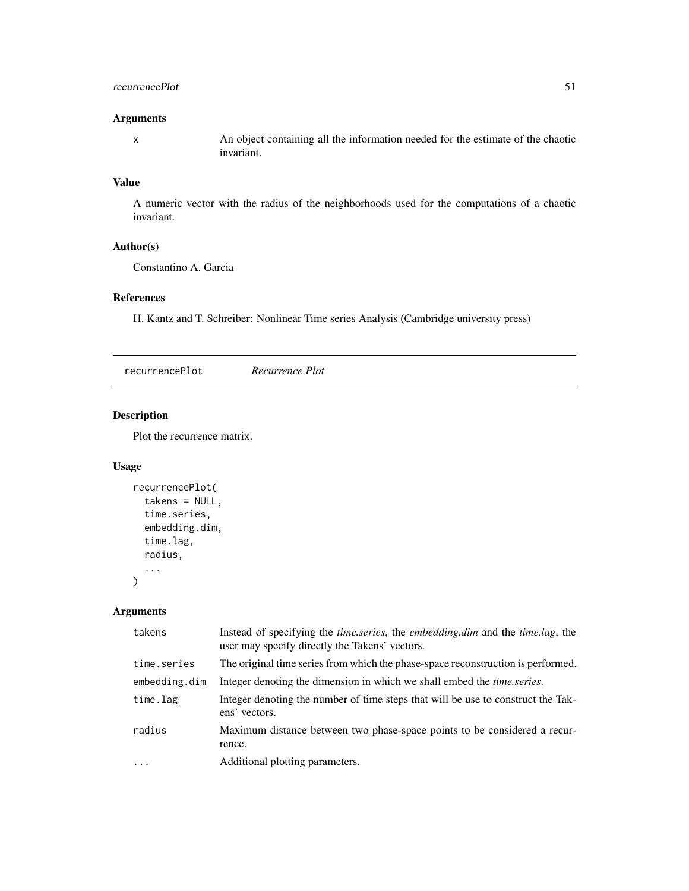#### recurrencePlot 51

# Arguments

x An object containing all the information needed for the estimate of the chaotic invariant.

# Value

A numeric vector with the radius of the neighborhoods used for the computations of a chaotic invariant.

# Author(s)

Constantino A. Garcia

# References

H. Kantz and T. Schreiber: Nonlinear Time series Analysis (Cambridge university press)

recurrencePlot *Recurrence Plot*

# Description

Plot the recurrence matrix.

#### Usage

```
recurrencePlot(
  takens = NULL,
  time.series,
  embedding.dim,
  time.lag,
  radius,
  ...
\mathcal{L}
```
# Arguments

| takens        | Instead of specifying the <i>time.series</i> , the <i>embedding.dim</i> and the <i>time.lag</i> , the<br>user may specify directly the Takens' vectors. |
|---------------|---------------------------------------------------------------------------------------------------------------------------------------------------------|
| time.series   | The original time series from which the phase-space reconstruction is performed.                                                                        |
| embedding.dim | Integer denoting the dimension in which we shall embed the <i>time.series</i> .                                                                         |
| time.lag      | Integer denoting the number of time steps that will be use to construct the Tak-<br>ens' vectors.                                                       |
| radius        | Maximum distance between two phase-space points to be considered a recur-<br>rence.                                                                     |
| $\ddots$ .    | Additional plotting parameters.                                                                                                                         |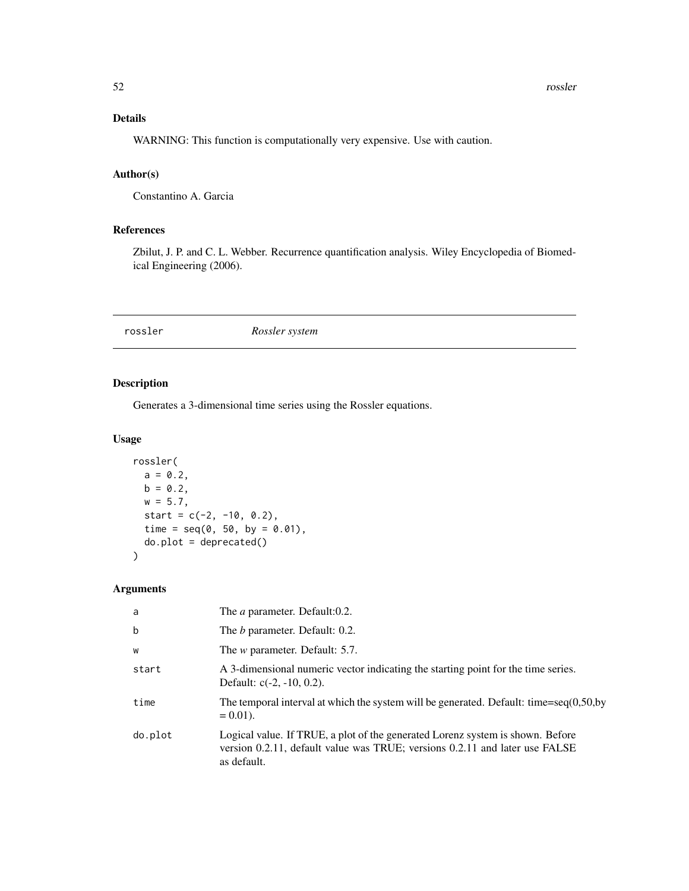# Details

WARNING: This function is computationally very expensive. Use with caution.

# Author(s)

Constantino A. Garcia

# References

Zbilut, J. P. and C. L. Webber. Recurrence quantification analysis. Wiley Encyclopedia of Biomedical Engineering (2006).

#### <span id="page-51-0"></span>rossler *Rossler system*

# Description

Generates a 3-dimensional time series using the Rossler equations.

# Usage

```
rossler(
 a = 0.2,
 b = 0.2,
 w = 5.7,
 start = c(-2, -10, 0.2),
  time = seq(0, 50, by = 0.01),
 do.plot = deprecated()
)
```
#### Arguments

| a           | The <i>a</i> parameter. Default:0.2.                                                                                                                                         |
|-------------|------------------------------------------------------------------------------------------------------------------------------------------------------------------------------|
| $\mathbf b$ | The <i>b</i> parameter. Default: 0.2.                                                                                                                                        |
| W           | The <i>w</i> parameter. Default: 5.7.                                                                                                                                        |
| start       | A 3-dimensional numeric vector indicating the starting point for the time series.<br>Default: $c(-2, -10, 0.2)$ .                                                            |
| time        | The temporal interval at which the system will be generated. Default: time=seq $(0,50,$ by<br>$= 0.01$ .                                                                     |
| do.plot     | Logical value. If TRUE, a plot of the generated Lorenz system is shown. Before<br>version 0.2.11, default value was TRUE; versions 0.2.11 and later use FALSE<br>as default. |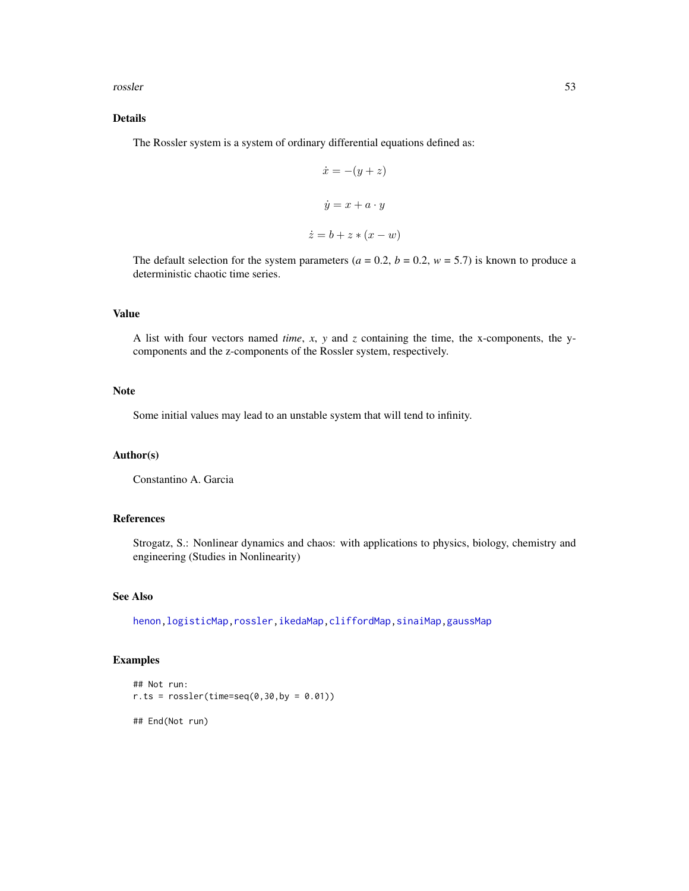#### <span id="page-52-0"></span>rossler 53

# Details

The Rossler system is a system of ordinary differential equations defined as:

$$
\dot{x} = -(y + z)
$$

$$
\dot{y} = x + a \cdot y
$$

$$
\dot{z} = b + z * (x - w)
$$

The default selection for the system parameters ( $a = 0.2$ ,  $b = 0.2$ ,  $w = 5.7$ ) is known to produce a deterministic chaotic time series.

# Value

A list with four vectors named *time*, *x*, *y* and *z* containing the time, the x-components, the ycomponents and the z-components of the Rossler system, respectively.

# Note

Some initial values may lead to an unstable system that will tend to infinity.

#### Author(s)

Constantino A. Garcia

# References

Strogatz, S.: Nonlinear dynamics and chaos: with applications to physics, biology, chemistry and engineering (Studies in Nonlinearity)

#### See Also

[henon](#page-23-0)[,logisticMap](#page-32-0)[,rossler,](#page-51-0)[ikedaMap,](#page-24-0)[cliffordMap](#page-3-0)[,sinaiMap](#page-58-0)[,gaussMap](#page-21-0)

# Examples

```
## Not run:
r.ts = rossler(time=seq(0, 30, by = 0.01))
```
## End(Not run)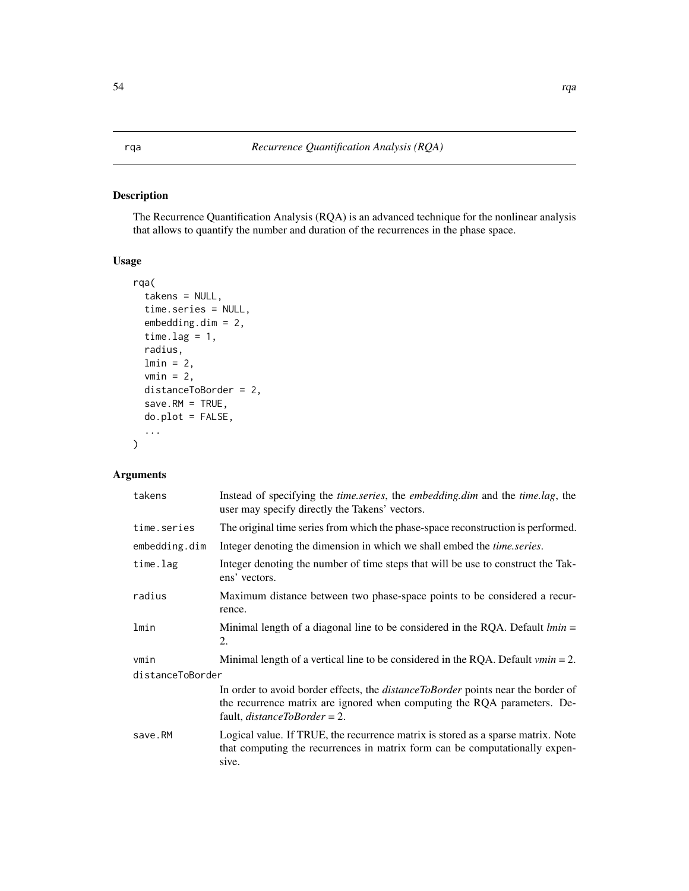# Description

The Recurrence Quantification Analysis (RQA) is an advanced technique for the nonlinear analysis that allows to quantify the number and duration of the recurrences in the phase space.

# Usage

```
rqa(
  takens = NULL,
  time.series = NULL,
 embedding.dim = 2,
  time.lag = 1,
  radius,
  lmin = 2,vmin = 2,
  distanceToBorder = 2,
  save.RM = TRUE,
 do.plot = FALSE,
  ...
)
```
# Arguments

| takens           | Instead of specifying the <i>time.series</i> , the <i>embedding.dim</i> and the <i>time.lag</i> , the<br>user may specify directly the Takens' vectors.                                                    |  |
|------------------|------------------------------------------------------------------------------------------------------------------------------------------------------------------------------------------------------------|--|
| time.series      | The original time series from which the phase-space reconstruction is performed.                                                                                                                           |  |
| embedding.dim    | Integer denoting the dimension in which we shall embed the <i>time.series</i> .                                                                                                                            |  |
| time.lag         | Integer denoting the number of time steps that will be use to construct the Tak-<br>ens' vectors.                                                                                                          |  |
| radius           | Maximum distance between two phase-space points to be considered a recur-<br>rence.                                                                                                                        |  |
| lmin             | Minimal length of a diagonal line to be considered in the RQA. Default $lmin =$<br>2.                                                                                                                      |  |
| vmin             | Minimal length of a vertical line to be considered in the RQA. Default $vmin = 2$ .                                                                                                                        |  |
| distanceToBorder |                                                                                                                                                                                                            |  |
|                  | In order to avoid border effects, the <i>distanceToBorder</i> points near the border of<br>the recurrence matrix are ignored when computing the RQA parameters. De-<br>fault, <i>distanceToBorder</i> = 2. |  |
| save.RM          | Logical value. If TRUE, the recurrence matrix is stored as a sparse matrix. Note<br>that computing the recurrences in matrix form can be computationally expen-<br>sive.                                   |  |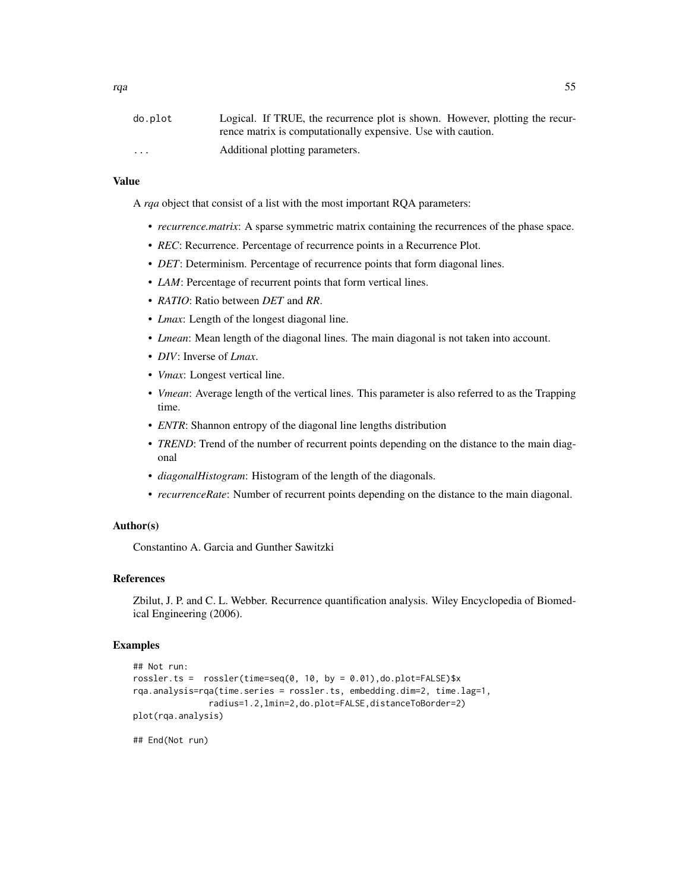| do.plot  | Logical. If TRUE, the recurrence plot is shown. However, plotting the recur- |
|----------|------------------------------------------------------------------------------|
|          | rence matrix is computationally expensive. Use with caution.                 |
| $\cdots$ | Additional plotting parameters.                                              |

#### Value

A *rqa* object that consist of a list with the most important RQA parameters:

- *recurrence.matrix*: A sparse symmetric matrix containing the recurrences of the phase space.
- *REC*: Recurrence. Percentage of recurrence points in a Recurrence Plot.
- *DET*: Determinism. Percentage of recurrence points that form diagonal lines.
- *LAM*: Percentage of recurrent points that form vertical lines.
- *RATIO*: Ratio between *DET* and *RR*.
- *Lmax*: Length of the longest diagonal line.
- *Lmean*: Mean length of the diagonal lines. The main diagonal is not taken into account.
- *DIV*: Inverse of *Lmax*.
- *Vmax*: Longest vertical line.
- *Vmean*: Average length of the vertical lines. This parameter is also referred to as the Trapping time.
- *ENTR*: Shannon entropy of the diagonal line lengths distribution
- *TREND*: Trend of the number of recurrent points depending on the distance to the main diagonal
- *diagonalHistogram*: Histogram of the length of the diagonals.
- *recurrenceRate*: Number of recurrent points depending on the distance to the main diagonal.

# Author(s)

Constantino A. Garcia and Gunther Sawitzki

#### References

Zbilut, J. P. and C. L. Webber. Recurrence quantification analysis. Wiley Encyclopedia of Biomedical Engineering (2006).

#### Examples

```
## Not run:
rossler.ts = rossler(time=seq(0, 10, by = 0.01), do.plot=FALSE)$x
rqa.analysis=rqa(time.series = rossler.ts, embedding.dim=2, time.lag=1,
               radius=1.2,lmin=2,do.plot=FALSE,distanceToBorder=2)
plot(rqa.analysis)
```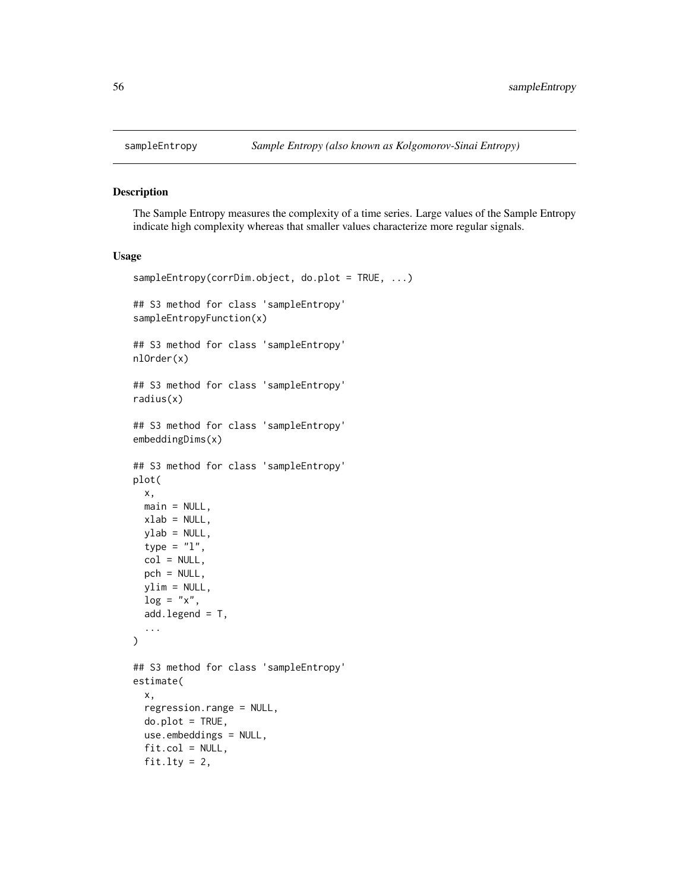<span id="page-55-1"></span><span id="page-55-0"></span>

#### Description

The Sample Entropy measures the complexity of a time series. Large values of the Sample Entropy indicate high complexity whereas that smaller values characterize more regular signals.

#### Usage

```
sampleEntropy(corrDim.object, do.plot = TRUE, ...)
## S3 method for class 'sampleEntropy'
sampleEntropyFunction(x)
## S3 method for class 'sampleEntropy'
nlOrder(x)
## S3 method for class 'sampleEntropy'
radius(x)
## S3 method for class 'sampleEntropy'
embeddingDims(x)
## S3 method for class 'sampleEntropy'
plot(
 x,
 main = NULL,xlab = NULL,
 ylab = NULL,
  type = "1",col = NULL,pch = NULL,ylim = NULL,
 \log = "x",add.length = T,
  ...
)
## S3 method for class 'sampleEntropy'
estimate(
  x,
  regression.range = NULL,
 do.plot = TRUE,
 use.embeddings = NULL,
  fit,col = NULL,fit.lty = 2,
```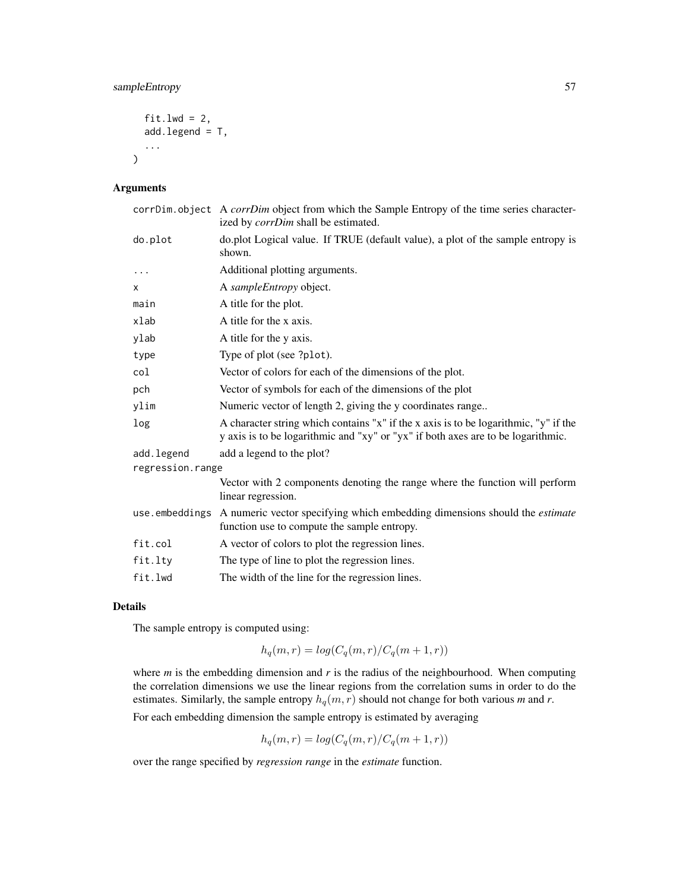# sampleEntropy 57

```
fit.lwd = 2,
add.legend = T,
...
```
# Arguments

 $\mathcal{L}$ 

|                  | corrDim.object A corrDim object from which the Sample Entropy of the time series character-<br>ized by <i>corrDim</i> shall be estimated.                                |  |
|------------------|--------------------------------------------------------------------------------------------------------------------------------------------------------------------------|--|
| do.plot          | do.plot Logical value. If TRUE (default value), a plot of the sample entropy is<br>shown.                                                                                |  |
| $\cdots$         | Additional plotting arguments.                                                                                                                                           |  |
| X                | A sampleEntropy object.                                                                                                                                                  |  |
| main             | A title for the plot.                                                                                                                                                    |  |
| xlab             | A title for the x axis.                                                                                                                                                  |  |
| ylab             | A title for the y axis.                                                                                                                                                  |  |
| type             | Type of plot (see ?plot).                                                                                                                                                |  |
| col              | Vector of colors for each of the dimensions of the plot.                                                                                                                 |  |
| pch              | Vector of symbols for each of the dimensions of the plot                                                                                                                 |  |
| ylim             | Numeric vector of length 2, giving the y coordinates range                                                                                                               |  |
| log              | A character string which contains "x" if the x axis is to be logarithmic, "y" if the<br>y axis is to be logarithmic and "xy" or "yx" if both axes are to be logarithmic. |  |
| add.legend       | add a legend to the plot?                                                                                                                                                |  |
| regression.range |                                                                                                                                                                          |  |
|                  | Vector with 2 components denoting the range where the function will perform<br>linear regression.                                                                        |  |
|                  | use embeddings A numeric vector specifying which embedding dimensions should the <i>estimate</i><br>function use to compute the sample entropy.                          |  |
| fit.col          | A vector of colors to plot the regression lines.                                                                                                                         |  |
| fit.lty          | The type of line to plot the regression lines.                                                                                                                           |  |
| fit.lwd          | The width of the line for the regression lines.                                                                                                                          |  |

# Details

The sample entropy is computed using:

$$
h_q(m,r) = \log(C_q(m,r)/C_q(m+1,r))
$$

where *m* is the embedding dimension and *r* is the radius of the neighbourhood. When computing the correlation dimensions we use the linear regions from the correlation sums in order to do the estimates. Similarly, the sample entropy  $h_q(m, r)$  should not change for both various *m* and *r*.

For each embedding dimension the sample entropy is estimated by averaging

$$
h_q(m,r) = \log(C_q(m,r)/C_q(m+1,r))
$$

over the range specified by *regression range* in the *estimate* function.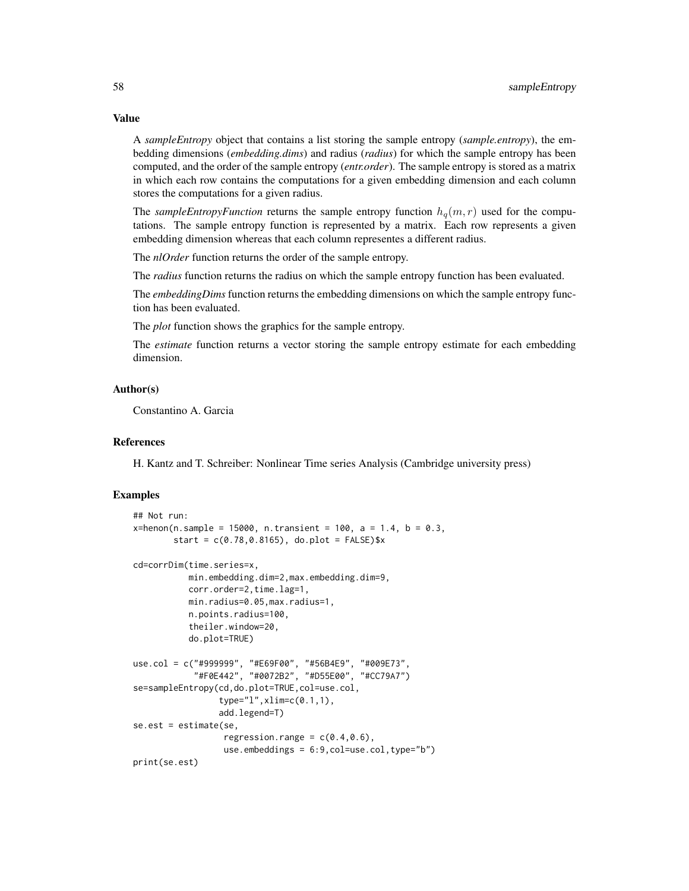A *sampleEntropy* object that contains a list storing the sample entropy (*sample.entropy*), the embedding dimensions (*embedding.dims*) and radius (*radius*) for which the sample entropy has been computed, and the order of the sample entropy (*entr.order*). The sample entropy is stored as a matrix in which each row contains the computations for a given embedding dimension and each column stores the computations for a given radius.

The *sampleEntropyFunction* returns the sample entropy function  $h_q(m, r)$  used for the computations. The sample entropy function is represented by a matrix. Each row represents a given embedding dimension whereas that each column representes a different radius.

The *nlOrder* function returns the order of the sample entropy.

The *radius* function returns the radius on which the sample entropy function has been evaluated.

The *embeddingDims* function returns the embedding dimensions on which the sample entropy function has been evaluated.

The *plot* function shows the graphics for the sample entropy.

The *estimate* function returns a vector storing the sample entropy estimate for each embedding dimension.

# Author(s)

Constantino A. Garcia

#### References

H. Kantz and T. Schreiber: Nonlinear Time series Analysis (Cambridge university press)

#### Examples

```
## Not run:
x = \text{henson}(n, \text{sample} = 15000, n. \text{translation}, t = 100, a = 1.4, b = 0.3, t = 0.3)start = c(0.78, 0.8165), do.plot = FALSE)$x
cd=corrDim(time.series=x,
           min.embedding.dim=2,max.embedding.dim=9,
           corr.order=2,time.lag=1,
           min.radius=0.05,max.radius=1,
           n.points.radius=100,
            theiler.window=20,
           do.plot=TRUE)
use.col = c("#999999", "#E69F00", "#56B4E9", "#009E73",
            "#F0E442", "#0072B2", "#D55E00", "#CC79A7")
se=sampleEntropy(cd,do.plot=TRUE,col=use.col,
                  type="l",xlim=c(0.1,1),
                  add.legend=T)
se.est = estimate(se,
                   regression.range = c(0.4, 0.6),
                   use.embeddings = 6:9,col=use.col,type="b")
print(se.est)
```
# Value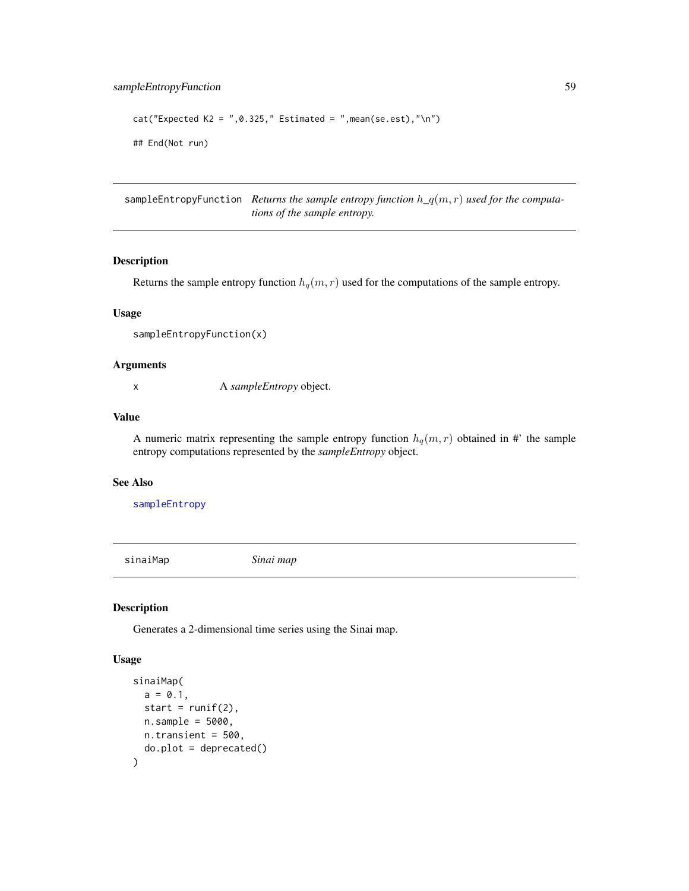```
cat("Expected K2 = ", 0.325," Estimate = ", mean(se.set), "\\n")## End(Not run)
```
sampleEntropyFunction *Returns the sample entropy function* h*\_*q(m, r) *used for the computations of the sample entropy.*

# Description

Returns the sample entropy function  $h_q(m, r)$  used for the computations of the sample entropy.

#### Usage

sampleEntropyFunction(x)

# Arguments

x A *sampleEntropy* object.

# Value

A numeric matrix representing the sample entropy function  $h_q(m, r)$  obtained in #' the sample entropy computations represented by the *sampleEntropy* object.

#### See Also

[sampleEntropy](#page-55-0)

<span id="page-58-0"></span>sinaiMap *Sinai map*

#### Description

Generates a 2-dimensional time series using the Sinai map.

#### Usage

```
sinaiMap(
 a = 0.1,
 start = runif(2),
 n.sample = 5000,
 n.transient = 500,
  do.plot = deprecated()
)
```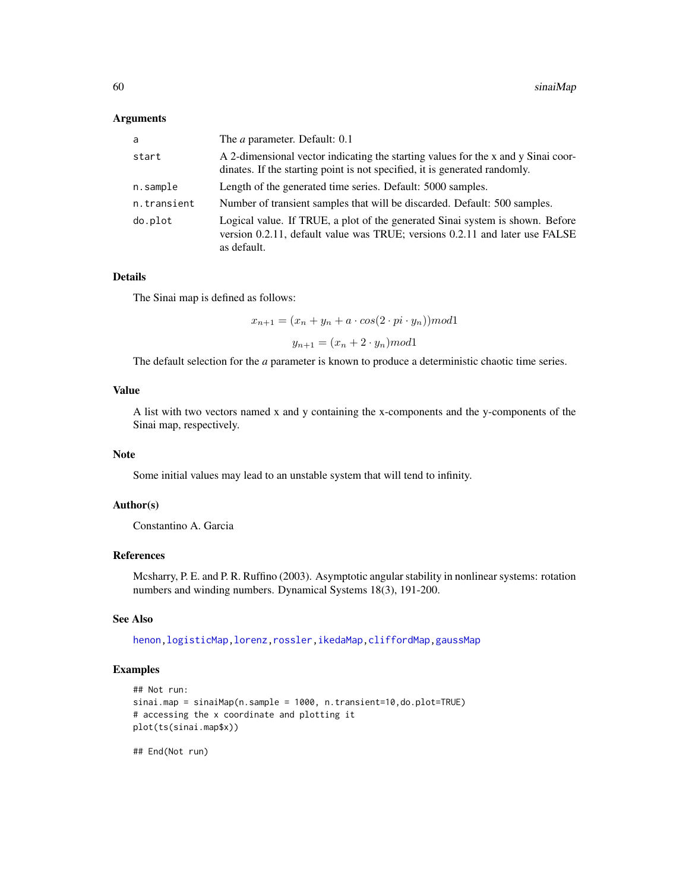#### <span id="page-59-0"></span>Arguments

| a           | The <i>a</i> parameter. Default: 0.1                                                                                                                                        |
|-------------|-----------------------------------------------------------------------------------------------------------------------------------------------------------------------------|
| start       | A 2-dimensional vector indicating the starting values for the x and y Sinai coor-<br>dinates. If the starting point is not specified, it is generated randomly.             |
| n.sample    | Length of the generated time series. Default: 5000 samples.                                                                                                                 |
| n.transient | Number of transient samples that will be discarded. Default: 500 samples.                                                                                                   |
| do.plot     | Logical value. If TRUE, a plot of the generated Sinai system is shown. Before<br>version 0.2.11, default value was TRUE; versions 0.2.11 and later use FALSE<br>as default. |

#### Details

The Sinai map is defined as follows:

 $x_{n+1} = (x_n + y_n + a \cdot cos(2 \cdot pi \cdot y_n)) \mod 1$ 

 $y_{n+1} = (x_n + 2 \cdot y_n) \mod 1$ 

The default selection for the *a* parameter is known to produce a deterministic chaotic time series.

# Value

A list with two vectors named x and y containing the x-components and the y-components of the Sinai map, respectively.

#### Note

Some initial values may lead to an unstable system that will tend to infinity.

#### Author(s)

Constantino A. Garcia

#### References

Mcsharry, P. E. and P. R. Ruffino (2003). Asymptotic angular stability in nonlinear systems: rotation numbers and winding numbers. Dynamical Systems 18(3), 191-200.

# See Also

[henon](#page-23-0)[,logisticMap](#page-32-0)[,lorenz,](#page-34-0)[rossler,](#page-51-0)[ikedaMap,](#page-24-0)[cliffordMap](#page-3-0)[,gaussMap](#page-21-0)

# Examples

```
## Not run:
sinai.map = sinaiMap(n.sample = 1000, n.transient=10,do.plot=TRUE)
# accessing the x coordinate and plotting it
plot(ts(sinai.map$x))
```
## End(Not run)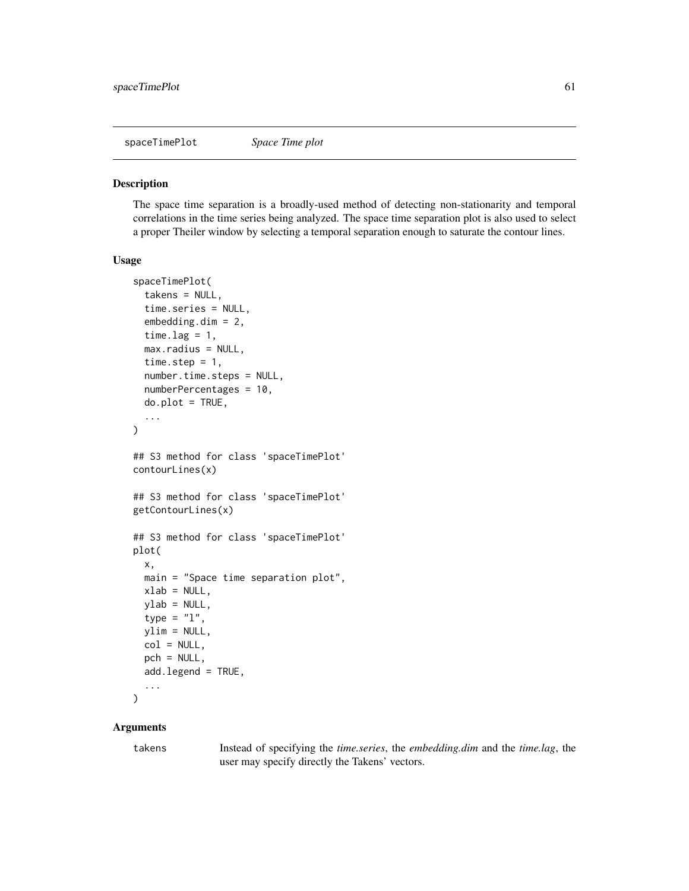<span id="page-60-0"></span>spaceTimePlot *Space Time plot*

#### Description

The space time separation is a broadly-used method of detecting non-stationarity and temporal correlations in the time series being analyzed. The space time separation plot is also used to select a proper Theiler window by selecting a temporal separation enough to saturate the contour lines.

#### Usage

```
spaceTimePlot(
  takens = NULL,
  time.series = NULL,
  embedding.dim = 2,
  time.lag = 1,
 max.radius = NULL,
  time.step = 1,
  number.time.steps = NULL,
  numberPercentages = 10,
  do.plot = TRUE,
  ...
)
## S3 method for class 'spaceTimePlot'
contourLines(x)
## S3 method for class 'spaceTimePlot'
getContourLines(x)
## S3 method for class 'spaceTimePlot'
plot(
  x,
 main = "Space time separation plot",
 xlab = NULL,
 ylab = NULL,
  type = "1",ylim = NULL,
 col = NULL,pch = NULL,add.legend = TRUE,
  ...
\mathcal{L}
```
# Arguments

takens Instead of specifying the *time.series*, the *embedding.dim* and the *time.lag*, the user may specify directly the Takens' vectors.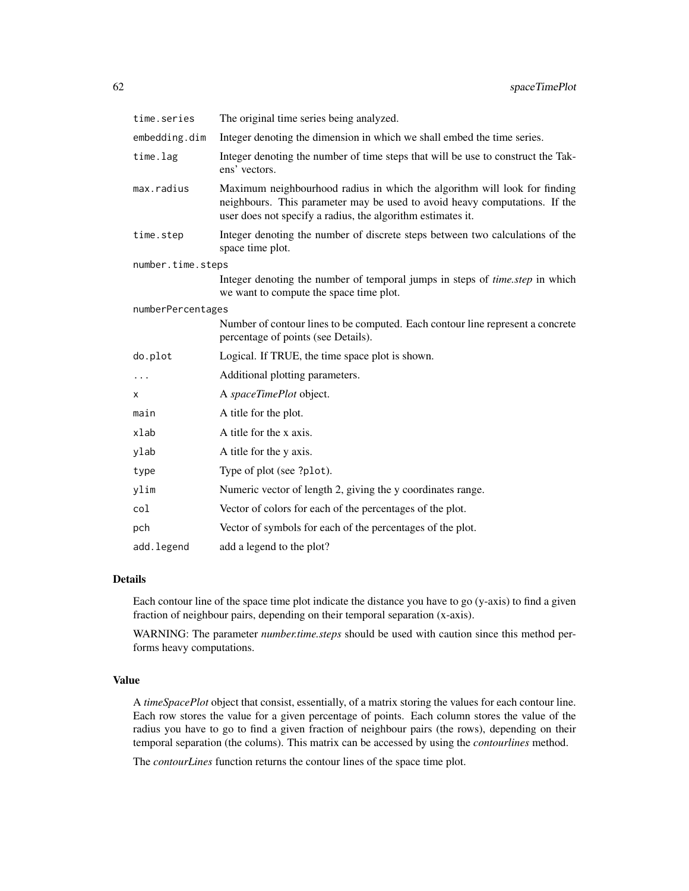| time.series       | The original time series being analyzed.                                                                                                                                                                               |  |
|-------------------|------------------------------------------------------------------------------------------------------------------------------------------------------------------------------------------------------------------------|--|
| embedding.dim     | Integer denoting the dimension in which we shall embed the time series.                                                                                                                                                |  |
| time.lag          | Integer denoting the number of time steps that will be use to construct the Tak-<br>ens' vectors.                                                                                                                      |  |
| max.radius        | Maximum neighbourhood radius in which the algorithm will look for finding<br>neighbours. This parameter may be used to avoid heavy computations. If the<br>user does not specify a radius, the algorithm estimates it. |  |
| time.step         | Integer denoting the number of discrete steps between two calculations of the<br>space time plot.                                                                                                                      |  |
| number.time.steps |                                                                                                                                                                                                                        |  |
|                   | Integer denoting the number of temporal jumps in steps of <i>time.step</i> in which<br>we want to compute the space time plot.                                                                                         |  |
| numberPercentages |                                                                                                                                                                                                                        |  |
|                   | Number of contour lines to be computed. Each contour line represent a concrete<br>percentage of points (see Details).                                                                                                  |  |
| do.plot           | Logical. If TRUE, the time space plot is shown.                                                                                                                                                                        |  |
| $\cdots$          | Additional plotting parameters.                                                                                                                                                                                        |  |
| X                 | A spaceTimePlot object.                                                                                                                                                                                                |  |
| main              | A title for the plot.                                                                                                                                                                                                  |  |
| xlab              | A title for the x axis.                                                                                                                                                                                                |  |
| ylab              | A title for the y axis.                                                                                                                                                                                                |  |
| type              | Type of plot (see ?plot).                                                                                                                                                                                              |  |
| ylim              | Numeric vector of length 2, giving the y coordinates range.                                                                                                                                                            |  |
| col               | Vector of colors for each of the percentages of the plot.                                                                                                                                                              |  |
| pch               | Vector of symbols for each of the percentages of the plot.                                                                                                                                                             |  |
| add.legend        | add a legend to the plot?                                                                                                                                                                                              |  |

# Details

Each contour line of the space time plot indicate the distance you have to go (y-axis) to find a given fraction of neighbour pairs, depending on their temporal separation (x-axis).

WARNING: The parameter *number.time.steps* should be used with caution since this method performs heavy computations.

### Value

A *timeSpacePlot* object that consist, essentially, of a matrix storing the values for each contour line. Each row stores the value for a given percentage of points. Each column stores the value of the radius you have to go to find a given fraction of neighbour pairs (the rows), depending on their temporal separation (the colums). This matrix can be accessed by using the *contourlines* method.

The *contourLines* function returns the contour lines of the space time plot.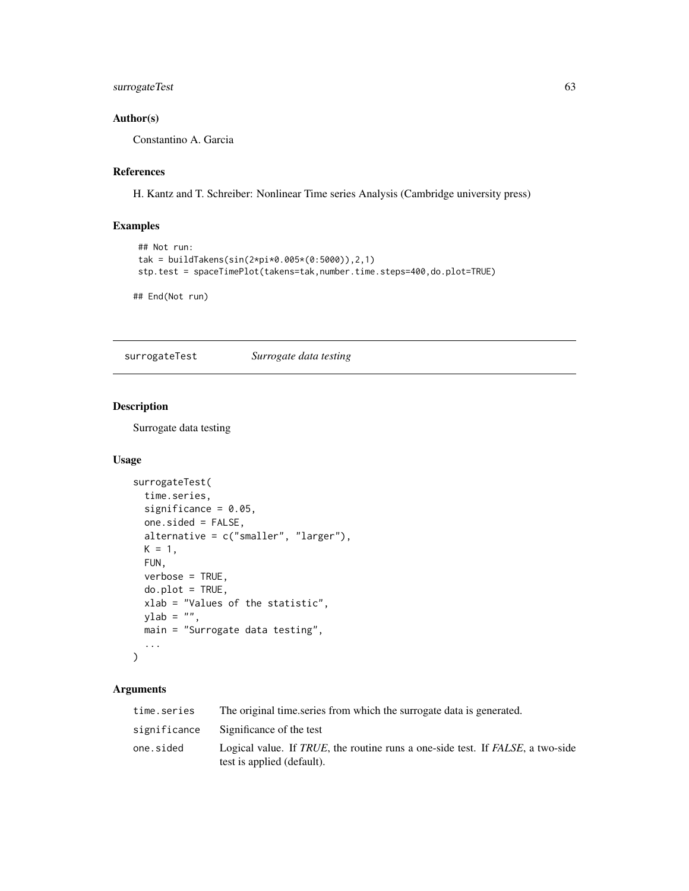# surrogateTest 63

# Author(s)

Constantino A. Garcia

#### References

H. Kantz and T. Schreiber: Nonlinear Time series Analysis (Cambridge university press)

# Examples

```
## Not run:
tak = buildTakens(sin(2*pi*0.005*(0:5000)),2,1)
stp.test = spaceTimePlot(takens=tak,number.time.steps=400,do.plot=TRUE)
```
## End(Not run)

surrogateTest *Surrogate data testing*

#### Description

Surrogate data testing

# Usage

```
surrogateTest(
  time.series,
  significance = 0.05,
  one.sided = FALSE,
  alternative = c("smaller", "larger"),
 K = 1,
 FUN,
  verbose = TRUE,
 do.plot = TRUE,
  xlab = "Values of the statistic",
 ylab = "",
 main = "Surrogate data testing",
  ...
\mathcal{L}
```
# Arguments

| time.series  | The original time series from which the surrogate data is generated.                                         |  |
|--------------|--------------------------------------------------------------------------------------------------------------|--|
| significance | Significance of the test                                                                                     |  |
| one.sided    | Logical value. If TRUE, the routine runs a one-side test. If FALSE, a two-side<br>test is applied (default). |  |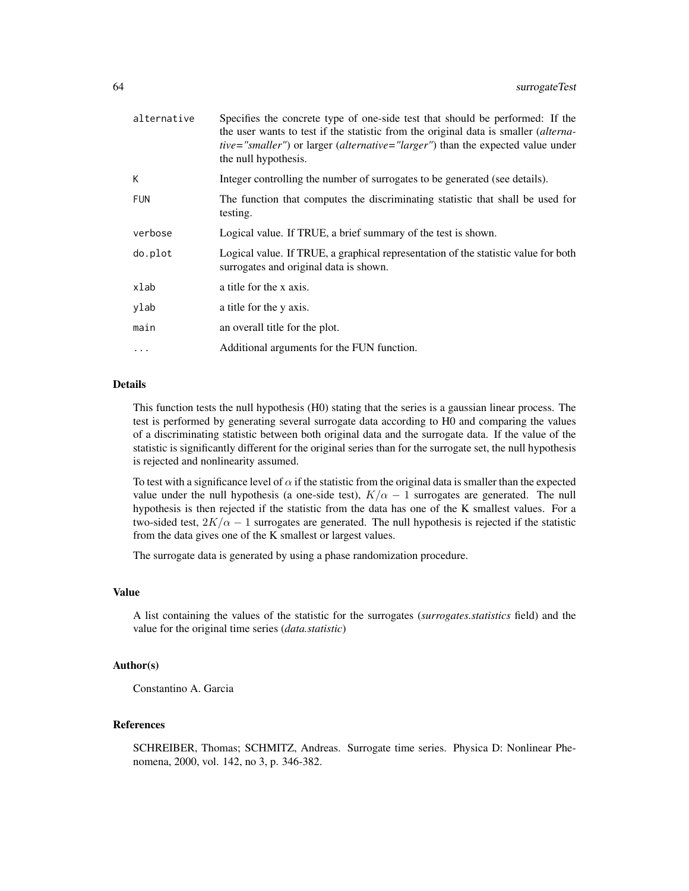| alternative | Specifies the concrete type of one-side test that should be performed: If the<br>the user wants to test if the statistic from the original data is smaller <i>(alterna-</i><br><i>tive="smaller"</i> ) or larger ( <i>alternative="larger"</i> ) than the expected value under<br>the null hypothesis. |
|-------------|--------------------------------------------------------------------------------------------------------------------------------------------------------------------------------------------------------------------------------------------------------------------------------------------------------|
| K           | Integer controlling the number of surrogates to be generated (see details).                                                                                                                                                                                                                            |
| <b>FUN</b>  | The function that computes the discriminating statistic that shall be used for<br>testing.                                                                                                                                                                                                             |
| verbose     | Logical value. If TRUE, a brief summary of the test is shown.                                                                                                                                                                                                                                          |
| do.plot     | Logical value. If TRUE, a graphical representation of the statistic value for both<br>surrogates and original data is shown.                                                                                                                                                                           |
| xlab        | a title for the x axis.                                                                                                                                                                                                                                                                                |
| ylab        | a title for the y axis.                                                                                                                                                                                                                                                                                |
| main        | an overall title for the plot.                                                                                                                                                                                                                                                                         |
| $\cdot$     | Additional arguments for the FUN function.                                                                                                                                                                                                                                                             |

# Details

This function tests the null hypothesis (H0) stating that the series is a gaussian linear process. The test is performed by generating several surrogate data according to H0 and comparing the values of a discriminating statistic between both original data and the surrogate data. If the value of the statistic is significantly different for the original series than for the surrogate set, the null hypothesis is rejected and nonlinearity assumed.

To test with a significance level of  $\alpha$  if the statistic from the original data is smaller than the expected value under the null hypothesis (a one-side test),  $K/\alpha - 1$  surrogates are generated. The null hypothesis is then rejected if the statistic from the data has one of the K smallest values. For a two-sided test,  $2K/\alpha - 1$  surrogates are generated. The null hypothesis is rejected if the statistic from the data gives one of the K smallest or largest values.

The surrogate data is generated by using a phase randomization procedure.

#### Value

A list containing the values of the statistic for the surrogates (*surrogates.statistics* field) and the value for the original time series (*data.statistic*)

#### Author(s)

Constantino A. Garcia

# References

SCHREIBER, Thomas; SCHMITZ, Andreas. Surrogate time series. Physica D: Nonlinear Phenomena, 2000, vol. 142, no 3, p. 346-382.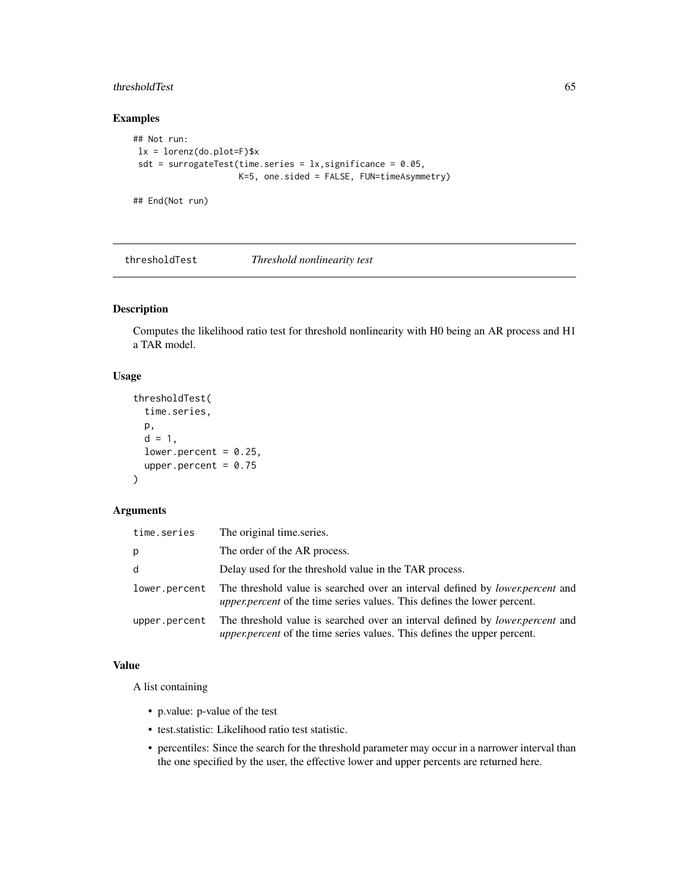# thresholdTest 65

# Examples

```
## Not run:
lx = lorenz(do.plot=F)$x
sdt = surrogateTest(time.series = lx,significance = 0.05,
                    K=5, one.sided = FALSE, FUN=timeAsymmetry)
```
## End(Not run)

<span id="page-64-0"></span>thresholdTest *Threshold nonlinearity test*

# Description

Computes the likelihood ratio test for threshold nonlinearity with H0 being an AR process and H1 a TAR model.

# Usage

```
thresholdTest(
  time.series,
 p,
 d = 1,
 lower.percent = 0.25,
 upper.percent = 0.75)
```
# Arguments

| time.series   | The original time series.                                                                                                                                                |
|---------------|--------------------------------------------------------------------------------------------------------------------------------------------------------------------------|
| р             | The order of the AR process.                                                                                                                                             |
| d             | Delay used for the threshold value in the TAR process.                                                                                                                   |
| lower.percent | The threshold value is searched over an interval defined by <i>lower, percent</i> and<br><i>upper.percent</i> of the time series values. This defines the lower percent. |
| upper.percent | The threshold value is searched over an interval defined by <i>lower.percent</i> and<br><i>upper.percent</i> of the time series values. This defines the upper percent.  |

#### Value

A list containing

- p.value: p-value of the test
- test.statistic: Likelihood ratio test statistic.
- percentiles: Since the search for the threshold parameter may occur in a narrower interval than the one specified by the user, the effective lower and upper percents are returned here.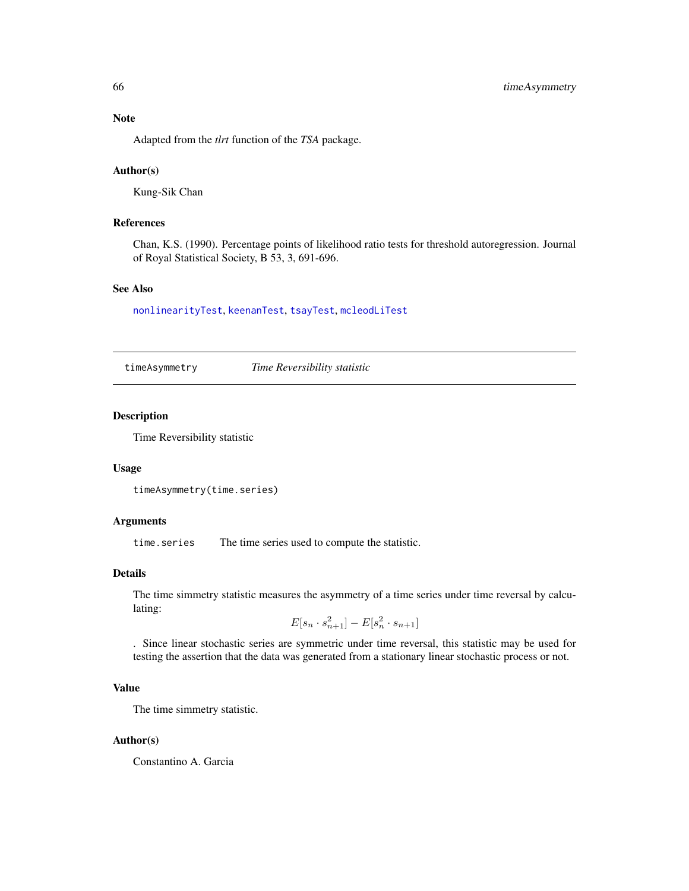# <span id="page-65-1"></span>Note

Adapted from the *tlrt* function of the *TSA* package.

# Author(s)

Kung-Sik Chan

# References

Chan, K.S. (1990). Percentage points of likelihood ratio tests for threshold autoregression. Journal of Royal Statistical Society, B 53, 3, 691-696.

# See Also

[nonlinearityTest](#page-44-0), [keenanTest](#page-31-0), [tsayTest](#page-69-0), [mcleodLiTest](#page-39-0)

<span id="page-65-0"></span>timeAsymmetry *Time Reversibility statistic*

# Description

Time Reversibility statistic

#### Usage

```
timeAsymmetry(time.series)
```
# Arguments

time.series The time series used to compute the statistic.

#### Details

The time simmetry statistic measures the asymmetry of a time series under time reversal by calculating:

$$
E[s_n \cdot s_{n+1}^2] - E[s_n^2 \cdot s_{n+1}]
$$

. Since linear stochastic series are symmetric under time reversal, this statistic may be used for testing the assertion that the data was generated from a stationary linear stochastic process or not.

# Value

The time simmetry statistic.

#### Author(s)

Constantino A. Garcia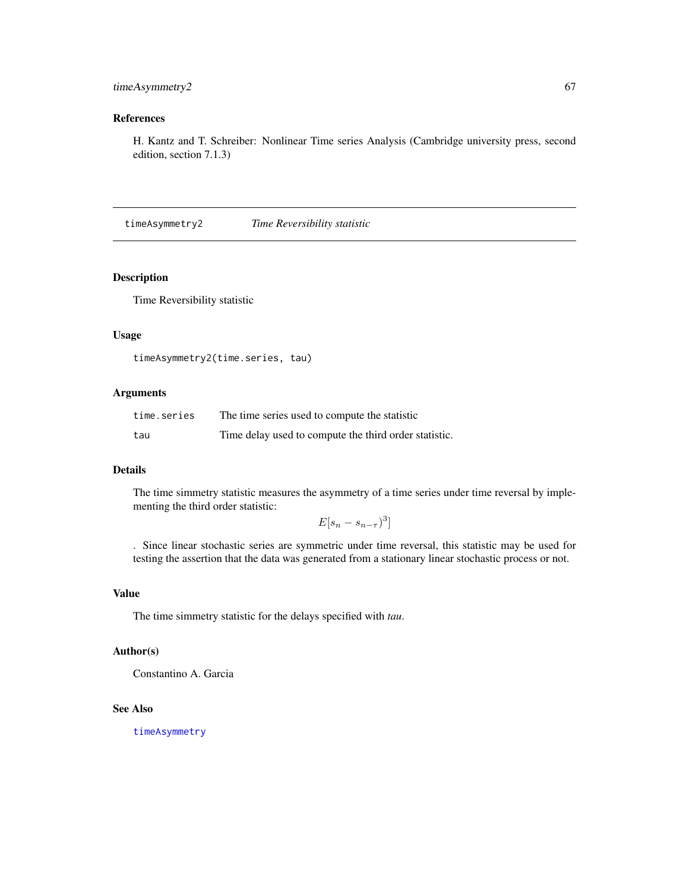# timeAsymmetry2 67

# References

H. Kantz and T. Schreiber: Nonlinear Time series Analysis (Cambridge university press, second edition, section 7.1.3)

timeAsymmetry2 *Time Reversibility statistic*

# Description

Time Reversibility statistic

#### Usage

```
timeAsymmetry2(time.series, tau)
```
# Arguments

| time.series | The time series used to compute the statistic         |
|-------------|-------------------------------------------------------|
| tau         | Time delay used to compute the third order statistic. |

# Details

The time simmetry statistic measures the asymmetry of a time series under time reversal by implementing the third order statistic:

 $E[s_n - s_{n-\tau}]^3$ 

. Since linear stochastic series are symmetric under time reversal, this statistic may be used for testing the assertion that the data was generated from a stationary linear stochastic process or not.

# Value

The time simmetry statistic for the delays specified with *tau*.

# Author(s)

Constantino A. Garcia

#### See Also

[timeAsymmetry](#page-65-0)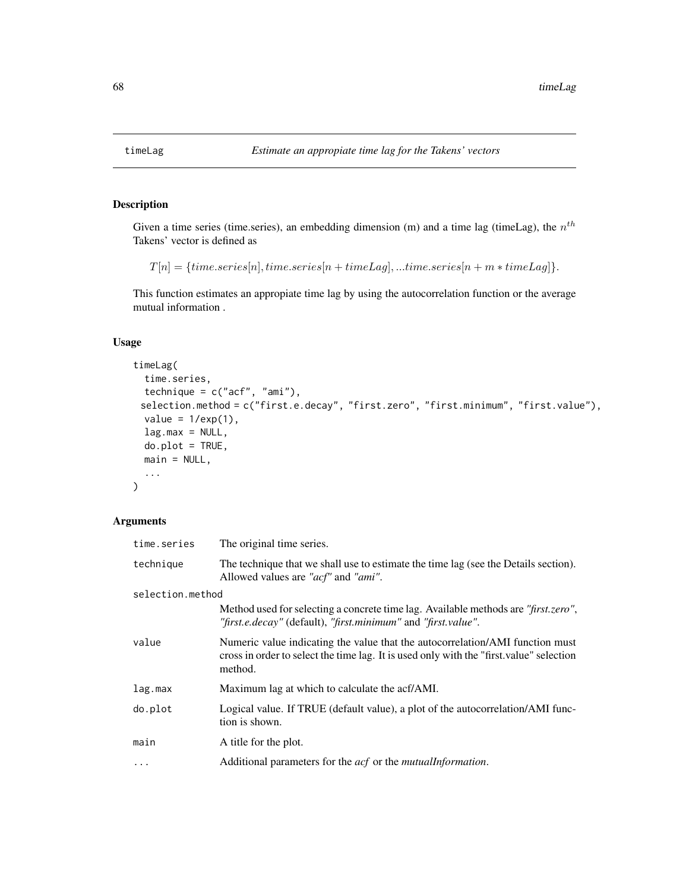# Description

Given a time series (time.series), an embedding dimension (m) and a time lag (timeLag), the  $n<sup>th</sup>$ Takens' vector is defined as

```
T[n] = {time.series[n], time.series[n + timeLag],...time.series[n + m * timeLag]}.
```
This function estimates an appropiate time lag by using the autocorrelation function or the average mutual information .

# Usage

```
timeLag(
  time.series,
  technique = c("acf", "ami"),
 selection.method = c("first.e.decay", "first.zero", "first.minimum", "first.value"),
 value = 1/exp(1),
  lag.max = NULL,do.plot = TRUE,
 main = NULL,...
)
```
# Arguments

| time.series      | The original time series.                                                                                                                                                           |
|------------------|-------------------------------------------------------------------------------------------------------------------------------------------------------------------------------------|
| technique        | The technique that we shall use to estimate the time lag (see the Details section).<br>Allowed values are "acf" and "ami".                                                          |
| selection.method |                                                                                                                                                                                     |
|                  | Method used for selecting a concrete time lag. Available methods are "first.zero",<br>"first.e.decay" (default), "first.minimum" and "first.value".                                 |
| value            | Numeric value indicating the value that the autocorrelation/AMI function must<br>cross in order to select the time lag. It is used only with the "first value" selection<br>method. |
| lag.max          | Maximum lag at which to calculate the acf/AMI.                                                                                                                                      |
| do.plot          | Logical value. If TRUE (default value), a plot of the autocorrelation/AMI func-<br>tion is shown.                                                                                   |
| main             | A title for the plot.                                                                                                                                                               |
| $\ddots$ .       | Additional parameters for the <i>acf</i> or the <i>mutuallnformation</i> .                                                                                                          |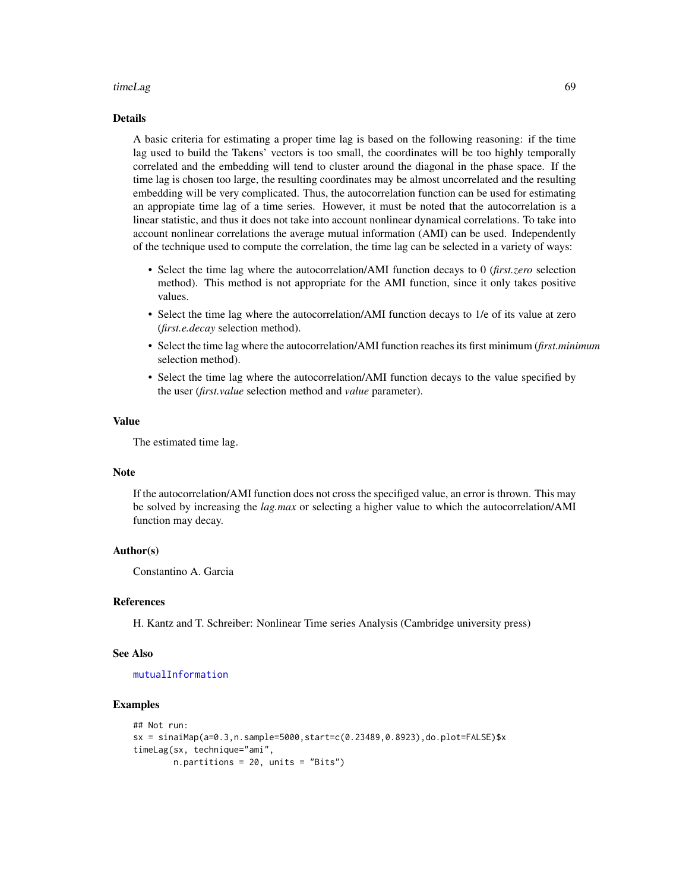#### <span id="page-68-0"></span>timeLag 69

#### Details

A basic criteria for estimating a proper time lag is based on the following reasoning: if the time lag used to build the Takens' vectors is too small, the coordinates will be too highly temporally correlated and the embedding will tend to cluster around the diagonal in the phase space. If the time lag is chosen too large, the resulting coordinates may be almost uncorrelated and the resulting embedding will be very complicated. Thus, the autocorrelation function can be used for estimating an appropiate time lag of a time series. However, it must be noted that the autocorrelation is a linear statistic, and thus it does not take into account nonlinear dynamical correlations. To take into account nonlinear correlations the average mutual information (AMI) can be used. Independently of the technique used to compute the correlation, the time lag can be selected in a variety of ways:

- Select the time lag where the autocorrelation/AMI function decays to 0 (*first.zero* selection method). This method is not appropriate for the AMI function, since it only takes positive values.
- Select the time lag where the autocorrelation/AMI function decays to 1/e of its value at zero (*first.e.decay* selection method).
- Select the time lag where the autocorrelation/AMI function reaches its first minimum (*first.minimum* selection method).
- Select the time lag where the autocorrelation/AMI function decays to the value specified by the user (*first.value* selection method and *value* parameter).

#### Value

The estimated time lag.

#### **Note**

If the autocorrelation/AMI function does not cross the specifiged value, an error is thrown. This may be solved by increasing the *lag.max* or selecting a higher value to which the autocorrelation/AMI function may decay.

#### Author(s)

Constantino A. Garcia

#### References

H. Kantz and T. Schreiber: Nonlinear Time series Analysis (Cambridge university press)

#### See Also

#### [mutualInformation](#page-40-0)

#### Examples

```
## Not run:
sx = sinaiMap(a=0.3,n.sample=5000,start=c(0.23489,0.8923),do.plot=FALSE)$x
timeLag(sx, technique="ami",
       n.partitions = 20, units = "Bits")
```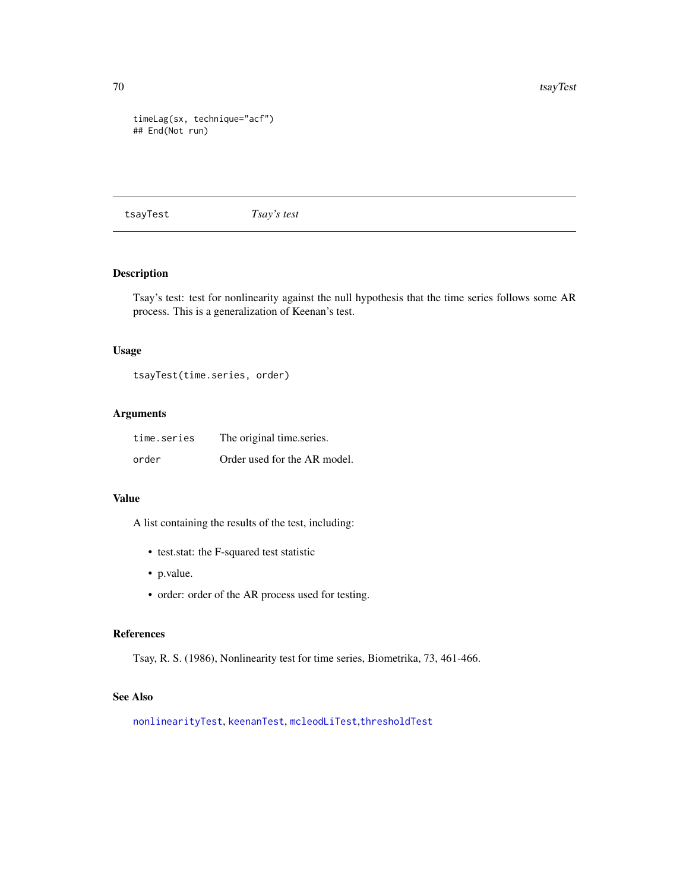<span id="page-69-1"></span>70 tsayTest and the contract of the contract of the contract of the contract of the contract of the contract of the contract of the contract of the contract of the contract of the contract of the contract of the contract o

```
timeLag(sx, technique="acf")
## End(Not run)
```
<span id="page-69-0"></span>tsayTest *Tsay's test*

# Description

Tsay's test: test for nonlinearity against the null hypothesis that the time series follows some AR process. This is a generalization of Keenan's test.

#### Usage

tsayTest(time.series, order)

# Arguments

| time.series | The original time.series.    |
|-------------|------------------------------|
| order       | Order used for the AR model. |

#### Value

A list containing the results of the test, including:

- test.stat: the F-squared test statistic
- p.value.
- order: order of the AR process used for testing.

#### References

Tsay, R. S. (1986), Nonlinearity test for time series, Biometrika, 73, 461-466.

# See Also

[nonlinearityTest](#page-44-0), [keenanTest](#page-31-0), [mcleodLiTest](#page-39-0),[thresholdTest](#page-64-0)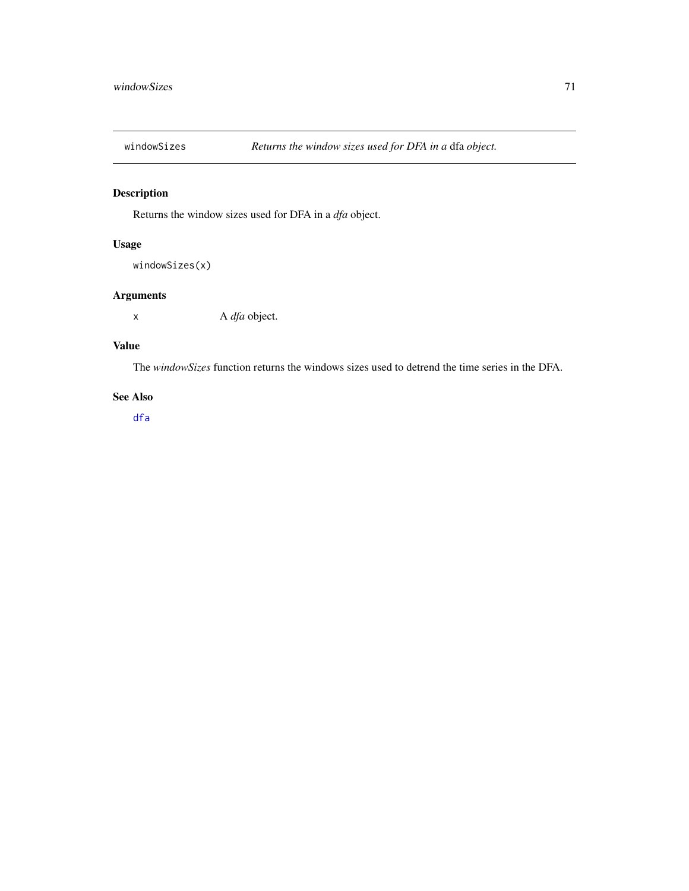<span id="page-70-0"></span>

# Description

Returns the window sizes used for DFA in a *dfa* object.

# Usage

```
windowSizes(x)
```
# Arguments

x A *dfa* object.

# Value

The *windowSizes* function returns the windows sizes used to detrend the time series in the DFA.

# See Also

[dfa](#page-10-0)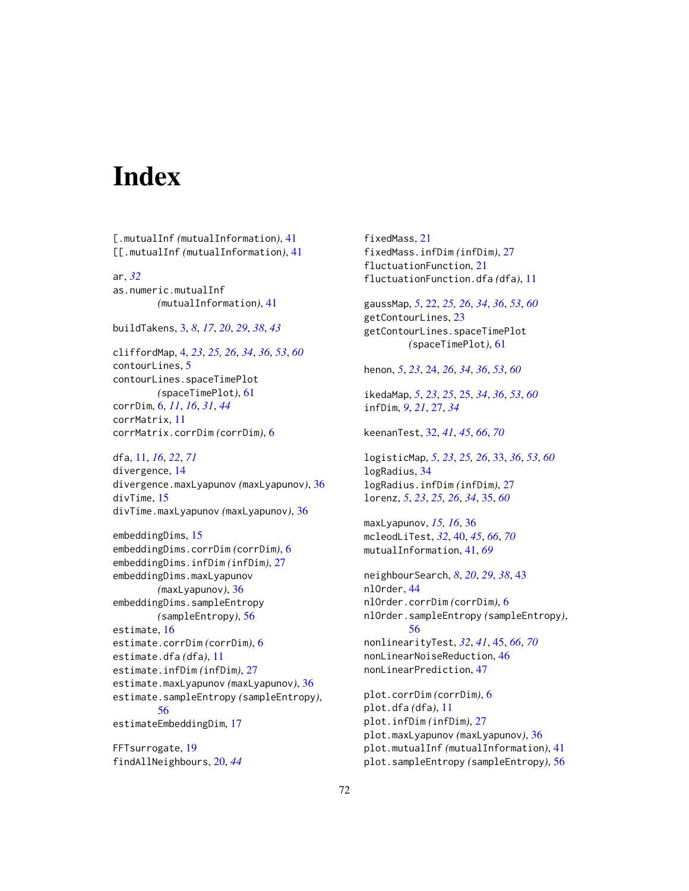# **Index**

[.mutualInf *(*mutualInformation*)*, [41](#page-40-1) [[.mutualInf *(*mutualInformation*)*, [41](#page-40-1)

ar, *[32](#page-31-1)* as.numeric.mutualInf *(*mutualInformation*)*, [41](#page-40-1)

buildTakens, [3,](#page-2-1) *[8](#page-7-0)*, *[17](#page-16-0)*, *[20](#page-19-1)*, *[29](#page-28-0)*, *[38](#page-37-0)*, *[43](#page-42-1)*

cliffordMap, [4,](#page-3-1) *[23](#page-22-0)*, *[25,](#page-24-1) [26](#page-25-0)*, *[34](#page-33-0)*, *[36](#page-35-0)*, *[53](#page-52-0)*, *[60](#page-59-0)* contourLines, [5](#page-4-0) contourLines.spaceTimePlot *(*spaceTimePlot*)*, [61](#page-60-0) corrDim, [6,](#page-5-1) *[11](#page-10-1)*, *[16](#page-15-0)*, *[31](#page-30-0)*, *[44](#page-43-0)* corrMatrix, [11](#page-10-1) corrMatrix.corrDim *(*corrDim*)*, [6](#page-5-1)

dfa, [11,](#page-10-1) *[16](#page-15-0)*, *[22](#page-21-1)*, *[71](#page-70-0)* divergence, [14](#page-13-0) divergence.maxLyapunov *(*maxLyapunov*)*, [36](#page-35-0) divTime, [15](#page-14-0) divTime.maxLyapunov *(*maxLyapunov*)*, [36](#page-35-0)

```
embeddingDims, 15
embeddingDims.corrDim (corrDim), 6
embeddingDims.infDim (infDim), 27
embeddingDims.maxLyapunov
        (maxLyapunov), 36
embeddingDims.sampleEntropy
        (sampleEntropy), 56
estimate, 16
estimate.corrDim (corrDim), 6
estimate.dfa (dfa), 11
estimate.infDim (infDim), 27
estimate.maxLyapunov (maxLyapunov), 36
estimate.sampleEntropy (sampleEntropy),
        56
estimateEmbeddingDim, 17
```
FFTsurrogate, [19](#page-18-0) findAllNeighbours, [20,](#page-19-1) *[44](#page-43-0)* fixedMass, [21](#page-20-0) fixedMass.infDim *(*infDim*)*, [27](#page-26-0) fluctuationFunction, [21](#page-20-0) fluctuationFunction.dfa *(*dfa*)*, [11](#page-10-1) gaussMap, *[5](#page-4-0)*, [22,](#page-21-1) *[25,](#page-24-1) [26](#page-25-0)*, *[34](#page-33-0)*, *[36](#page-35-0)*, *[53](#page-52-0)*, *[60](#page-59-0)* getContourLines, [23](#page-22-0) getContourLines.spaceTimePlot *(*spaceTimePlot*)*, [61](#page-60-0) henon, *[5](#page-4-0)*, *[23](#page-22-0)*, [24,](#page-23-1) *[26](#page-25-0)*, *[34](#page-33-0)*, *[36](#page-35-0)*, *[53](#page-52-0)*, *[60](#page-59-0)* ikedaMap, *[5](#page-4-0)*, *[23](#page-22-0)*, *[25](#page-24-1)*, [25,](#page-24-1) *[34](#page-33-0)*, *[36](#page-35-0)*, *[53](#page-52-0)*, *[60](#page-59-0)* infDim, *[9](#page-8-0)*, *[21](#page-20-0)*, [27,](#page-26-0) *[34](#page-33-0)* keenanTest, [32,](#page-31-1) *[41](#page-40-1)*, *[45](#page-44-1)*, *[66](#page-65-1)*, *[70](#page-69-1)* logisticMap, *[5](#page-4-0)*, *[23](#page-22-0)*, *[25,](#page-24-1) [26](#page-25-0)*, [33,](#page-32-1) *[36](#page-35-0)*, *[53](#page-52-0)*, *[60](#page-59-0)* logRadius, [34](#page-33-0) logRadius.infDim *(*infDim*)*, [27](#page-26-0) lorenz, *[5](#page-4-0)*, *[23](#page-22-0)*, *[25,](#page-24-1) [26](#page-25-0)*, *[34](#page-33-0)*, [35,](#page-34-1) *[60](#page-59-0)* maxLyapunov, *[15,](#page-14-0) [16](#page-15-0)*, [36](#page-35-0) mcleodLiTest, *[32](#page-31-1)*, [40,](#page-39-1) *[45](#page-44-1)*, *[66](#page-65-1)*, *[70](#page-69-1)* mutualInformation, [41,](#page-40-1) *[69](#page-68-0)* neighbourSearch, *[8](#page-7-0)*, *[20](#page-19-1)*, *[29](#page-28-0)*, *[38](#page-37-0)*, [43](#page-42-1) nlOrder, [44](#page-43-0) nlOrder.corrDim *(*corrDim*)*, [6](#page-5-1) nlOrder.sampleEntropy *(*sampleEntropy*)*, [56](#page-55-1) nonlinearityTest, *[32](#page-31-1)*, *[41](#page-40-1)*, [45,](#page-44-1) *[66](#page-65-1)*, *[70](#page-69-1)* nonLinearNoiseReduction, [46](#page-45-0) nonLinearPrediction, [47](#page-46-0) plot.corrDim *(*corrDim*)*, [6](#page-5-1) plot.dfa *(*dfa*)*, [11](#page-10-1) plot.infDim *(*infDim*)*, [27](#page-26-0) plot.maxLyapunov *(*maxLyapunov*)*, [36](#page-35-0)

plot.mutualInf *(*mutualInformation*)*, [41](#page-40-1) plot.sampleEntropy *(*sampleEntropy*)*, [56](#page-55-1)